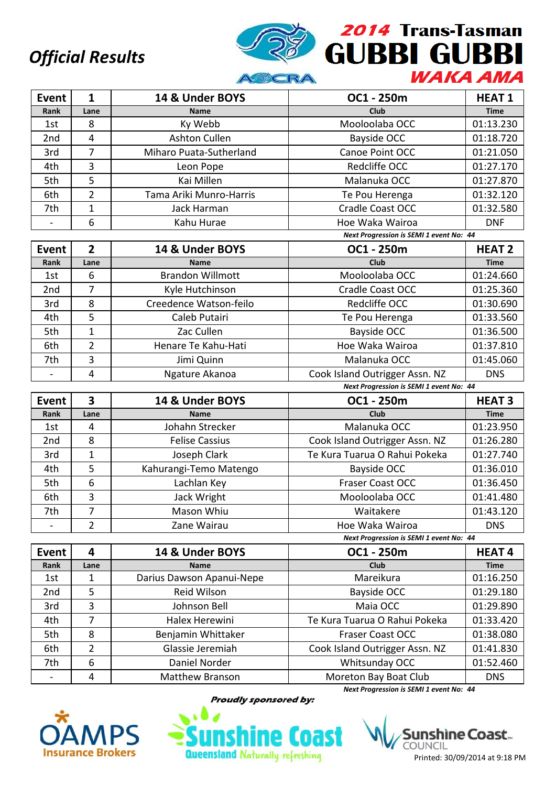

| <b>Event</b> | $\mathbf{1}$            | 14 & Under BOYS                  | OC1 - 250m                              | <b>HEAT1</b>            |
|--------------|-------------------------|----------------------------------|-----------------------------------------|-------------------------|
| Rank         | Lane                    | <b>Name</b>                      | <b>Club</b>                             | <b>Time</b>             |
| 1st          | 8                       | Ky Webb                          | Mooloolaba OCC                          | 01:13.230               |
| 2nd          | 4                       | Ashton Cullen                    | Bayside OCC                             | 01:18.720               |
| 3rd          | $\overline{7}$          | Miharo Puata-Sutherland          | Canoe Point OCC                         | 01:21.050               |
| 4th          | 3                       | Leon Pope                        | Redcliffe OCC                           | 01:27.170               |
| 5th          | 5                       | Kai Millen                       | Malanuka OCC                            | 01:27.870               |
| 6th          | $\overline{2}$          | Tama Ariki Munro-Harris          | Te Pou Herenga                          | 01:32.120               |
| 7th          | 1                       | <b>Jack Harman</b>               | Cradle Coast OCC                        | 01:32.580               |
|              | 6                       | Kahu Hurae                       | Hoe Waka Wairoa                         | <b>DNF</b>              |
|              |                         |                                  | Next Progression is SEMI 1 event No: 44 |                         |
| <b>Event</b> | $\overline{2}$          | 14 & Under BOYS                  | OC1 - 250m                              | <b>HEAT 2</b>           |
| Rank         | Lane                    | <b>Name</b>                      | <b>Club</b>                             | <b>Time</b>             |
| 1st          | 6                       | <b>Brandon Willmott</b>          | Mooloolaba OCC                          | 01:24.660               |
| 2nd          | $\overline{7}$          | Kyle Hutchinson                  | Cradle Coast OCC                        | 01:25.360               |
| 3rd          | 8                       | Creedence Watson-feilo           | Redcliffe OCC                           | 01:30.690               |
| 4th          | 5                       | Caleb Putairi                    | Te Pou Herenga                          | 01:33.560               |
| 5th          | $\overline{1}$          | Zac Cullen                       | Bayside OCC                             | 01:36.500               |
| 6th          | $\overline{2}$          | Henare Te Kahu-Hati              | Hoe Waka Wairoa                         | 01:37.810               |
| 7th          | 3                       | Jimi Quinn                       | Malanuka OCC                            | 01:45.060               |
|              | 4                       | Ngature Akanoa                   | Cook Island Outrigger Assn. NZ          | <b>DNS</b>              |
|              |                         |                                  | Next Progression is SEMI 1 event No: 44 |                         |
| <b>Event</b> | $\overline{\mathbf{3}}$ | 14 & Under BOYS                  | OC1 - 250m                              | <b>HEAT3</b>            |
| Rank         | Lane                    | <b>Name</b>                      | Club                                    | <b>Time</b>             |
| 1st          | 4                       | Johahn Strecker                  | Malanuka OCC                            | 01:23.950               |
| 2nd          | 8                       | <b>Felise Cassius</b>            | Cook Island Outrigger Assn. NZ          | 01:26.280               |
| 3rd          | $\overline{1}$          | Joseph Clark                     | Te Kura Tuarua O Rahui Pokeka           | 01:27.740               |
| 4th          | 5                       | Kahurangi-Temo Matengo           | Bayside OCC                             | 01:36.010               |
| 5th          | $6\,$                   | Lachlan Key                      | Fraser Coast OCC                        | 01:36.450               |
| 6th          | 3                       | Jack Wright                      | Mooloolaba OCC                          | 01:41.480               |
| 7th          | 7                       | Mason Whiu                       | Waitakere                               | 01:43.120               |
|              | 2                       | Zane Wairau                      | Hoe Waka Wairoa                         | <b>DNS</b>              |
|              |                         |                                  | Next Progression is SEMI 1 event No: 44 |                         |
| <b>Event</b> | 4                       | 14 & Under BOYS                  | OC1 - 250m                              | <b>HEAT4</b>            |
| Rank         | Lane                    | Name                             | Club                                    | <b>Time</b>             |
| 1st          | 1                       | Darius Dawson Apanui-Nepe        | Mareikura                               | 01:16.250               |
| 2nd          | 5                       | Reid Wilson                      | Bayside OCC                             | 01:29.180               |
| 3rd          | 3                       | Johnson Bell                     | Maia OCC                                | 01:29.890               |
| 4th          | $\overline{7}$          | Halex Herewini                   | Te Kura Tuarua O Rahui Pokeka           | 01:33.420               |
| 5th          |                         | Benjamin Whittaker               | Fraser Coast OCC                        | 01:38.080               |
|              | 8                       |                                  |                                         |                         |
| 6th          | 2                       | Glassie Jeremiah                 | Cook Island Outrigger Assn. NZ          | 01:41.830               |
| 7th          | 6<br>4                  | Daniel Norder<br>Matthew Branson | Whitsunday OCC<br>Moreton Bay Boat Club | 01:52.460<br><b>DNS</b> |



**Proudly sponsored by:** 



hine Coast... COUNCIL Printed: 30/09/2014 at 9:18 PM

*Next Progression is SEMI 1 event No: 44*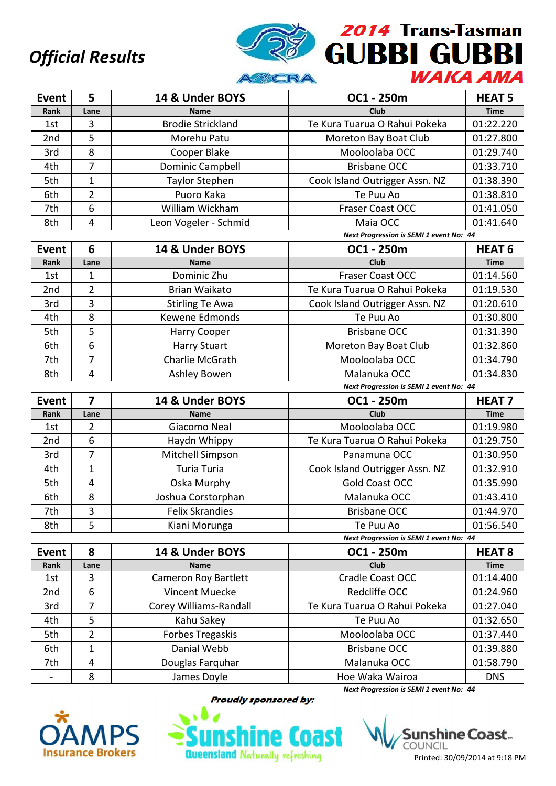

| <b>Event</b>                    | 5                   | 14 & Under BOYS                 | OC1 - 250m                              | <b>HEAT 5</b>           |
|---------------------------------|---------------------|---------------------------------|-----------------------------------------|-------------------------|
| Rank                            | Lane                | <b>Name</b>                     | <b>Club</b>                             | <b>Time</b>             |
| 1st                             | 3                   | <b>Brodie Strickland</b>        | Te Kura Tuarua O Rahui Pokeka           | 01:22.220               |
| 2nd                             | 5                   | Morehu Patu                     | Moreton Bay Boat Club                   | 01:27.800               |
| 3rd                             | 8                   | Cooper Blake                    | Mooloolaba OCC                          | 01:29.740               |
| 4th                             | $\overline{7}$      | Dominic Campbell                | <b>Brisbane OCC</b>                     | 01:33.710               |
| 5th                             | $\mathbf{1}$        | <b>Taylor Stephen</b>           | Cook Island Outrigger Assn. NZ          | 01:38.390               |
| 6th                             | $\overline{2}$      | Puoro Kaka                      | Te Puu Ao                               | 01:38.810               |
| 7th                             | 6                   | William Wickham                 | Fraser Coast OCC                        | 01:41.050               |
| 8th                             | $\overline{4}$      | Leon Vogeler - Schmid           | Maia OCC                                | 01:41.640               |
|                                 |                     |                                 | Next Progression is SEMI 1 event No: 44 |                         |
| Event                           | 6                   | 14 & Under BOYS                 | OC1 - 250m                              | <b>HEAT 6</b>           |
| Rank                            | Lane                | <b>Name</b>                     | <b>Club</b>                             | <b>Time</b>             |
| 1st                             | $\mathbf{1}$        | Dominic Zhu                     | <b>Fraser Coast OCC</b>                 | 01:14.560               |
| 2nd                             | $\overline{2}$      | <b>Brian Waikato</b>            | Te Kura Tuarua O Rahui Pokeka           | 01:19.530               |
| 3rd                             | 3                   | <b>Stirling Te Awa</b>          | Cook Island Outrigger Assn. NZ          | 01:20.610               |
| 4th                             | 8                   | Kewene Edmonds                  | Te Puu Ao                               | 01:30.800               |
| 5th                             | 5                   | <b>Harry Cooper</b>             | <b>Brisbane OCC</b>                     | 01:31.390               |
| 6th                             | 6                   | <b>Harry Stuart</b>             | Moreton Bay Boat Club                   | 01:32.860               |
| 7th                             | $\overline{7}$      | Charlie McGrath                 | Mooloolaba OCC                          | 01:34.790               |
| 8th                             | 4                   | Ashley Bowen                    | Malanuka OCC                            | 01:34.830               |
|                                 |                     |                                 | Next Progression is SEMI 1 event No: 44 |                         |
| <b>Event</b>                    | $\overline{7}$      | 14 & Under BOYS                 | OC1 - 250m                              | <b>HEAT 7</b>           |
| Rank                            | Lane                | <b>Name</b>                     | <b>Club</b>                             | <b>Time</b>             |
| 1st                             | $\overline{2}$      | Giacomo Neal                    | Mooloolaba OCC                          | 01:19.980               |
| 2nd                             | 6                   | Haydn Whippy                    | Te Kura Tuarua O Rahui Pokeka           | 01:29.750               |
| 3rd                             | $\overline{7}$      | Mitchell Simpson                | Panamuna OCC                            | 01:30.950               |
| 4th                             |                     |                                 |                                         |                         |
|                                 | $\mathbf{1}$        | <b>Turia Turia</b>              | Cook Island Outrigger Assn. NZ          | 01:32.910               |
| 5th                             | $\overline{4}$      | Oska Murphy                     | <b>Gold Coast OCC</b>                   | 01:35.990               |
| 6th                             | 8                   | Joshua Corstorphan              | Malanuka OCC                            | 01:43.410               |
| 7th                             | 3                   | <b>Felix Skrandies</b>          | <b>Brisbane OCC</b>                     | 01:44.970               |
| 8th                             | 5                   | Kiani Morunga                   | Te Puu Ao                               | 01:56.540               |
|                                 |                     |                                 | Next Progression is SEMI 1 event No: 44 |                         |
| Event                           | 8                   | 14 & Under BOYS                 | OC1 - 250m                              | <b>HEAT 8</b>           |
| Rank                            | Lane                | <b>Name</b>                     | Club                                    | <b>Time</b>             |
| 1st                             | 3                   | <b>Cameron Roy Bartlett</b>     | Cradle Coast OCC                        | 01:14.400               |
| 2nd                             | 6                   | <b>Vincent Muecke</b>           | Redcliffe OCC                           | 01:24.960               |
| 3rd                             | 7                   | Corey Williams-Randall          | Te Kura Tuarua O Rahui Pokeka           | 01:27.040               |
| 4th                             | 5                   | Kahu Sakey                      | Te Puu Ao                               | 01:32.650               |
| 5th                             | $\overline{2}$      | Forbes Tregaskis                | Mooloolaba OCC                          | 01:37.440               |
| 6th                             | $\mathbf{1}$        | Danial Webb                     | <b>Brisbane OCC</b>                     | 01:39.880               |
| 7th<br>$\overline{\phantom{0}}$ | $\overline{4}$<br>8 | Douglas Farquhar<br>James Doyle | Malanuka OCC<br>Hoe Waka Wairoa         | 01:58.790<br><b>DNS</b> |



**Proudly sponsored by:** 



hine Coast... COUNCIL Printed: 30/09/2014 at 9:18 PM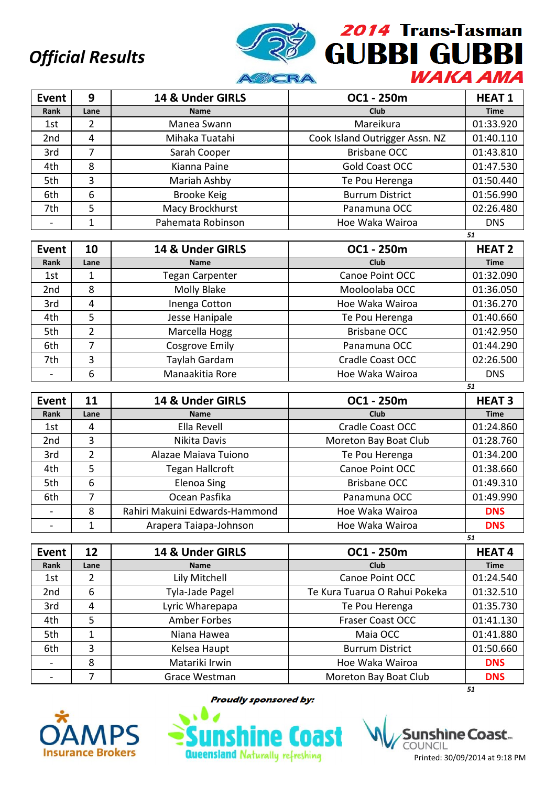

| Event           | 9    | 14 & Under GIRLS   | OC1 - 250m                     | <b>HEAT1</b> |
|-----------------|------|--------------------|--------------------------------|--------------|
| Rank            | Lane | <b>Name</b>        | Club                           | <b>Time</b>  |
| 1st             | 2    | Manea Swann        | Mareikura                      | 01:33.920    |
| 2 <sub>nd</sub> | 4    | Mihaka Tuatahi     | Cook Island Outrigger Assn. NZ | 01:40.110    |
| 3rd             |      | Sarah Cooper       | <b>Brisbane OCC</b>            | 01:43.810    |
| 4th             | 8    | Kianna Paine       | Gold Coast OCC                 | 01:47.530    |
| 5th             | 3    | Mariah Ashby       | Te Pou Herenga                 | 01:50.440    |
| 6th             | 6    | <b>Brooke Keig</b> | <b>Burrum District</b>         | 01:56.990    |
| 7th             | 5    | Macy Brockhurst    | Panamuna OCC                   | 02:26.480    |
|                 |      | Pahemata Robinson  | Hoe Waka Wairoa                | <b>DNS</b>   |

|                 |                |                        |                         | 51            |
|-----------------|----------------|------------------------|-------------------------|---------------|
| Event           | 10             | 14 & Under GIRLS       | OC1 - 250m              | <b>HEAT 2</b> |
| Rank            | Lane           | <b>Name</b>            | <b>Club</b>             | <b>Time</b>   |
| 1st             |                | <b>Tegan Carpenter</b> | Canoe Point OCC         | 01:32.090     |
| 2 <sub>nd</sub> | 8              | Molly Blake            | Mooloolaba OCC          | 01:36.050     |
| 3rd             | 4              | Inenga Cotton          | Hoe Waka Wairoa         | 01:36.270     |
| 4th             | 5              | Jesse Hanipale         | Te Pou Herenga          | 01:40.660     |
| 5th             | 2              | Marcella Hogg          | <b>Brisbane OCC</b>     | 01:42.950     |
| 6th             | $\overline{ }$ | <b>Cosgrove Emily</b>  | Panamuna OCC            | 01:44.290     |
| 7th             | 3              | Taylah Gardam          | <b>Cradle Coast OCC</b> | 02:26.500     |
|                 | 6              | Manaakitia Rore        | Hoe Waka Wairoa         | <b>DNS</b>    |

| Event           | 11   | 14 & Under GIRLS               | OC1 - 250m              | <b>HEAT3</b> |
|-----------------|------|--------------------------------|-------------------------|--------------|
| Rank            | Lane | <b>Name</b>                    | <b>Club</b>             | <b>Time</b>  |
| 1st             | 4    | Ella Revell                    | <b>Cradle Coast OCC</b> | 01:24.860    |
| 2 <sub>nd</sub> | 3    | Nikita Davis                   | Moreton Bay Boat Club   | 01:28.760    |
| 3rd             | 2    | Alazae Maiava Tuiono           | Te Pou Herenga          | 01:34.200    |
| 4th             | 5    | Tegan Hallcroft                | Canoe Point OCC         | 01:38.660    |
| 5th             | 6    | <b>Elenoa Sing</b>             | <b>Brisbane OCC</b>     | 01:49.310    |
| 6th             |      | Ocean Pasfika                  | Panamuna OCC            | 01:49.990    |
|                 | 8    | Rahiri Makuini Edwards-Hammond | Hoe Waka Wairoa         | <b>DNS</b>   |
|                 |      | Arapera Taiapa-Johnson         | Hoe Waka Wairoa         | <b>DNS</b>   |
|                 |      |                                |                         | 51           |

| <b>Event</b>    | 12   | 14 & Under GIRLS | OC1 - 250m                    | <b>HEAT4</b> |
|-----------------|------|------------------|-------------------------------|--------------|
| Rank            | Lane | <b>Name</b>      | Club                          | <b>Time</b>  |
| 1st             |      | Lily Mitchell    | Canoe Point OCC               | 01:24.540    |
| 2 <sub>nd</sub> | 6    | Tyla-Jade Pagel  | Te Kura Tuarua O Rahui Pokeka | 01:32.510    |
| 3rd             | 4    | Lyric Wharepapa  | Te Pou Herenga                | 01:35.730    |
| 4th             | 5    | Amber Forbes     | <b>Fraser Coast OCC</b>       | 01:41.130    |
| 5th             | 1    | Niana Hawea      | Maia OCC                      | 01:41.880    |
| 6th             | 3    | Kelsea Haupt     | <b>Burrum District</b>        | 01:50.660    |
|                 | 8    | Matariki Irwin   | Hoe Waka Wairoa               | <b>DNS</b>   |
|                 |      | Grace Westman    | Moreton Bay Boat Club         | <b>DNS</b>   |
|                 |      |                  |                               | 51           |



**Proudly sponsored by:** 

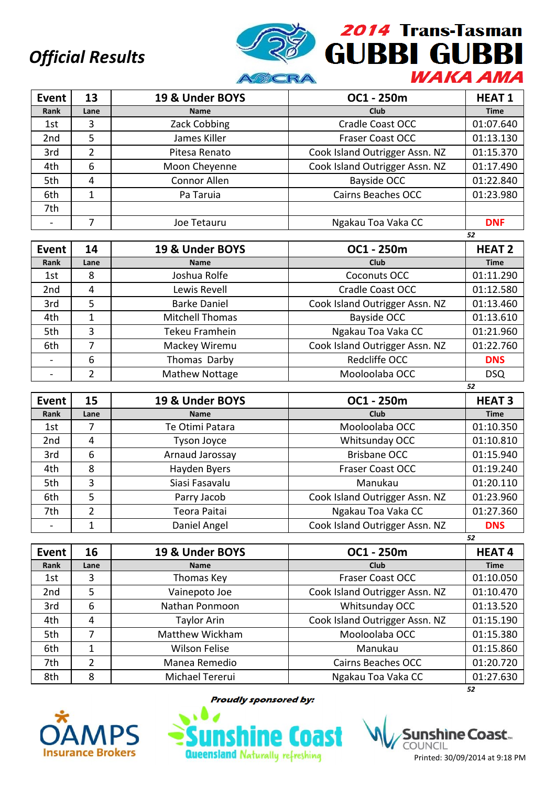

| <b>Event</b>    | 13   | 19 & Under BOYS | OC1 - 250m                     | <b>HEAT1</b> |
|-----------------|------|-----------------|--------------------------------|--------------|
| Rank            | Lane | <b>Name</b>     | Club                           | <b>Time</b>  |
| 1st             | 3    | Zack Cobbing    | <b>Cradle Coast OCC</b>        | 01:07.640    |
| 2 <sub>nd</sub> | 5    | James Killer    | <b>Fraser Coast OCC</b>        | 01:13.130    |
| 3rd             | 2    | Pitesa Renato   | Cook Island Outrigger Assn. NZ | 01:15.370    |
| 4th             | 6    | Moon Cheyenne   | Cook Island Outrigger Assn. NZ | 01:17.490    |
| 5th             | 4    | Connor Allen    | Bayside OCC                    | 01:22.840    |
| 6th             | 1    | Pa Taruia       | <b>Cairns Beaches OCC</b>      | 01:23.980    |
| 7th             |      |                 |                                |              |
|                 | 7    | Joe Tetauru     | Ngakau Toa Vaka CC             | <b>DNF</b>   |
|                 |      |                 |                                | 52           |

| Event | 14   | 19 & Under BOYS        | OC1 - 250m                     | <b>HEAT 2</b> |
|-------|------|------------------------|--------------------------------|---------------|
| Rank  | Lane | <b>Name</b>            | Club                           | <b>Time</b>   |
| 1st   | 8    | Joshua Rolfe           | Coconuts OCC                   | 01:11.290     |
| 2nd   | 4    | Lewis Revell           | Cradle Coast OCC               | 01:12.580     |
| 3rd   | 5    | <b>Barke Daniel</b>    | Cook Island Outrigger Assn. NZ | 01:13.460     |
| 4th   |      | <b>Mitchell Thomas</b> | <b>Bayside OCC</b>             | 01:13.610     |
| 5th   | 3    | Tekeu Framhein         | Ngakau Toa Vaka CC             | 01:21.960     |
| 6th   |      | Mackey Wiremu          | Cook Island Outrigger Assn. NZ | 01:22.760     |
|       | 6    | Thomas Darby           | Redcliffe OCC                  | <b>DNS</b>    |
|       | 2    | Mathew Nottage         | Mooloolaba OCC                 | <b>DSQ</b>    |
|       |      |                        |                                | 52            |

| Event           | 15            | 19 & Under BOYS | OC1 - 250m                     | <b>HEAT3</b> |
|-----------------|---------------|-----------------|--------------------------------|--------------|
| Rank            | Lane          | <b>Name</b>     | Club                           | <b>Time</b>  |
| 1st             | 7             | Te Otimi Patara | Mooloolaba OCC                 | 01:10.350    |
| 2 <sub>nd</sub> | 4             | Tyson Joyce     | Whitsunday OCC                 | 01:10.810    |
| 3rd             | 6             | Arnaud Jarossay | <b>Brisbane OCC</b>            | 01:15.940    |
| 4th             | 8             | Hayden Byers    | <b>Fraser Coast OCC</b>        | 01:19.240    |
| 5th             | 3             | Siasi Fasavalu  | Manukau                        | 01:20.110    |
| 6th             | 5             | Parry Jacob     | Cook Island Outrigger Assn. NZ | 01:23.960    |
| 7th             | $\mathcal{P}$ | Teora Paitai    | Ngakau Toa Vaka CC             | 01:27.360    |
|                 | 1             | Daniel Angel    | Cook Island Outrigger Assn. NZ | <b>DNS</b>   |
|                 |               |                 |                                | 52           |

| Event           | 16             | 19 & Under BOYS      | OC1 - 250m                     | <b>HEAT4</b> |
|-----------------|----------------|----------------------|--------------------------------|--------------|
| Rank            | Lane           | <b>Name</b>          | <b>Club</b>                    | <b>Time</b>  |
| 1st             | 3              | Thomas Key           | <b>Fraser Coast OCC</b>        | 01:10.050    |
| 2 <sub>nd</sub> | 5              | Vainepoto Joe        | Cook Island Outrigger Assn. NZ | 01:10.470    |
| 3rd             | 6              | Nathan Ponmoon       | Whitsunday OCC                 | 01:13.520    |
| 4th             | 4              | <b>Taylor Arin</b>   | Cook Island Outrigger Assn. NZ | 01:15.190    |
| 5th             |                | Matthew Wickham      | Mooloolaba OCC                 | 01:15.380    |
| 6th             | 1              | <b>Wilson Felise</b> | Manukau                        | 01:15.860    |
| 7th             | $\overline{2}$ | Manea Remedio        | <b>Cairns Beaches OCC</b>      | 01:20.720    |
| 8th             | 8              | Michael Tererui      | Ngakau Toa Vaka CC             | 01:27.630    |
|                 |                |                      |                                | 52           |



**Proudly sponsored by:** 



shìne Coast… COUNCIL Printed: 30/09/2014 at 9:18 PM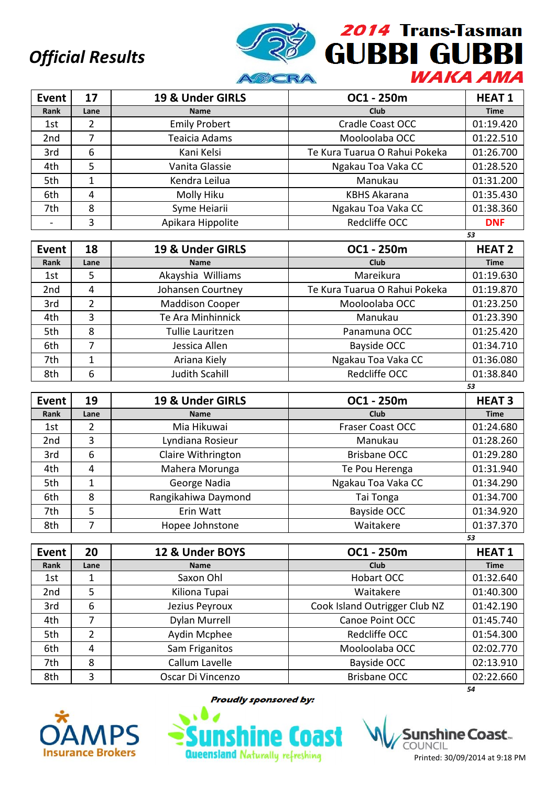

| <b>Event</b>    | 17   | 19 & Under GIRLS     | OC1 - 250m                    | <b>HEAT1</b> |
|-----------------|------|----------------------|-------------------------------|--------------|
| Rank            | Lane | <b>Name</b>          | <b>Club</b>                   | <b>Time</b>  |
| 1st             | 2    | <b>Emily Probert</b> | Cradle Coast OCC              | 01:19.420    |
| 2 <sub>nd</sub> | 7    | Teaicia Adams        | Mooloolaba OCC                | 01:22.510    |
| 3rd             | 6    | Kani Kelsi           | Te Kura Tuarua O Rahui Pokeka | 01:26.700    |
| 4th             | 5    | Vanita Glassie       | Ngakau Toa Vaka CC            | 01:28.520    |
| 5th             |      | Kendra Leilua        | Manukau                       | 01:31.200    |
| 6th             | 4    | Molly Hiku           | <b>KBHS Akarana</b>           | 01:35.430    |
| 7th             | 8    | Syme Heiarii         | Ngakau Toa Vaka CC            | 01:38.360    |
|                 | 3    | Apikara Hippolite    | Redcliffe OCC                 | <b>DNF</b>   |
|                 |      |                      |                               | 53           |

| Event | 18   | 19 & Under GIRLS       | OC1 - 250m                    | <b>HEAT 2</b> |
|-------|------|------------------------|-------------------------------|---------------|
| Rank  | Lane | <b>Name</b>            | Club                          | <b>Time</b>   |
| 1st   | 5    | Akayshia Williams      | Mareikura                     | 01:19.630     |
| 2nd   | 4    | Johansen Courtney      | Te Kura Tuarua O Rahui Pokeka | 01:19.870     |
| 3rd   | 2    | <b>Maddison Cooper</b> | Mooloolaba OCC                | 01:23.250     |
| 4th   | 3    | Te Ara Minhinnick      | Manukau                       | 01:23.390     |
| 5th   | 8    | Tullie Lauritzen       | Panamuna OCC                  | 01:25.420     |
| 6th   | 7    | Jessica Allen          | Bayside OCC                   | 01:34.710     |
| 7th   |      | Ariana Kiely           | Ngakau Toa Vaka CC            | 01:36.080     |
| 8th   | 6    | <b>Judith Scahill</b>  | Redcliffe OCC                 | 01:38.840     |

| Event           | 19   | 19 & Under GIRLS    | OC1 - 250m          | <b>HEAT3</b> |
|-----------------|------|---------------------|---------------------|--------------|
| Rank            | Lane | <b>Name</b>         | Club                | <b>Time</b>  |
| 1st             | 2    | Mia Hikuwai         | Fraser Coast OCC    | 01:24.680    |
| 2 <sub>nd</sub> | 3    | Lyndiana Rosieur    | Manukau             | 01:28.260    |
| 3rd             | 6    | Claire Withrington  | <b>Brisbane OCC</b> | 01:29.280    |
| 4th             | 4    | Mahera Morunga      | Te Pou Herenga      | 01:31.940    |
| 5th             |      | George Nadia        | Ngakau Toa Vaka CC  | 01:34.290    |
| 6th             | 8    | Rangikahiwa Daymond | Tai Tonga           | 01:34.700    |
| 7th             | 5    | Erin Watt           | <b>Bayside OCC</b>  | 01:34.920    |
| 8th             |      | Hopee Johnstone     | Waitakere           | 01:37.370    |
|                 |      |                     |                     | 53           |

| Event           | 20   | 12 & Under BOYS      | OC1 - 250m                    | <b>HEAT1</b> |
|-----------------|------|----------------------|-------------------------------|--------------|
| Rank            | Lane | <b>Name</b>          | <b>Club</b>                   | <b>Time</b>  |
| 1st             | 1    | Saxon Ohl            | Hobart OCC                    | 01:32.640    |
| 2 <sub>nd</sub> | 5    | Kiliona Tupai        | Waitakere                     | 01:40.300    |
| 3rd             | 6    | Jezius Peyroux       | Cook Island Outrigger Club NZ | 01:42.190    |
| 4th             |      | <b>Dylan Murrell</b> | Canoe Point OCC               | 01:45.740    |
| 5th             | 2    | Aydin Mcphee         | Redcliffe OCC                 | 01:54.300    |
| 6th             | 4    | Sam Friganitos       | Mooloolaba OCC                | 02:02.770    |
| 7th             | 8    | Callum Lavelle       | Bayside OCC                   | 02:13.910    |
| 8th             | 3    | Oscar Di Vincenzo    | <b>Brisbane OCC</b>           | 02:22.660    |
|                 |      |                      |                               | 54           |



**Proudly sponsored by:** 



shìne Coast.. COUNCIL Printed: 30/09/2014 at 9:18 PM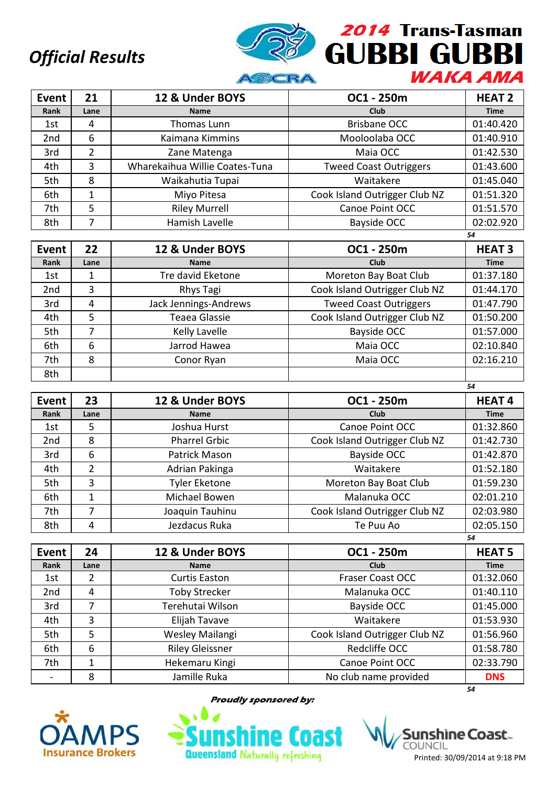

*54*

*54*

| <b>Event</b>    | 21   | 12 & Under BOYS                | OC1 - 250m                    | <b>HEAT 2</b> |
|-----------------|------|--------------------------------|-------------------------------|---------------|
| Rank            | Lane | <b>Name</b>                    | <b>Club</b>                   | <b>Time</b>   |
| 1st             | 4    | Thomas Lunn                    | <b>Brisbane OCC</b>           | 01:40.420     |
| 2 <sub>nd</sub> | 6    | Kaimana Kimmins                | Mooloolaba OCC                | 01:40.910     |
| 3rd             | 2    | Zane Matenga                   | Maia OCC                      | 01:42.530     |
| 4th             | 3    | Wharekaihua Willie Coates-Tuna | <b>Tweed Coast Outriggers</b> | 01:43.600     |
| 5th             | 8    | Waikahutia Tupai               | Waitakere                     | 01:45.040     |
| 6th             | 1    | Miyo Pitesa                    | Cook Island Outrigger Club NZ | 01:51.320     |
| 7th             | 5    | <b>Riley Murrell</b>           | Canoe Point OCC               | 01:51.570     |
| 8th             |      | Hamish Lavelle                 | Bayside OCC                   | 02:02.920     |

| Event | 22   | 12 & Under BOYS       | OC1 - 250m                    | <b>HEAT3</b> |
|-------|------|-----------------------|-------------------------------|--------------|
| Rank  | Lane | <b>Name</b>           | <b>Club</b>                   | <b>Time</b>  |
| 1st   |      | Tre david Eketone     | Moreton Bay Boat Club         | 01:37.180    |
| 2nd   | 3    | Rhys Tagi             | Cook Island Outrigger Club NZ | 01:44.170    |
| 3rd   | 4    | Jack Jennings-Andrews | <b>Tweed Coast Outriggers</b> | 01:47.790    |
| 4th   | 5    | Teaea Glassie         | Cook Island Outrigger Club NZ | 01:50.200    |
| 5th   | 7    | Kelly Lavelle         | Bayside OCC                   | 01:57.000    |
| 6th   | 6    | Jarrod Hawea          | Maia OCC                      | 02:10.840    |
| 7th   | 8    | Conor Ryan            | Maia OCC                      | 02:16.210    |
| 8th   |      |                       |                               |              |

| Event           | 23   | 12 & Under BOYS      | OC1 - 250m                    | <b>HEAT4</b> |
|-----------------|------|----------------------|-------------------------------|--------------|
| Rank            | Lane | <b>Name</b>          | Club                          | <b>Time</b>  |
| 1st             | 5    | Joshua Hurst         | Canoe Point OCC               | 01:32.860    |
| 2 <sub>nd</sub> | 8    | <b>Pharrel Grbic</b> | Cook Island Outrigger Club NZ | 01:42.730    |
| 3rd             | 6    | Patrick Mason        | <b>Bayside OCC</b>            | 01:42.870    |
| 4th             | 2    | Adrian Pakinga       | Waitakere                     | 01:52.180    |
| 5th             | 3    | <b>Tyler Eketone</b> | Moreton Bay Boat Club         | 01:59.230    |
| 6th             |      | Michael Bowen        | Malanuka OCC                  | 02:01.210    |
| 7th             | 7    | Joaquin Tauhinu      | Cook Island Outrigger Club NZ | 02:03.980    |
| 8th             | 4    | Jezdacus Ruka        | Te Puu Ao                     | 02:05.150    |
|                 |      |                      |                               | 54           |

| Event           | 24   | 12 & Under BOYS        | OC1 - 250m                    | <b>HEAT 5</b> |
|-----------------|------|------------------------|-------------------------------|---------------|
| Rank            | Lane | <b>Name</b>            | <b>Club</b>                   | <b>Time</b>   |
| 1st             | 2    | <b>Curtis Easton</b>   | <b>Fraser Coast OCC</b>       | 01:32.060     |
| 2 <sub>nd</sub> | 4    | <b>Toby Strecker</b>   | Malanuka OCC                  | 01:40.110     |
| 3rd             |      | Terehutai Wilson       | Bayside OCC                   | 01:45.000     |
| 4th             | 3    | Elijah Tavave          | Waitakere                     | 01:53.930     |
| 5th             | 5    | Wesley Mailangi        | Cook Island Outrigger Club NZ | 01:56.960     |
| 6th             | 6    | <b>Riley Gleissner</b> | Redcliffe OCC                 | 01:58.780     |
| 7th             | 1    | Hekemaru Kingi         | Canoe Point OCC               | 02:33.790     |
|                 | 8    | Jamille Ruka           | No club name provided         | <b>DNS</b>    |
|                 |      |                        |                               | 54            |



**Proudly sponsored by:** 

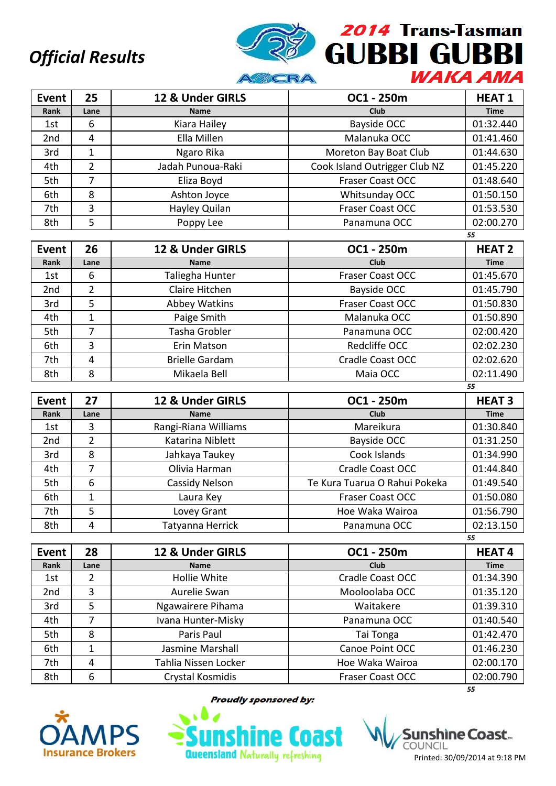

| Event           | 25             | 12 & Under GIRLS  | OC1 - 250m                    | <b>HEAT1</b> |
|-----------------|----------------|-------------------|-------------------------------|--------------|
| Rank            | Lane           | <b>Name</b>       | Club                          | <b>Time</b>  |
| 1st             | 6              | Kiara Hailey      | Bayside OCC                   | 01:32.440    |
| 2 <sub>nd</sub> | 4              | Ella Millen       | Malanuka OCC                  | 01:41.460    |
| 3rd             | 1              | Ngaro Rika        | Moreton Bay Boat Club         | 01:44.630    |
| 4th             | $\overline{2}$ | Jadah Punoua-Raki | Cook Island Outrigger Club NZ | 01:45.220    |
| 5th             | 7              | Eliza Boyd        | <b>Fraser Coast OCC</b>       | 01:48.640    |
| 6th             | 8              | Ashton Joyce      | Whitsunday OCC                | 01:50.150    |
| 7th             | 3              | Hayley Quilan     | <b>Fraser Coast OCC</b>       | 01:53.530    |
| 8th             | 5              | Poppy Lee         | Panamuna OCC                  | 02:00.270    |
|                 |                |                   |                               | 55           |

| <b>Event</b> | 26   | 12 & Under GIRLS      | OC1 - 250m              | <b>HEAT 2</b> |
|--------------|------|-----------------------|-------------------------|---------------|
| Rank         | Lane | <b>Name</b>           | Club                    | <b>Time</b>   |
| 1st          | 6    | Taliegha Hunter       | <b>Fraser Coast OCC</b> | 01:45.670     |
| 2nd          | 2    | Claire Hitchen        | Bayside OCC             | 01:45.790     |
| 3rd          | 5    | Abbey Watkins         | <b>Fraser Coast OCC</b> | 01:50.830     |
| 4th          |      | Paige Smith           | Malanuka OCC            | 01:50.890     |
| 5th          | 7    | Tasha Grobler         | Panamuna OCC            | 02:00.420     |
| 6th          | 3    | Erin Matson           | Redcliffe OCC           | 02:02.230     |
| 7th          | 4    | <b>Brielle Gardam</b> | Cradle Coast OCC        | 02:02.620     |
| 8th          | 8    | Mikaela Bell          | Maia OCC                | 02:11.490     |

| Event           | 27   | 12 & Under GIRLS      | OC1 - 250m                    | <b>HEAT3</b> |
|-----------------|------|-----------------------|-------------------------------|--------------|
| Rank            | Lane | <b>Name</b>           | <b>Club</b>                   | <b>Time</b>  |
| 1st             | 3    | Rangi-Riana Williams  | Mareikura                     | 01:30.840    |
| 2 <sub>nd</sub> | 2    | Katarina Niblett      | Bayside OCC                   | 01:31.250    |
| 3rd             | 8    | Jahkaya Taukey        | Cook Islands                  | 01:34.990    |
| 4th             | 7    | Olivia Harman         | Cradle Coast OCC              | 01:44.840    |
| 5th             | 6    | <b>Cassidy Nelson</b> | Te Kura Tuarua O Rahui Pokeka | 01:49.540    |
| 6th             |      | Laura Key             | <b>Fraser Coast OCC</b>       | 01:50.080    |
| 7th             | 5    | Lovey Grant           | Hoe Waka Wairoa               | 01:56.790    |
| 8th             | 4    | Tatyanna Herrick      | Panamuna OCC                  | 02:13.150    |
|                 |      |                       |                               | 55           |

| Event           | 28   | 12 & Under GIRLS     | OC1 - 250m              | <b>HEAT4</b> |
|-----------------|------|----------------------|-------------------------|--------------|
| Rank            | Lane | <b>Name</b>          | Club                    | <b>Time</b>  |
| 1st             | 2    | Hollie White         | Cradle Coast OCC        | 01:34.390    |
| 2 <sub>nd</sub> | 3    | Aurelie Swan         | Mooloolaba OCC          | 01:35.120    |
| 3rd             | 5    | Ngawairere Pihama    | Waitakere               | 01:39.310    |
| 4th             |      | Ivana Hunter-Misky   | Panamuna OCC            | 01:40.540    |
| 5th             | 8    | Paris Paul           | Tai Tonga               | 01:42.470    |
| 6th             | 1    | Jasmine Marshall     | Canoe Point OCC         | 01:46.230    |
| 7th             | 4    | Tahlia Nissen Locker | Hoe Waka Wairoa         | 02:00.170    |
| 8th             | 6    | Crystal Kosmidis     | <b>Fraser Coast OCC</b> | 02:00.790    |
|                 |      |                      |                         | 55           |



**Proudly sponsored by:** 



shìne Coast… COUNCIL Printed: 30/09/2014 at 9:18 PM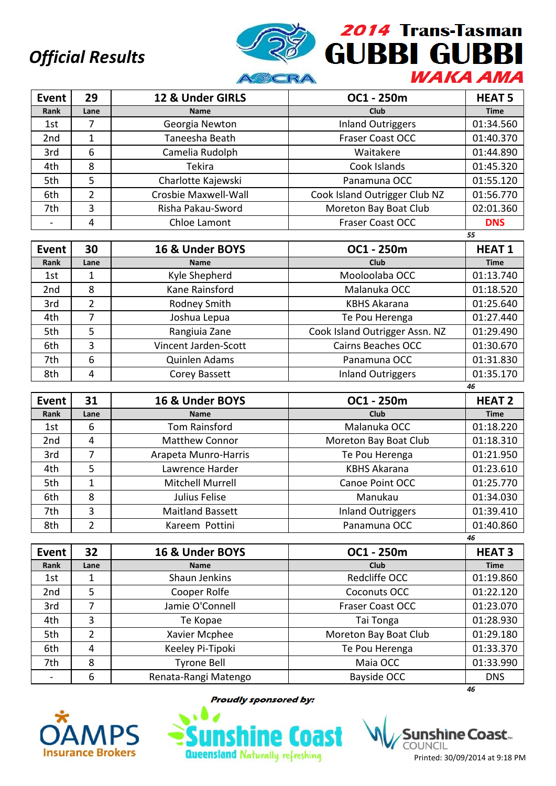

| Event           | 29   | 12 & Under GIRLS     | OC1 - 250m                    | <b>HEAT 5</b> |
|-----------------|------|----------------------|-------------------------------|---------------|
| Rank            | Lane | <b>Name</b>          | Club                          | <b>Time</b>   |
| 1st             | 7    | Georgia Newton       | <b>Inland Outriggers</b>      | 01:34.560     |
| 2 <sub>nd</sub> |      | Taneesha Beath       | <b>Fraser Coast OCC</b>       | 01:40.370     |
| 3rd             | 6    | Camelia Rudolph      | Waitakere                     | 01:44.890     |
| 4th             | 8    | <b>Tekira</b>        | Cook Islands                  | 01:45.320     |
| 5th             | 5    | Charlotte Kajewski   | Panamuna OCC                  | 01:55.120     |
| 6th             | 2    | Crosbie Maxwell-Wall | Cook Island Outrigger Club NZ | 01:56.770     |
| 7th             | 3    | Risha Pakau-Sword    | Moreton Bay Boat Club         | 02:01.360     |
|                 | 4    | Chloe Lamont         | <b>Fraser Coast OCC</b>       | <b>DNS</b>    |
|                 |      |                      |                               | 55            |

| Event | 30   | 16 & Under BOYS      | OC1 - 250m                     | <b>HEAT1</b> |
|-------|------|----------------------|--------------------------------|--------------|
| Rank  | Lane | <b>Name</b>          | <b>Club</b>                    | <b>Time</b>  |
| 1st   |      | Kyle Shepherd        | Mooloolaba OCC                 | 01:13.740    |
| 2nd   | 8    | Kane Rainsford       | Malanuka OCC                   | 01:18.520    |
| 3rd   | 2    | Rodney Smith         | <b>KBHS Akarana</b>            | 01:25.640    |
| 4th   | 7    | Joshua Lepua         | Te Pou Herenga                 | 01:27.440    |
| 5th   | 5    | Rangiuia Zane        | Cook Island Outrigger Assn. NZ | 01:29.490    |
| 6th   | 3    | Vincent Jarden-Scott | <b>Cairns Beaches OCC</b>      | 01:30.670    |
| 7th   | 6    | Quinlen Adams        | Panamuna OCC                   | 01:31.830    |
| 8th   | 4    | Corey Bassett        | <b>Inland Outriggers</b>       | 01:35.170    |

| <b>Event</b>    | 31   | 16 & Under BOYS         | OC1 - 250m               | <b>HEAT 2</b> |
|-----------------|------|-------------------------|--------------------------|---------------|
| Rank            | Lane | <b>Name</b>             | Club                     | <b>Time</b>   |
| 1st             | 6    | <b>Tom Rainsford</b>    | Malanuka OCC             | 01:18.220     |
| 2 <sub>nd</sub> | 4    | <b>Matthew Connor</b>   | Moreton Bay Boat Club    | 01:18.310     |
| 3rd             |      | Arapeta Munro-Harris    | Te Pou Herenga           | 01:21.950     |
| 4th             | 5    | Lawrence Harder         | <b>KBHS Akarana</b>      | 01:23.610     |
| 5th             | 1    | Mitchell Murrell        | Canoe Point OCC          | 01:25.770     |
| 6th             | 8    | Julius Felise           | Manukau                  | 01:34.030     |
| 7th             | 3    | <b>Maitland Bassett</b> | <b>Inland Outriggers</b> | 01:39.410     |
| 8th             | 2    | Kareem Pottini          | Panamuna OCC             | 01:40.860     |
|                 |      |                         |                          | 46            |

| <b>Event</b> | 32   | 16 & Under BOYS      | OC1 - 250m              | <b>HEAT 3</b> |
|--------------|------|----------------------|-------------------------|---------------|
| Rank         | Lane | <b>Name</b>          | Club                    | <b>Time</b>   |
| 1st          |      | Shaun Jenkins        | Redcliffe OCC           | 01:19.860     |
| 2nd          | 5    | Cooper Rolfe         | Coconuts OCC            | 01:22.120     |
| 3rd          |      | Jamie O'Connell      | <b>Fraser Coast OCC</b> | 01:23.070     |
| 4th          | 3    | Te Kopae             | Tai Tonga               | 01:28.930     |
| 5th          | 2    | Xavier Mcphee        | Moreton Bay Boat Club   | 01:29.180     |
| 6th          | 4    | Keeley Pi-Tipoki     | Te Pou Herenga          | 01:33.370     |
| 7th          | 8    | <b>Tyrone Bell</b>   | Maia OCC                | 01:33.990     |
|              | 6    | Renata-Rangi Matengo | Bayside OCC             | <b>DNS</b>    |
|              |      |                      |                         | 46            |



**Proudly sponsored by:** 



shìne Coast… COUNCIL Printed: 30/09/2014 at 9:18 PM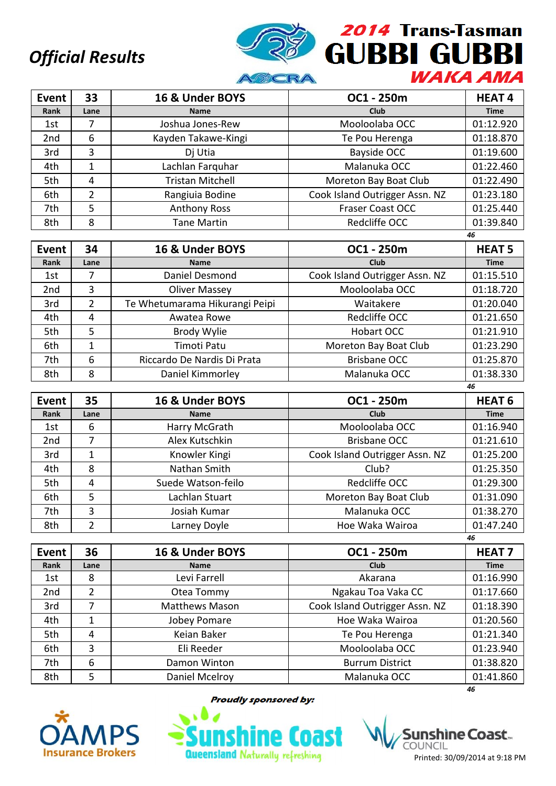

| <b>Event</b>    | 33   | 16 & Under BOYS         | OC1 - 250m                     | <b>HEAT4</b> |
|-----------------|------|-------------------------|--------------------------------|--------------|
| Rank            | Lane | <b>Name</b>             | <b>Club</b>                    | <b>Time</b>  |
| 1st             |      | Joshua Jones-Rew        | Mooloolaba OCC                 | 01:12.920    |
| 2 <sub>nd</sub> | 6    | Kayden Takawe-Kingi     | Te Pou Herenga                 | 01:18.870    |
| 3rd             | 3    | Dj Utia                 | Bayside OCC                    | 01:19.600    |
| 4th             | 1    | Lachlan Farquhar        | Malanuka OCC                   | 01:22.460    |
| 5th             | 4    | <b>Tristan Mitchell</b> | Moreton Bay Boat Club          | 01:22.490    |
| 6th             | 2    | Rangiuia Bodine         | Cook Island Outrigger Assn. NZ | 01:23.180    |
| 7th             | 5    | <b>Anthony Ross</b>     | <b>Fraser Coast OCC</b>        | 01:25.440    |
| 8th             | 8    | <b>Tane Martin</b>      | Redcliffe OCC                  | 01:39.840    |
|                 |      |                         |                                | 46           |

| Event           | 34            | 16 & Under BOYS                | OC1 - 250m                     | <b>HEAT 5</b> |
|-----------------|---------------|--------------------------------|--------------------------------|---------------|
| Rank            | Lane          | <b>Name</b>                    | <b>Club</b>                    | <b>Time</b>   |
| 1st             |               | Daniel Desmond                 | Cook Island Outrigger Assn. NZ | 01:15.510     |
| 2 <sub>nd</sub> | 3             | <b>Oliver Massey</b>           | Mooloolaba OCC                 | 01:18.720     |
| 3rd             | $\mathfrak z$ | Te Whetumarama Hikurangi Peipi | Waitakere                      | 01:20.040     |
| 4th             | 4             | Awatea Rowe                    | Redcliffe OCC                  | 01:21.650     |
| 5th             | 5             | <b>Brody Wylie</b>             | <b>Hobart OCC</b>              | 01:21.910     |
| 6th             |               | Timoti Patu                    | Moreton Bay Boat Club          | 01:23.290     |
| 7th             | 6             | Riccardo De Nardis Di Prata    | <b>Brisbane OCC</b>            | 01:25.870     |
| 8th             | 8             | Daniel Kimmorley               | Malanuka OCC                   | 01:38.330     |
|                 |               |                                |                                | 46            |

| <b>Event</b>    | 35   | 16 & Under BOYS    | OC1 - 250m                     | <b>HEAT 6</b> |
|-----------------|------|--------------------|--------------------------------|---------------|
| Rank            | Lane | <b>Name</b>        | Club                           | <b>Time</b>   |
| 1st             | 6    | Harry McGrath      | Mooloolaba OCC                 | 01:16.940     |
| 2 <sub>nd</sub> |      | Alex Kutschkin     | <b>Brisbane OCC</b>            | 01:21.610     |
| 3rd             | 1    | Knowler Kingi      | Cook Island Outrigger Assn. NZ | 01:25.200     |
| 4th             | 8    | Nathan Smith       | Club?                          | 01:25.350     |
| 5th             | 4    | Suede Watson-feilo | Redcliffe OCC                  | 01:29.300     |
| 6th             | 5    | Lachlan Stuart     | Moreton Bay Boat Club          | 01:31.090     |
| 7th             | 3    | Josiah Kumar       | Malanuka OCC                   | 01:38.270     |
| 8th             | 2    | Larney Doyle       | Hoe Waka Wairoa                | 01:47.240     |
|                 |      |                    |                                | 46            |

| <b>Event</b> | 36   | 16 & Under BOYS       | OC1 - 250m                     | <b>HEAT 7</b> |
|--------------|------|-----------------------|--------------------------------|---------------|
| Rank         | Lane | <b>Name</b>           | <b>Club</b>                    | <b>Time</b>   |
| 1st          | 8    | Levi Farrell          | Akarana                        | 01:16.990     |
| 2nd          | 2    | Otea Tommy            | Ngakau Toa Vaka CC             | 01:17.660     |
| 3rd          |      | <b>Matthews Mason</b> | Cook Island Outrigger Assn. NZ | 01:18.390     |
| 4th          | 1    | Jobey Pomare          | Hoe Waka Wairoa                | 01:20.560     |
| 5th          | 4    | Keian Baker           | Te Pou Herenga                 | 01:21.340     |
| 6th          | 3    | Eli Reeder            | Mooloolaba OCC                 | 01:23.940     |
| 7th          | 6    | Damon Winton          | <b>Burrum District</b>         | 01:38.820     |
| 8th          | 5    | Daniel Mcelroy        | Malanuka OCC                   | 01:41.860     |
|              |      |                       |                                | 46            |



**Proudly sponsored by:** 



shìne Coast… COUNCIL Printed: 30/09/2014 at 9:18 PM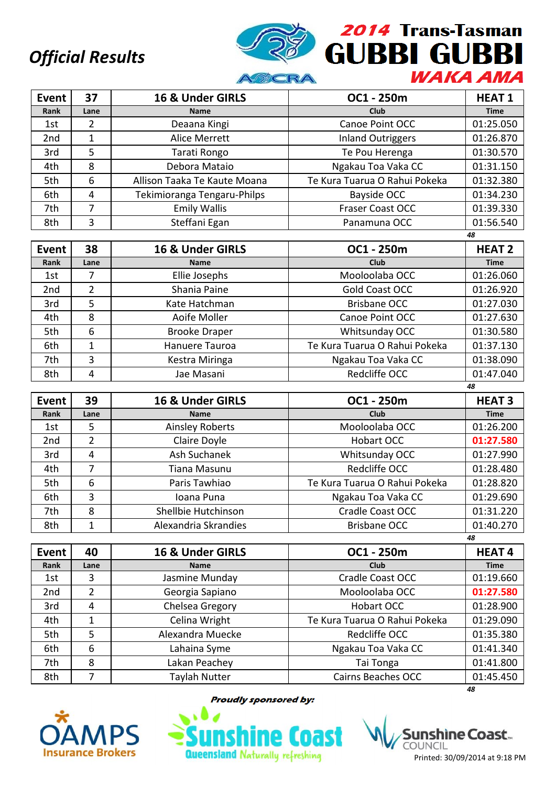

| <b>Event</b>    | 37   | 16 & Under GIRLS             | OC1 - 250m                    | <b>HEAT1</b> |
|-----------------|------|------------------------------|-------------------------------|--------------|
| Rank            | Lane | <b>Name</b>                  | <b>Club</b>                   | <b>Time</b>  |
| 1st             | 2    | Deaana Kingi                 | Canoe Point OCC               | 01:25.050    |
| 2 <sub>nd</sub> | 1    | Alice Merrett                | <b>Inland Outriggers</b>      | 01:26.870    |
| 3rd             | 5    | Tarati Rongo                 | Te Pou Herenga                | 01:30.570    |
| 4th             | 8    | Debora Mataio                | Ngakau Toa Vaka CC            | 01:31.150    |
| 5th             | 6    | Allison Taaka Te Kaute Moana | Te Kura Tuarua O Rahui Pokeka | 01:32.380    |
| 6th             | 4    | Tekimioranga Tengaru-Philps  | Bayside OCC                   | 01:34.230    |
| 7th             | 7    | <b>Emily Wallis</b>          | <b>Fraser Coast OCC</b>       | 01:39.330    |
| 8th             | 3    | Steffani Egan                | Panamuna OCC                  | 01:56.540    |

|                 |      |                      |                               | 48            |
|-----------------|------|----------------------|-------------------------------|---------------|
| Event           | 38   | 16 & Under GIRLS     | OC1 - 250m                    | <b>HEAT 2</b> |
| Rank            | Lane | <b>Name</b>          | Club                          | <b>Time</b>   |
| 1st             |      | Ellie Josephs        | Mooloolaba OCC                | 01:26.060     |
| 2 <sub>nd</sub> | 2    | Shania Paine         | Gold Coast OCC                | 01:26.920     |
| 3rd             | 5    | Kate Hatchman        | <b>Brisbane OCC</b>           | 01:27.030     |
| 4th             | 8    | Aoife Moller         | Canoe Point OCC               | 01:27.630     |
| 5th             | 6    | <b>Brooke Draper</b> | Whitsunday OCC                | 01:30.580     |
| 6th             | 1    | Hanuere Tauroa       | Te Kura Tuarua O Rahui Pokeka | 01:37.130     |
| 7th             | 3    | Kestra Miringa       | Ngakau Toa Vaka CC            | 01:38.090     |
| 8th             | 4    | Jae Masani           | Redcliffe OCC                 | 01:47.040     |
|                 |      |                      |                               | 48            |

| Event | 39   | 16 & Under GIRLS       | OC1 - 250m                    | <b>HEAT3</b> |
|-------|------|------------------------|-------------------------------|--------------|
| Rank  | Lane | <b>Name</b>            | Club                          | <b>Time</b>  |
| 1st   | 5.   | <b>Ainsley Roberts</b> | Mooloolaba OCC                | 01:26.200    |
| 2nd   | 2    | Claire Doyle           | Hobart OCC                    | 01:27.580    |
| 3rd   | 4    | Ash Suchanek           | Whitsunday OCC                | 01:27.990    |
| 4th   | 7    | Tiana Masunu           | Redcliffe OCC                 | 01:28.480    |
| 5th   | 6    | Paris Tawhiao          | Te Kura Tuarua O Rahui Pokeka | 01:28.820    |
| 6th   | 3    | Ioana Puna             | Ngakau Toa Vaka CC            | 01:29.690    |
| 7th   | 8    | Shellbie Hutchinson    | Cradle Coast OCC              | 01:31.220    |
| 8th   | 1    | Alexandria Skrandies   | <b>Brisbane OCC</b>           | 01:40.270    |
|       |      |                        |                               | 48           |

| Event           | 40   | 16 & Under GIRLS | OC1 - 250m                    | <b>HEAT4</b> |
|-----------------|------|------------------|-------------------------------|--------------|
| Rank            | Lane | <b>Name</b>      | <b>Club</b>                   | <b>Time</b>  |
| 1st             | 3    | Jasmine Munday   | Cradle Coast OCC              | 01:19.660    |
| 2 <sub>nd</sub> | 2    | Georgia Sapiano  | Mooloolaba OCC                | 01:27.580    |
| 3rd             | 4    | Chelsea Gregory  | <b>Hobart OCC</b>             | 01:28.900    |
| 4th             | 1    | Celina Wright    | Te Kura Tuarua O Rahui Pokeka | 01:29.090    |
| 5th             | 5    | Alexandra Muecke | Redcliffe OCC                 | 01:35.380    |
| 6th             | 6    | Lahaina Syme     | Ngakau Toa Vaka CC            | 01:41.340    |
| 7th             | 8    | Lakan Peachey    | Tai Tonga                     | 01:41.800    |
| 8th             |      | Taylah Nutter    | Cairns Beaches OCC            | 01:45.450    |
|                 |      |                  |                               | 48           |



**Proudly sponsored by:** 



shìne Coast… Printed: 30/09/2014 at 9:18 PM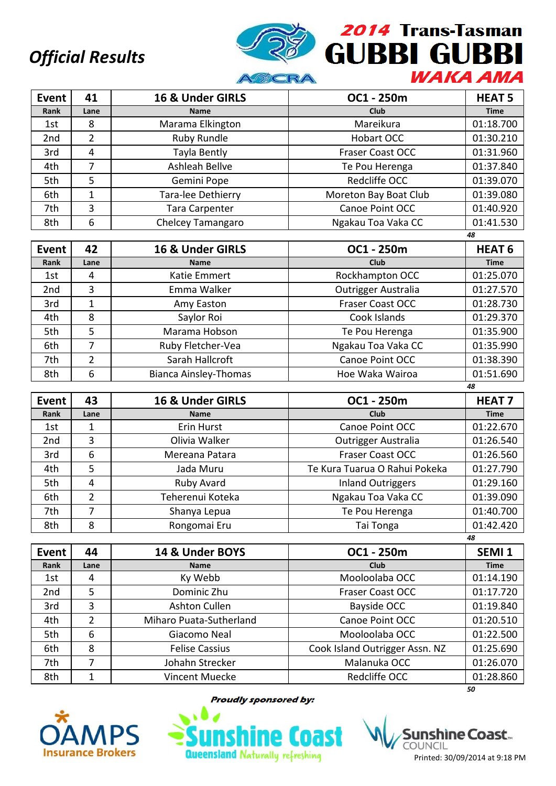

| Event           | 41   | 16 & Under GIRLS   | OC1 - 250m              | <b>HEAT 5</b> |
|-----------------|------|--------------------|-------------------------|---------------|
| Rank            | Lane | <b>Name</b>        | Club                    | <b>Time</b>   |
| 1st             | 8    | Marama Elkington   | Mareikura               | 01:18.700     |
| 2 <sub>nd</sub> | 2    | Ruby Rundle        | Hobart OCC              | 01:30.210     |
| 3rd             | 4    | Tayla Bently       | <b>Fraser Coast OCC</b> | 01:31.960     |
| 4th             |      | Ashleah Bellve     | Te Pou Herenga          | 01:37.840     |
| 5th             | 5    | Gemini Pope        | Redcliffe OCC           | 01:39.070     |
| 6th             |      | Tara-lee Dethierry | Moreton Bay Boat Club   | 01:39.080     |
| 7th             | 3    | Tara Carpenter     | Canoe Point OCC         | 01:40.920     |
| 8th             | 6    | Chelcey Tamangaro  | Ngakau Toa Vaka CC      | 01:41.530     |
|                 |      |                    |                         | 48            |

| Event           | 42            | 16 & Under GIRLS             | OC1 - 250m              | <b>HEAT 6</b> |
|-----------------|---------------|------------------------------|-------------------------|---------------|
| Rank            | Lane          | <b>Name</b>                  | Club                    | <b>Time</b>   |
| 1st             | 4             | Katie Emmert                 | Rockhampton OCC         | 01:25.070     |
| 2 <sub>nd</sub> | 3             | Emma Walker                  | Outrigger Australia     | 01:27.570     |
| 3rd             |               | Amy Easton                   | <b>Fraser Coast OCC</b> | 01:28.730     |
| 4th             | 8             | Saylor Roi                   | Cook Islands            | 01:29.370     |
| 5th             | 5             | Marama Hobson                | Te Pou Herenga          | 01:35.900     |
| 6th             |               | Ruby Fletcher-Vea            | Ngakau Toa Vaka CC      | 01:35.990     |
| 7th             | $\mathcal{P}$ | Sarah Hallcroft              | Canoe Point OCC         | 01:38.390     |
| 8th             | 6             | <b>Bianca Ainsley-Thomas</b> | Hoe Waka Wairoa         | 01:51.690     |
|                 |               |                              |                         | 48            |

| <b>Event</b>    | 43             | 16 & Under GIRLS | OC1 - 250m                    | <b>HEAT7</b> |
|-----------------|----------------|------------------|-------------------------------|--------------|
| Rank            | Lane           | <b>Name</b>      | <b>Club</b>                   | <b>Time</b>  |
| 1st             |                | Erin Hurst       | Canoe Point OCC               | 01:22.670    |
| 2 <sub>nd</sub> | 3              | Olivia Walker    | Outrigger Australia           | 01:26.540    |
| 3rd             | 6              | Mereana Patara   | <b>Fraser Coast OCC</b>       | 01:26.560    |
| 4th             | 5              | Jada Muru        | Te Kura Tuarua O Rahui Pokeka | 01:27.790    |
| 5th             | 4              | Ruby Avard       | <b>Inland Outriggers</b>      | 01:29.160    |
| 6th             | $\overline{2}$ | Teherenui Koteka | Ngakau Toa Vaka CC            | 01:39.090    |
| 7th             | 7              | Shanya Lepua     | Te Pou Herenga                | 01:40.700    |
| 8th             | 8              | Rongomai Eru     | Tai Tonga                     | 01:42.420    |
|                 |                |                  |                               | 48           |

| Event           | 44   | 14 & Under BOYS         | OC1 - 250m                     | SEMI <sub>1</sub> |
|-----------------|------|-------------------------|--------------------------------|-------------------|
| Rank            | Lane | <b>Name</b>             | <b>Club</b>                    | <b>Time</b>       |
| 1st             | 4    | Ky Webb                 | Mooloolaba OCC                 | 01:14.190         |
| 2 <sub>nd</sub> | 5    | Dominic Zhu             | <b>Fraser Coast OCC</b>        | 01:17.720         |
| 3rd             | 3    | Ashton Cullen           | Bayside OCC                    | 01:19.840         |
| 4th             | 2    | Miharo Puata-Sutherland | Canoe Point OCC                | 01:20.510         |
| 5th             | 6    | Giacomo Neal            | Mooloolaba OCC                 | 01:22.500         |
| 6th             | 8    | <b>Felise Cassius</b>   | Cook Island Outrigger Assn. NZ | 01:25.690         |
| 7th             |      | Johahn Strecker         | Malanuka OCC                   | 01:26.070         |
| 8th             |      | Vincent Muecke          | Redcliffe OCC                  | 01:28.860         |
|                 |      |                         |                                | 50                |



**Proudly sponsored by:** 



shìne Coast… COUNCIL Printed: 30/09/2014 at 9:18 PM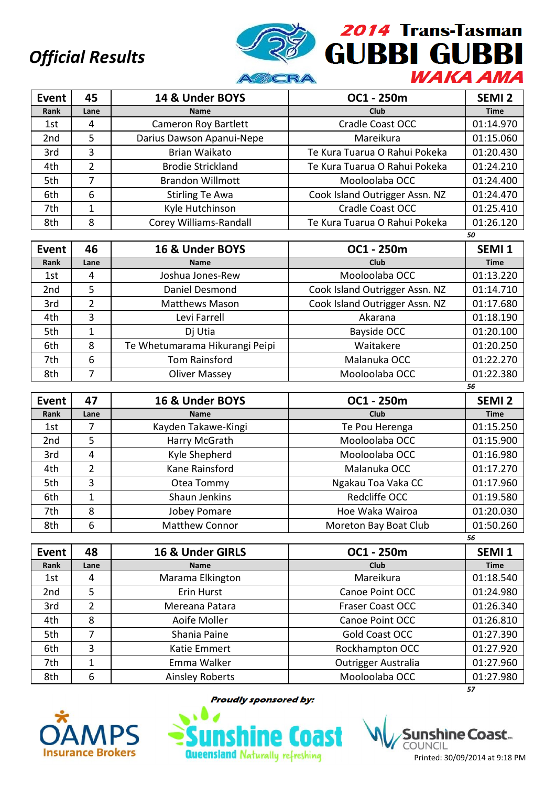

| Event           | 45   | 14 & Under BOYS             | OC1 - 250m                     | SEMI <sub>2</sub> |
|-----------------|------|-----------------------------|--------------------------------|-------------------|
| Rank            | Lane | <b>Name</b>                 | <b>Club</b>                    | <b>Time</b>       |
| 1st             | 4    | <b>Cameron Roy Bartlett</b> | <b>Cradle Coast OCC</b>        | 01:14.970         |
| 2 <sub>nd</sub> | 5    | Darius Dawson Apanui-Nepe   | Mareikura                      | 01:15.060         |
| 3rd             | 3    | Brian Waikato               | Te Kura Tuarua O Rahui Pokeka  | 01:20.430         |
| 4th             | 2    | <b>Brodie Strickland</b>    | Te Kura Tuarua O Rahui Pokeka  | 01:24.210         |
| 5th             | 7    | <b>Brandon Willmott</b>     | Mooloolaba OCC                 | 01:24.400         |
| 6th             | 6    | <b>Stirling Te Awa</b>      | Cook Island Outrigger Assn. NZ | 01:24.470         |
| 7th             |      | Kyle Hutchinson             | <b>Cradle Coast OCC</b>        | 01:25.410         |
| 8th             | 8    | Corey Williams-Randall      | Te Kura Tuarua O Rahui Pokeka  | 01:26.120         |

|                 |                |                                |                                | 50                |
|-----------------|----------------|--------------------------------|--------------------------------|-------------------|
| Event           | 46             | 16 & Under BOYS                | OC1 - 250m                     | SEMI <sub>1</sub> |
| Rank            | Lane           | <b>Name</b>                    | <b>Club</b>                    | <b>Time</b>       |
| 1st             | 4              | Joshua Jones-Rew               | Mooloolaba OCC                 | 01:13.220         |
| 2 <sub>nd</sub> | 5              | Daniel Desmond                 | Cook Island Outrigger Assn. NZ | 01:14.710         |
| 3rd             | $\mathfrak{p}$ | <b>Matthews Mason</b>          | Cook Island Outrigger Assn. NZ | 01:17.680         |
| 4th             | 3              | Levi Farrell                   | Akarana                        | 01:18.190         |
| 5th             | 1              | Dj Utia                        | Bayside OCC                    | 01:20.100         |
| 6th             | 8              | Te Whetumarama Hikurangi Peipi | Waitakere                      | 01:20.250         |
| 7th             | 6              | Tom Rainsford                  | Malanuka OCC                   | 01:22.270         |
| 8th             | 7              | Oliver Massey                  | Mooloolaba OCC                 | 01:22.380         |
|                 |                |                                |                                | 56                |

| <b>Event</b> | 47   | 16 & Under BOYS       | OC1 - 250m            | SEMI <sub>2</sub> |
|--------------|------|-----------------------|-----------------------|-------------------|
| Rank         | Lane | <b>Name</b>           | Club                  | <b>Time</b>       |
| 1st          |      | Kayden Takawe-Kingi   | Te Pou Herenga        | 01:15.250         |
| 2nd          | 5    | Harry McGrath         | Mooloolaba OCC        | 01:15.900         |
| 3rd          | 4    | Kyle Shepherd         | Mooloolaba OCC        | 01:16.980         |
| 4th          | 2    | Kane Rainsford        | Malanuka OCC          | 01:17.270         |
| 5th          | 3    | Otea Tommy            | Ngakau Toa Vaka CC    | 01:17.960         |
| 6th          | 1    | Shaun Jenkins         | Redcliffe OCC         | 01:19.580         |
| 7th          | 8    | Jobey Pomare          | Hoe Waka Wairoa       | 01:20.030         |
| 8th          | 6    | <b>Matthew Connor</b> | Moreton Bay Boat Club | 01:50.260         |
|              |      |                       |                       | 56                |

| <b>Event</b> | 48             | 16 & Under GIRLS | OC1 - 250m              | SEMI <sub>1</sub> |
|--------------|----------------|------------------|-------------------------|-------------------|
| Rank         | Lane           | <b>Name</b>      | <b>Club</b>             | <b>Time</b>       |
| 1st          | 4              | Marama Elkington | Mareikura               | 01:18.540         |
| 2nd          | 5              | Erin Hurst       | Canoe Point OCC         | 01:24.980         |
| 3rd          | $\overline{2}$ | Mereana Patara   | <b>Fraser Coast OCC</b> | 01:26.340         |
| 4th          | 8              | Aoife Moller     | Canoe Point OCC         | 01:26.810         |
| 5th          |                | Shania Paine     | Gold Coast OCC          | 01:27.390         |
| 6th          | 3              | Katie Emmert     | Rockhampton OCC         | 01:27.920         |
| 7th          | 1              | Emma Walker      | Outrigger Australia     | 01:27.960         |
| 8th          | 6              | Ainsley Roberts  | Mooloolaba OCC          | 01:27.980         |
|              |                |                  |                         | 57                |



**Proudly sponsored by:** 



shìne Coast.. COUNCIL Printed: 30/09/2014 at 9:18 PM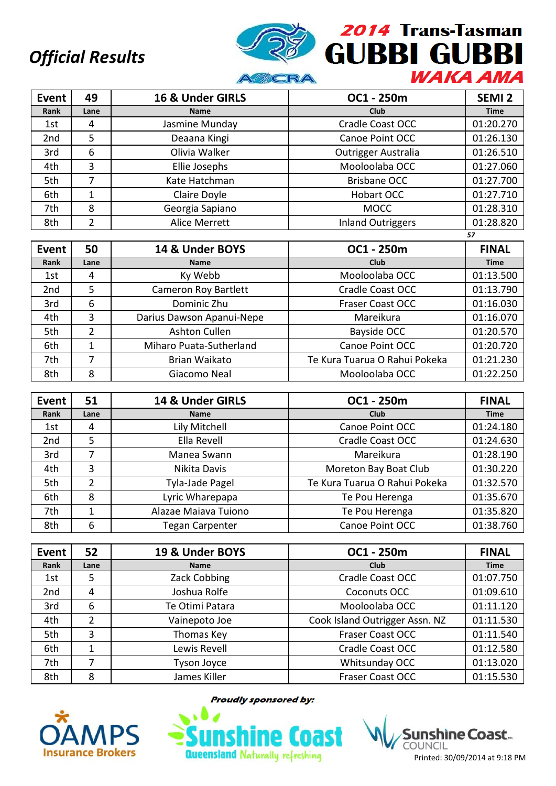

| <b>Event</b>    | 49   | 16 & Under GIRLS | OC1 - 250m                 | SEMI <sub>2</sub> |
|-----------------|------|------------------|----------------------------|-------------------|
| Rank            | Lane | <b>Name</b>      | <b>Club</b>                | <b>Time</b>       |
| 1st             | 4    | Jasmine Munday   | <b>Cradle Coast OCC</b>    | 01:20.270         |
| 2 <sub>nd</sub> | 5    | Deaana Kingi     | Canoe Point OCC            | 01:26.130         |
| 3rd             | 6    | Olivia Walker    | <b>Outrigger Australia</b> | 01:26.510         |
| 4th             | 3    | Ellie Josephs    | Mooloolaba OCC             | 01:27.060         |
| 5th             |      | Kate Hatchman    | <b>Brisbane OCC</b>        | 01:27.700         |
| 6th             |      | Claire Doyle     | Hobart OCC                 | 01:27.710         |
| 7th             | 8    | Georgia Sapiano  | <b>MOCC</b>                | 01:28.310         |
| 8th             | າ    | Alice Merrett    | <b>Inland Outriggers</b>   | 01:28.820         |

|                 |      |                           |                               | 57           |
|-----------------|------|---------------------------|-------------------------------|--------------|
| Event           | 50   | 14 & Under BOYS           | OC1 - 250m                    | <b>FINAL</b> |
| Rank            | Lane | <b>Name</b>               | <b>Club</b>                   | <b>Time</b>  |
| 1st             | 4    | Ky Webb                   | Mooloolaba OCC                | 01:13.500    |
| 2 <sub>nd</sub> | 5    | Cameron Roy Bartlett      | Cradle Coast OCC              | 01:13.790    |
| 3rd             | 6    | Dominic Zhu               | <b>Fraser Coast OCC</b>       | 01:16.030    |
| 4th             | 3    | Darius Dawson Apanui-Nepe | Mareikura                     | 01:16.070    |
| 5th             | 2    | Ashton Cullen             | Bayside OCC                   | 01:20.570    |
| 6th             | 1    | Miharo Puata-Sutherland   | Canoe Point OCC               | 01:20.720    |
| 7th             | 7    | Brian Waikato             | Te Kura Tuarua O Rahui Pokeka | 01:21.230    |
| 8th             | 8    | Giacomo Neal              | Mooloolaba OCC                | 01:22.250    |

| Event           | 51             | 14 & Under GIRLS       | OC1 - 250m                    | <b>FINAL</b> |
|-----------------|----------------|------------------------|-------------------------------|--------------|
| Rank            | Lane           | <b>Name</b>            | Club                          | <b>Time</b>  |
| 1st             | 4              | Lily Mitchell          | Canoe Point OCC               | 01:24.180    |
| 2 <sub>nd</sub> | 5              | Ella Revell            | Cradle Coast OCC              | 01:24.630    |
| 3rd             |                | Manea Swann            | Mareikura                     | 01:28.190    |
| 4th             | 3              | Nikita Davis           | Moreton Bay Boat Club         | 01:30.220    |
| 5th             | $\overline{2}$ | Tyla-Jade Pagel        | Te Kura Tuarua O Rahui Pokeka | 01:32.570    |
| 6th             | 8              | Lyric Wharepapa        | Te Pou Herenga                | 01:35.670    |
| 7th             | 1              | Alazae Maiava Tuiono   | Te Pou Herenga                | 01:35.820    |
| 8th             | 6              | <b>Tegan Carpenter</b> | Canoe Point OCC               | 01:38.760    |

| <b>Event</b> | 52   | 19 & Under BOYS    | OC1 - 250m                     | <b>FINAL</b> |
|--------------|------|--------------------|--------------------------------|--------------|
| Rank         | Lane | <b>Name</b>        | Club                           | <b>Time</b>  |
| 1st          | 5    | Zack Cobbing       | <b>Cradle Coast OCC</b>        | 01:07.750    |
| 2nd          | 4    | Joshua Rolfe       | Coconuts OCC                   | 01:09.610    |
| 3rd          | 6    | Te Otimi Patara    | Mooloolaba OCC                 | 01:11.120    |
| 4th          | 2    | Vainepoto Joe      | Cook Island Outrigger Assn. NZ | 01:11.530    |
| 5th          | 3    | Thomas Key         | <b>Fraser Coast OCC</b>        | 01:11.540    |
| 6th          |      | Lewis Revell       | Cradle Coast OCC               | 01:12.580    |
| 7th          |      | <b>Tyson Joyce</b> | Whitsunday OCC                 | 01:13.020    |
| 8th          | 8    | James Killer       | <b>Fraser Coast OCC</b>        | 01:15.530    |



**Proudly sponsored by:** 

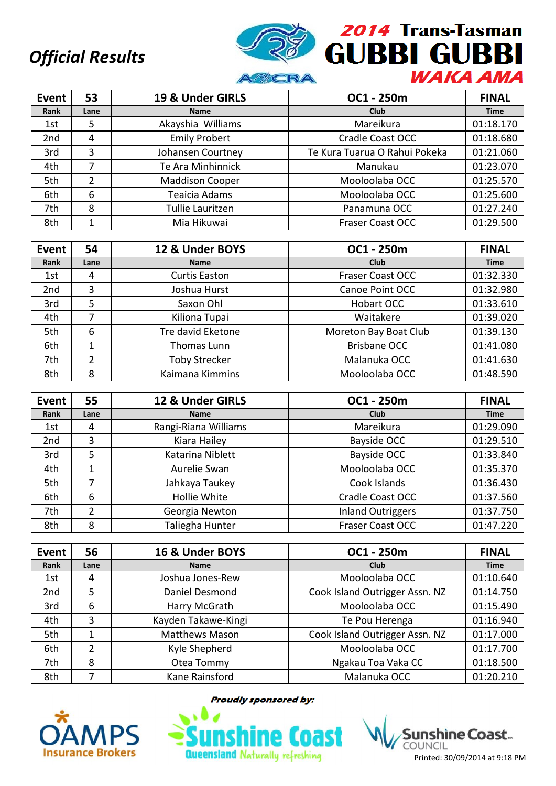

| <b>Event</b>    | 53   | 19 & Under GIRLS       | OC1 - 250m                    | <b>FINAL</b> |
|-----------------|------|------------------------|-------------------------------|--------------|
| Rank            | Lane | <b>Name</b>            | <b>Club</b>                   | <b>Time</b>  |
| 1st             | 5    | Akayshia Williams      | Mareikura                     | 01:18.170    |
| 2 <sub>nd</sub> | 4    | <b>Emily Probert</b>   | <b>Cradle Coast OCC</b>       | 01:18.680    |
| 3rd             | 3    | Johansen Courtney      | Te Kura Tuarua O Rahui Pokeka | 01:21.060    |
| 4th             | 7    | Te Ara Minhinnick      | Manukau                       | 01:23.070    |
| 5th             | 2    | <b>Maddison Cooper</b> | Mooloolaba OCC                | 01:25.570    |
| 6th             | 6    | Teaicia Adams          | Mooloolaba OCC                | 01:25.600    |
| 7th             | 8    | Tullie Lauritzen       | Panamuna OCC                  | 01:27.240    |
| 8th             |      | Mia Hikuwai            | <b>Fraser Coast OCC</b>       | 01:29.500    |

| Event | 54   | 12 & Under BOYS      | OC1 - 250m              | <b>FINAL</b> |
|-------|------|----------------------|-------------------------|--------------|
| Rank  | Lane | <b>Name</b>          | Club                    | <b>Time</b>  |
| 1st   | 4    | <b>Curtis Easton</b> | <b>Fraser Coast OCC</b> | 01:32.330    |
| 2nd   | 3    | Joshua Hurst         | Canoe Point OCC         | 01:32.980    |
| 3rd   | 5    | Saxon Ohl            | <b>Hobart OCC</b>       | 01:33.610    |
| 4th   |      | Kiliona Tupai        | Waitakere               | 01:39.020    |
| 5th   | 6    | Tre david Eketone    | Moreton Bay Boat Club   | 01:39.130    |
| 6th   |      | Thomas Lunn          | <b>Brisbane OCC</b>     | 01:41.080    |
| 7th   | 2    | <b>Toby Strecker</b> | Malanuka OCC            | 01:41.630    |
| 8th   | 8    | Kaimana Kimmins      | Mooloolaba OCC          | 01:48.590    |

| Event | 55             | 12 & Under GIRLS     | OC1 - 250m               | <b>FINAL</b> |
|-------|----------------|----------------------|--------------------------|--------------|
| Rank  | Lane           | <b>Name</b>          | <b>Club</b>              | <b>Time</b>  |
| 1st   | 4              | Rangi-Riana Williams | Mareikura                | 01:29.090    |
| 2nd   | 3              | Kiara Hailey         | Bayside OCC              | 01:29.510    |
| 3rd   | 5              | Katarina Niblett     | Bayside OCC              | 01:33.840    |
| 4th   |                | Aurelie Swan         | Mooloolaba OCC           | 01:35.370    |
| 5th   |                | Jahkaya Taukey       | Cook Islands             | 01:36.430    |
| 6th   | 6              | Hollie White         | <b>Cradle Coast OCC</b>  | 01:37.560    |
| 7th   | $\overline{2}$ | Georgia Newton       | <b>Inland Outriggers</b> | 01:37.750    |
| 8th   | 8              | Taliegha Hunter      | <b>Fraser Coast OCC</b>  | 01:47.220    |

| Event           | 56   | 16 & Under BOYS       | OC1 - 250m                     | <b>FINAL</b> |
|-----------------|------|-----------------------|--------------------------------|--------------|
| Rank            | Lane | <b>Name</b>           | <b>Club</b>                    | <b>Time</b>  |
| 1st             | 4    | Joshua Jones-Rew      | Mooloolaba OCC                 | 01:10.640    |
| 2 <sub>nd</sub> | 5    | Daniel Desmond        | Cook Island Outrigger Assn. NZ | 01:14.750    |
| 3rd             | 6    | Harry McGrath         | Mooloolaba OCC                 | 01:15.490    |
| 4th             | 3    | Kayden Takawe-Kingi   | Te Pou Herenga                 | 01:16.940    |
| 5th             |      | <b>Matthews Mason</b> | Cook Island Outrigger Assn. NZ | 01:17.000    |
| 6th             | 2    | Kyle Shepherd         | Mooloolaba OCC                 | 01:17.700    |
| 7th             | 8    | Otea Tommy            | Ngakau Toa Vaka CC             | 01:18.500    |
| 8th             |      | Kane Rainsford        | Malanuka OCC                   | 01:20.210    |



**Proudly sponsored by:** 



**Sunshine Coast COUNCIL** Printed: 30/09/2014 at 9:18 PM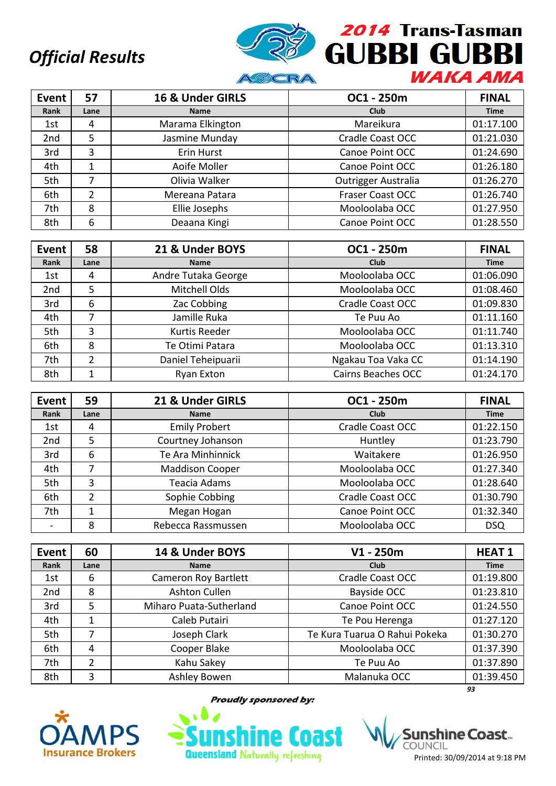

| <b>Event</b>    | 57   | 16 & Under GIRLS | OC1 - 250m                 | <b>FINAL</b> |
|-----------------|------|------------------|----------------------------|--------------|
| Rank            | Lane | <b>Name</b>      | <b>Club</b>                | <b>Time</b>  |
| 1st             | 4    | Marama Elkington | Mareikura                  | 01:17.100    |
| 2 <sub>nd</sub> | 5    | Jasmine Munday   | <b>Cradle Coast OCC</b>    | 01:21.030    |
| 3rd             | 3    | Erin Hurst       | Canoe Point OCC            | 01:24.690    |
| 4th             | 1    | Aoife Moller     | Canoe Point OCC            | 01:26.180    |
| 5th             | 7    | Olivia Walker    | <b>Outrigger Australia</b> | 01:26.270    |
| 6th             | 2    | Mereana Patara   | <b>Fraser Coast OCC</b>    | 01:26.740    |
| 7th             | 8    | Ellie Josephs    | Mooloolaba OCC             | 01:27.950    |
| 8th             | 6    | Deaana Kingi     | Canoe Point OCC            | 01:28.550    |

| <b>Event</b>    | 58   | 21 & Under BOYS     | OC1 - 250m                | <b>FINAL</b> |
|-----------------|------|---------------------|---------------------------|--------------|
| Rank            | Lane | <b>Name</b>         | <b>Club</b>               | <b>Time</b>  |
| 1st             | 4    | Andre Tutaka George | Mooloolaba OCC            | 01:06.090    |
| 2 <sub>nd</sub> | 5    | Mitchell Olds       | Mooloolaba OCC            | 01:08.460    |
| 3rd             | 6    | Zac Cobbing         | Cradle Coast OCC          | 01:09.830    |
| 4th             |      | Jamille Ruka        | Te Puu Ao                 | 01:11.160    |
| 5th             | 3    | Kurtis Reeder       | Mooloolaba OCC            | 01:11.740    |
| 6th             | 8    | Te Otimi Patara     | Mooloolaba OCC            | 01:13.310    |
| 7th             | 2    | Daniel Teheipuarii  | Ngakau Toa Vaka CC        | 01:14.190    |
| 8th             | 1    | Ryan Exton          | <b>Cairns Beaches OCC</b> | 01:24.170    |

| Event                    | 59   | 21 & Under GIRLS       | OC1 - 250m              | <b>FINAL</b> |
|--------------------------|------|------------------------|-------------------------|--------------|
| Rank                     | Lane | <b>Name</b>            | Club                    | <b>Time</b>  |
| 1st                      | 4    | <b>Emily Probert</b>   | Cradle Coast OCC        | 01:22.150    |
| 2nd                      | 5    | Courtney Johanson      | Huntley                 | 01:23.790    |
| 3rd                      | 6    | Te Ara Minhinnick      | Waitakere               | 01:26.950    |
| 4th                      | 7    | <b>Maddison Cooper</b> | Mooloolaba OCC          | 01:27.340    |
| 5th                      | 3    | Teacia Adams           | Mooloolaba OCC          | 01:28.640    |
| 6th                      | 2    | Sophie Cobbing         | <b>Cradle Coast OCC</b> | 01:30.790    |
| 7th                      |      | Megan Hogan            | Canoe Point OCC         | 01:32.340    |
| $\overline{\phantom{0}}$ | 8    | Rebecca Rassmussen     | Mooloolaba OCC          | <b>DSQ</b>   |

| <b>Event</b>    | 60             | 14 & Under BOYS             | $V1 - 250m$                   | <b>HEAT1</b> |
|-----------------|----------------|-----------------------------|-------------------------------|--------------|
| Rank            | Lane           | <b>Name</b>                 | <b>Club</b>                   | <b>Time</b>  |
| 1st             | 6              | <b>Cameron Roy Bartlett</b> | Cradle Coast OCC              | 01:19.800    |
| 2 <sub>nd</sub> | 8              | Ashton Cullen               | <b>Bayside OCC</b>            | 01:23.810    |
| 3rd             | 5              | Miharo Puata-Sutherland     | Canoe Point OCC               | 01:24.550    |
| 4th             | 1              | Caleb Putairi               | Te Pou Herenga                | 01:27.120    |
| 5th             |                | Joseph Clark                | Te Kura Tuarua O Rahui Pokeka | 01:30.270    |
| 6th             | 4              | Cooper Blake                | Mooloolaba OCC                | 01:37.390    |
| 7th             | $\overline{2}$ | Kahu Sakey                  | Te Puu Ao                     | 01:37.890    |
| 8th             | 3              | Ashley Bowen                | Malanuka OCC                  | 01:39.450    |
|                 |                |                             |                               | 93           |



**Proudly sponsored by:** 



Printed: 30/09/2014 at 9:18 PM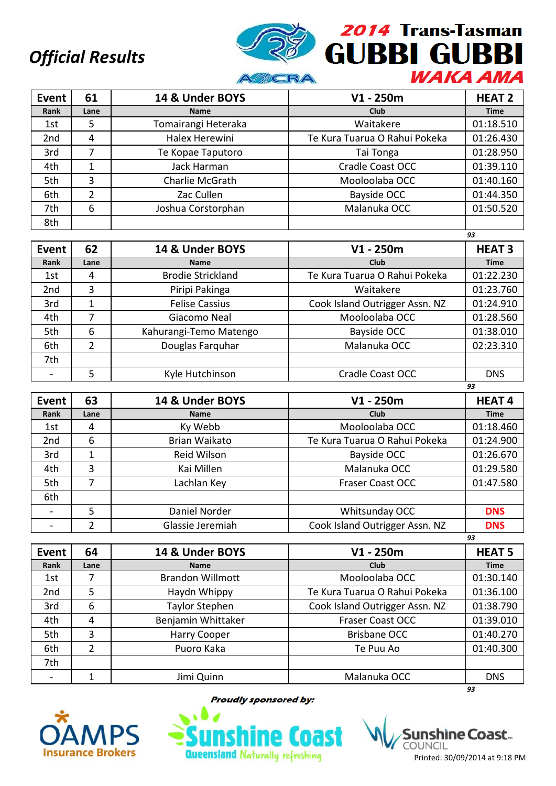

| Event | 61             | 14 & Under BOYS     | $V1 - 250m$                   | <b>HEAT 2</b> |
|-------|----------------|---------------------|-------------------------------|---------------|
| Rank  | Lane           | <b>Name</b>         | Club                          | <b>Time</b>   |
| 1st   | 5              | Tomairangi Heteraka | Waitakere                     | 01:18.510     |
| 2nd   | 4              | Halex Herewini      | Te Kura Tuarua O Rahui Pokeka | 01:26.430     |
| 3rd   | 7              | Te Kopae Taputoro   | Tai Tonga                     | 01:28.950     |
| 4th   | 1              | Jack Harman         | <b>Cradle Coast OCC</b>       | 01:39.110     |
| 5th   | 3              | Charlie McGrath     | Mooloolaba OCC                | 01:40.160     |
| 6th   | $\overline{2}$ | Zac Cullen          | Bayside OCC                   | 01:44.350     |
| 7th   | 6              | Joshua Corstorphan  | Malanuka OCC                  | 01:50.520     |
| 8th   |                |                     |                               |               |

|                 |      |                          |                                | 93            |
|-----------------|------|--------------------------|--------------------------------|---------------|
| Event           | 62   | 14 & Under BOYS          | $V1 - 250m$                    | <b>HEAT 3</b> |
| Rank            | Lane | <b>Name</b>              | Club                           | <b>Time</b>   |
| 1st             | 4    | <b>Brodie Strickland</b> | Te Kura Tuarua O Rahui Pokeka  | 01:22.230     |
| 2 <sub>nd</sub> | 3    | Piripi Pakinga           | Waitakere                      | 01:23.760     |
| 3rd             | 1    | <b>Felise Cassius</b>    | Cook Island Outrigger Assn. NZ | 01:24.910     |
| 4th             |      | Giacomo Neal             | Mooloolaba OCC                 | 01:28.560     |
| 5th             | 6    | Kahurangi-Temo Matengo   | Bayside OCC                    | 01:38.010     |
| 6th             | 2    | Douglas Farquhar         | Malanuka OCC                   | 02:23.310     |
| 7th             |      |                          |                                |               |
|                 | 5    | Kyle Hutchinson          | <b>Cradle Coast OCC</b>        | <b>DNS</b>    |

| Event           | 63   | 14 & Under BOYS  | $V1 - 250m$                    | <b>HEAT4</b> |
|-----------------|------|------------------|--------------------------------|--------------|
| Rank            | Lane | <b>Name</b>      | <b>Club</b>                    | <b>Time</b>  |
| 1st             | 4    | Ky Webb          | Mooloolaba OCC                 | 01:18.460    |
| 2 <sub>nd</sub> | 6    | Brian Waikato    | Te Kura Tuarua O Rahui Pokeka  | 01:24.900    |
| 3rd             |      | Reid Wilson      | Bayside OCC                    | 01:26.670    |
| 4th             | 3    | Kai Millen       | Malanuka OCC                   | 01:29.580    |
| 5th             | 7    | Lachlan Key      | <b>Fraser Coast OCC</b>        | 01:47.580    |
| 6th             |      |                  |                                |              |
|                 | 5    | Daniel Norder    | Whitsunday OCC                 | <b>DNS</b>   |
|                 | 2    | Glassie Jeremiah | Cook Island Outrigger Assn. NZ | <b>DNS</b>   |
|                 |      |                  |                                | 93           |

| <b>Event</b>    | 64   | 14 & Under BOYS         | $V1 - 250m$                    | <b>HEAT 5</b> |
|-----------------|------|-------------------------|--------------------------------|---------------|
| Rank            | Lane | <b>Name</b>             | Club                           | <b>Time</b>   |
| 1st             |      | <b>Brandon Willmott</b> | Mooloolaba OCC                 | 01:30.140     |
| 2 <sub>nd</sub> | 5    | Haydn Whippy            | Te Kura Tuarua O Rahui Pokeka  | 01:36.100     |
| 3rd             | 6    | <b>Taylor Stephen</b>   | Cook Island Outrigger Assn. NZ | 01:38.790     |
| 4th             | 4    | Benjamin Whittaker      | <b>Fraser Coast OCC</b>        | 01:39.010     |
| 5th             | 3    | Harry Cooper            | <b>Brisbane OCC</b>            | 01:40.270     |
| 6th             | 2    | Puoro Kaka              | Te Puu Ao                      | 01:40.300     |
| 7th             |      |                         |                                |               |
|                 |      | Jimi Quinn              | Malanuka OCC                   | <b>DNS</b>    |
|                 |      |                         |                                | 93            |



**Proudly sponsored by:** 

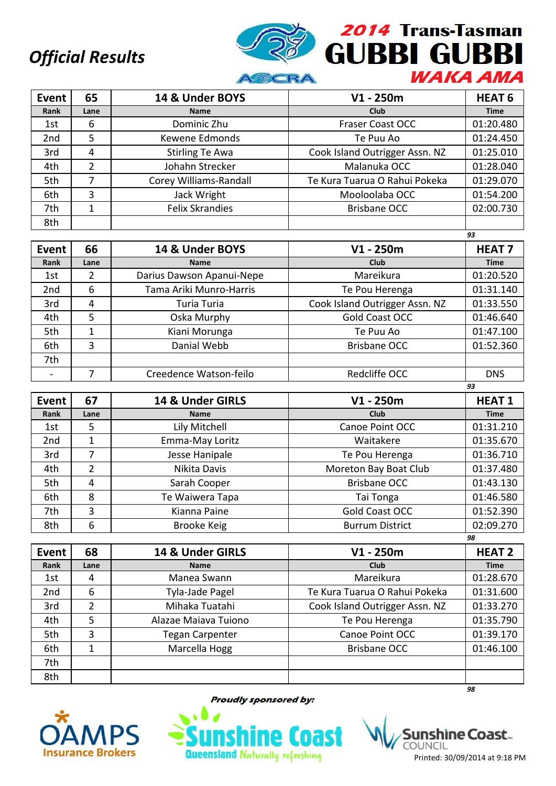

| Event           | 65   | 14 & Under BOYS        | $V1 - 250m$                    | HEAT <sub>6</sub> |
|-----------------|------|------------------------|--------------------------------|-------------------|
| Rank            | Lane | <b>Name</b>            | <b>Club</b>                    | <b>Time</b>       |
| 1st             | 6    | Dominic Zhu            | <b>Fraser Coast OCC</b>        | 01:20.480         |
| 2 <sub>nd</sub> | 5    | Kewene Edmonds         | Te Puu Ao                      | 01:24.450         |
| 3rd             | 4    | <b>Stirling Te Awa</b> | Cook Island Outrigger Assn. NZ | 01:25.010         |
| 4th             | 2    | Johahn Strecker        | Malanuka OCC                   | 01:28.040         |
| 5th             |      | Corey Williams-Randall | Te Kura Tuarua O Rahui Pokeka  | 01:29.070         |
| 6th             | 3    | Jack Wright            | Mooloolaba OCC                 | 01:54.200         |
| 7th             | 1    | <b>Felix Skrandies</b> | <b>Brisbane OCC</b>            | 02:00.730         |
| 8th             |      |                        |                                |                   |

|                 |      |                           |                                | 93            |
|-----------------|------|---------------------------|--------------------------------|---------------|
| Event           | 66   | 14 & Under BOYS           | $V1 - 250m$                    | <b>HEAT 7</b> |
| Rank            | Lane | <b>Name</b>               | <b>Club</b>                    | <b>Time</b>   |
| 1st             | 2    | Darius Dawson Apanui-Nepe | Mareikura                      | 01:20.520     |
| 2 <sub>nd</sub> | 6    | Tama Ariki Munro-Harris   | Te Pou Herenga                 | 01:31.140     |
| 3rd             | 4    | Turia Turia               | Cook Island Outrigger Assn. NZ | 01:33.550     |
| 4th             | 5    | Oska Murphy               | Gold Coast OCC                 | 01:46.640     |
| 5th             | 1    | Kiani Morunga             | Te Puu Ao                      | 01:47.100     |
| 6th             | 3    | Danial Webb               | <b>Brisbane OCC</b>            | 01:52.360     |
| 7th             |      |                           |                                |               |
|                 |      | Creedence Watson-feilo    | Redcliffe OCC                  | <b>DNS</b>    |

| Event           | 67   | 14 & Under GIRLS | $V1 - 250m$            | <b>HEAT1</b> |
|-----------------|------|------------------|------------------------|--------------|
| Rank            | Lane | <b>Name</b>      | Club                   | <b>Time</b>  |
| 1st             | 5.   | Lily Mitchell    | Canoe Point OCC        | 01:31.210    |
| 2 <sub>nd</sub> |      | Emma-May Loritz  | Waitakere              | 01:35.670    |
| 3rd             | 7    | Jesse Hanipale   | Te Pou Herenga         | 01:36.710    |
| 4th             | 2    | Nikita Davis     | Moreton Bay Boat Club  | 01:37.480    |
| 5th             | 4    | Sarah Cooper     | <b>Brisbane OCC</b>    | 01:43.130    |
| 6th             | 8    | Te Waiwera Tapa  | Tai Tonga              | 01:46.580    |
| 7th             | 3    | Kianna Paine     | Gold Coast OCC         | 01:52.390    |
| 8th             | 6    | Brooke Keig      | <b>Burrum District</b> | 02:09.270    |
|                 |      |                  |                        | 98           |

| <b>Event</b>    | 68   | 14 & Under GIRLS       | $V1 - 250m$                    | <b>HEAT 2</b> |
|-----------------|------|------------------------|--------------------------------|---------------|
| Rank            | Lane | <b>Name</b>            | Club                           | <b>Time</b>   |
| 1st             | 4    | Manea Swann            | Mareikura                      | 01:28.670     |
| 2 <sub>nd</sub> | 6    | Tyla-Jade Pagel        | Te Kura Tuarua O Rahui Pokeka  | 01:31.600     |
| 3rd             | 2    | Mihaka Tuatahi         | Cook Island Outrigger Assn. NZ | 01:33.270     |
| 4th             | 5    | Alazae Maiava Tuiono   | Te Pou Herenga                 | 01:35.790     |
| 5th             | 3    | <b>Tegan Carpenter</b> | Canoe Point OCC                | 01:39.170     |
| 6th             | 1    | Marcella Hogg          | <b>Brisbane OCC</b>            | 01:46.100     |
| 7th             |      |                        |                                |               |
| 8th             |      |                        |                                |               |
|                 |      |                        |                                | 98            |



**Proudly sponsored by:** 



shìne Coast… COUNCIL Printed: 30/09/2014 at 9:18 PM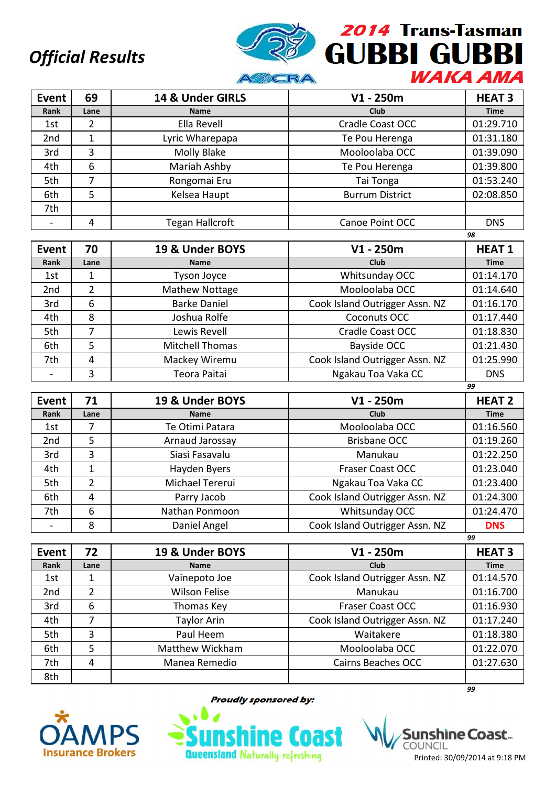

| <b>Event</b>    | 69   | 14 & Under GIRLS       | $V1 - 250m$            | <b>HEAT3</b> |
|-----------------|------|------------------------|------------------------|--------------|
| Rank            | Lane | <b>Name</b>            | <b>Club</b>            | <b>Time</b>  |
| 1st             | 2    | Ella Revell            | Cradle Coast OCC       | 01:29.710    |
| 2 <sub>nd</sub> |      | Lyric Wharepapa        | Te Pou Herenga         | 01:31.180    |
| 3rd             | 3    | Molly Blake            | Mooloolaba OCC         | 01:39.090    |
| 4th             | 6    | Mariah Ashby           | Te Pou Herenga         | 01:39.800    |
| 5th             | 7    | Rongomai Eru           | Tai Tonga              | 01:53.240    |
| 6th             | 5    | Kelsea Haupt           | <b>Burrum District</b> | 02:08.850    |
| 7th             |      |                        |                        |              |
|                 | 4    | <b>Tegan Hallcroft</b> | Canoe Point OCC        | <b>DNS</b>   |
|                 |      |                        |                        | 98           |

| Event | 70   | 19 & Under BOYS        | $V1 - 250m$                    | <b>HEAT1</b> |
|-------|------|------------------------|--------------------------------|--------------|
| Rank  | Lane | <b>Name</b>            | <b>Club</b>                    | <b>Time</b>  |
| 1st   |      | <b>Tyson Joyce</b>     | Whitsunday OCC                 | 01:14.170    |
| 2nd   | 2    | Mathew Nottage         | Mooloolaba OCC                 | 01:14.640    |
| 3rd   | 6    | <b>Barke Daniel</b>    | Cook Island Outrigger Assn. NZ | 01:16.170    |
| 4th   | 8    | Joshua Rolfe           | Coconuts OCC                   | 01:17.440    |
| 5th   |      | Lewis Revell           | <b>Cradle Coast OCC</b>        | 01:18.830    |
| 6th   | 5    | <b>Mitchell Thomas</b> | Bayside OCC                    | 01:21.430    |
| 7th   | 4    | Mackey Wiremu          | Cook Island Outrigger Assn. NZ | 01:25.990    |
|       | 3    | Teora Paitai           | Ngakau Toa Vaka CC             | <b>DNS</b>   |
|       |      |                        |                                | 99           |

| Event           | 71             | 19 & Under BOYS | $V1 - 250m$                    | <b>HEAT 2</b> |
|-----------------|----------------|-----------------|--------------------------------|---------------|
| Rank            | Lane           | <b>Name</b>     | <b>Club</b>                    | <b>Time</b>   |
| 1st             |                | Te Otimi Patara | Mooloolaba OCC                 | 01:16.560     |
| 2 <sub>nd</sub> | 5              | Arnaud Jarossay | <b>Brisbane OCC</b>            | 01:19.260     |
| 3rd             | 3              | Siasi Fasavalu  | Manukau                        | 01:22.250     |
| 4th             | 1              | Hayden Byers    | <b>Fraser Coast OCC</b>        | 01:23.040     |
| 5th             | $\overline{2}$ | Michael Tererui | Ngakau Toa Vaka CC             | 01:23.400     |
| 6th             | 4              | Parry Jacob     | Cook Island Outrigger Assn. NZ | 01:24.300     |
| 7th             | 6              | Nathan Ponmoon  | Whitsunday OCC                 | 01:24.470     |
|                 | 8              | Daniel Angel    | Cook Island Outrigger Assn. NZ | <b>DNS</b>    |
|                 |                |                 |                                | 99            |

| Event | 72   | 19 & Under BOYS    | $V1 - 250m$                    | <b>HEAT3</b> |
|-------|------|--------------------|--------------------------------|--------------|
| Rank  | Lane | <b>Name</b>        | Club                           | <b>Time</b>  |
| 1st   | 1    | Vainepoto Joe      | Cook Island Outrigger Assn. NZ | 01:14.570    |
| 2nd   | 2    | Wilson Felise      | Manukau                        | 01:16.700    |
| 3rd   | 6    | Thomas Key         | <b>Fraser Coast OCC</b>        | 01:16.930    |
| 4th   | 7    | <b>Taylor Arin</b> | Cook Island Outrigger Assn. NZ | 01:17.240    |
| 5th   | 3    | Paul Heem          | Waitakere                      | 01:18.380    |
| 6th   | 5    | Matthew Wickham    | Mooloolaba OCC                 | 01:22.070    |
| 7th   | 4    | Manea Remedio      | <b>Cairns Beaches OCC</b>      | 01:27.630    |
| 8th   |      |                    |                                |              |



**Proudly sponsored by:** 



Printed: 30/09/2014 at 9:18 PM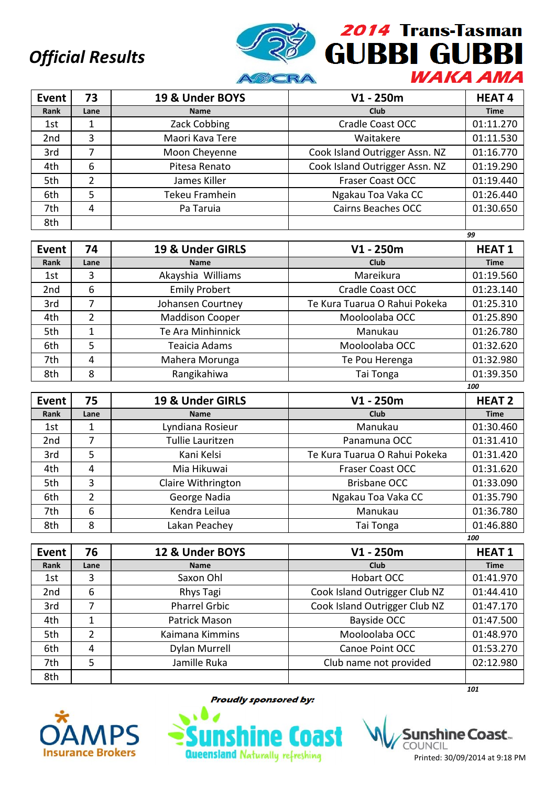

| Event | 73   | 19 & Under BOYS | $V1 - 250m$                    | <b>HEAT4</b> |
|-------|------|-----------------|--------------------------------|--------------|
| Rank  | Lane | <b>Name</b>     | Club                           | <b>Time</b>  |
| 1st   | 1    | Zack Cobbing    | <b>Cradle Coast OCC</b>        | 01:11.270    |
| 2nd   | 3    | Maori Kava Tere | Waitakere                      | 01:11.530    |
| 3rd   |      | Moon Cheyenne   | Cook Island Outrigger Assn. NZ | 01:16.770    |
| 4th   | 6    | Pitesa Renato   | Cook Island Outrigger Assn. NZ | 01:19.290    |
| 5th   | 2    | James Killer    | <b>Fraser Coast OCC</b>        | 01:19.440    |
| 6th   | 5    | Tekeu Framhein  | Ngakau Toa Vaka CC             | 01:26.440    |
| 7th   | 4    | Pa Taruia       | <b>Cairns Beaches OCC</b>      | 01:30.650    |
| 8th   |      |                 |                                |              |

|                 |               |                        |                               | 99           |
|-----------------|---------------|------------------------|-------------------------------|--------------|
| Event           | 74            | 19 & Under GIRLS       | $V1 - 250m$                   | <b>HEAT1</b> |
| Rank            | Lane          | <b>Name</b>            | <b>Club</b>                   | <b>Time</b>  |
| 1st             | 3             | Akayshia Williams      | Mareikura                     | 01:19.560    |
| 2 <sub>nd</sub> | 6             | <b>Emily Probert</b>   | Cradle Coast OCC              | 01:23.140    |
| 3rd             | 7             | Johansen Courtney      | Te Kura Tuarua O Rahui Pokeka | 01:25.310    |
| 4th             | $\mathcal{P}$ | <b>Maddison Cooper</b> | Mooloolaba OCC                | 01:25.890    |
| 5th             |               | Te Ara Minhinnick      | Manukau                       | 01:26.780    |
| 6th             | 5             | Teaicia Adams          | Mooloolaba OCC                | 01:32.620    |
| 7th             | 4             | Mahera Morunga         | Te Pou Herenga                | 01:32.980    |
| 8th             | 8             | Rangikahiwa            | Tai Tonga                     | 01:39.350    |

| Event           | 75   | 19 & Under GIRLS   | $V1 - 250m$                   | <b>HEAT 2</b> |
|-----------------|------|--------------------|-------------------------------|---------------|
| Rank            | Lane | <b>Name</b>        | Club                          | <b>Time</b>   |
| 1st             |      | Lyndiana Rosieur   | Manukau                       | 01:30.460     |
| 2 <sub>nd</sub> | 7    | Tullie Lauritzen   | Panamuna OCC                  | 01:31.410     |
| 3rd             | 5    | Kani Kelsi         | Te Kura Tuarua O Rahui Pokeka | 01:31.420     |
| 4th             | 4    | Mia Hikuwai        | <b>Fraser Coast OCC</b>       | 01:31.620     |
| 5th             | 3    | Claire Withrington | <b>Brisbane OCC</b>           | 01:33.090     |
| 6th             | 2    | George Nadia       | Ngakau Toa Vaka CC            | 01:35.790     |
| 7th             | 6    | Kendra Leilua      | Manukau                       | 01:36.780     |
| 8th             | 8    | Lakan Peachey      | Tai Tonga                     | 01:46.880     |
|                 |      |                    |                               | 100           |

| <b>Event</b> | 76   | 12 & Under BOYS      | $V1 - 250m$                   | <b>HEAT1</b> |
|--------------|------|----------------------|-------------------------------|--------------|
| Rank         | Lane | <b>Name</b>          | Club                          | <b>Time</b>  |
| 1st          | 3    | Saxon Ohl            | Hobart OCC                    | 01:41.970    |
| 2nd          | 6    | Rhys Tagi            | Cook Island Outrigger Club NZ | 01:44.410    |
| 3rd          |      | <b>Pharrel Grbic</b> | Cook Island Outrigger Club NZ | 01:47.170    |
| 4th          |      | Patrick Mason        | <b>Bayside OCC</b>            | 01:47.500    |
| 5th          | 2    | Kaimana Kimmins      | Mooloolaba OCC                | 01:48.970    |
| 6th          | 4    | <b>Dylan Murrell</b> | Canoe Point OCC               | 01:53.270    |
| 7th          | 5    | Jamille Ruka         | Club name not provided        | 02:12.980    |
| 8th          |      |                      |                               |              |



**Proudly sponsored by:** 



*101*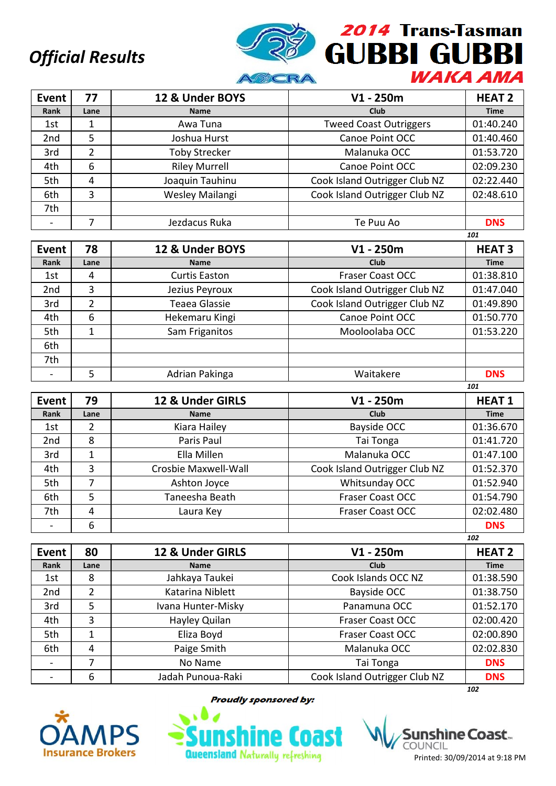

| <b>Event</b>    | 77   | 12 & Under BOYS      | $V1 - 250m$                   | <b>HEAT 2</b> |
|-----------------|------|----------------------|-------------------------------|---------------|
| Rank            | Lane | <b>Name</b>          | <b>Club</b>                   | <b>Time</b>   |
| 1st             | 1    | Awa Tuna             | <b>Tweed Coast Outriggers</b> | 01:40.240     |
| 2 <sub>nd</sub> | 5    | Joshua Hurst         | Canoe Point OCC               | 01:40.460     |
| 3rd             | 2    | <b>Toby Strecker</b> | Malanuka OCC                  | 01:53.720     |
| 4th             | 6    | <b>Riley Murrell</b> | Canoe Point OCC               | 02:09.230     |
| 5th             | 4    | Joaquin Tauhinu      | Cook Island Outrigger Club NZ | 02:22.440     |
| 6th             | 3    | Wesley Mailangi      | Cook Island Outrigger Club NZ | 02:48.610     |
| 7th             |      |                      |                               |               |
|                 | 7    | Jezdacus Ruka        | Te Puu Ao                     | <b>DNS</b>    |
|                 |      |                      |                               | 101           |
| Event           | 78   | 12 & Under BOYS      | $V1 - 250m$                   | <b>HEAT3</b>  |

| EVEIIL          | 10   | IZ & UIIUT DUTJ      | VI - ZJUIII                   | ПEAI Э      |
|-----------------|------|----------------------|-------------------------------|-------------|
| Rank            | Lane | <b>Name</b>          | Club                          | <b>Time</b> |
| 1st             | 4    | <b>Curtis Easton</b> | <b>Fraser Coast OCC</b>       | 01:38.810   |
| 2 <sub>nd</sub> | 3    | Jezius Peyroux       | Cook Island Outrigger Club NZ | 01:47.040   |
| 3rd             |      | Teaea Glassie        | Cook Island Outrigger Club NZ | 01:49.890   |
| 4th             | 6    | Hekemaru Kingi       | Canoe Point OCC               | 01:50.770   |
| 5th             |      | Sam Friganitos       | Mooloolaba OCC                | 01:53.220   |
| 6th             |      |                      |                               |             |
| 7th             |      |                      |                               |             |
|                 |      | Adrian Pakinga       | Waitakere                     | <b>DNS</b>  |

| Event           | 79   | 12 & Under GIRLS     | $V1 - 250m$                   | <b>HEAT1</b> |
|-----------------|------|----------------------|-------------------------------|--------------|
| Rank            | Lane | <b>Name</b>          | <b>Club</b>                   | <b>Time</b>  |
| 1st             | 2    | Kiara Hailey         | Bayside OCC                   | 01:36.670    |
| 2 <sub>nd</sub> | 8    | Paris Paul           | Tai Tonga                     | 01:41.720    |
| 3rd             | 1    | Ella Millen          | Malanuka OCC                  | 01:47.100    |
| 4th             | 3    | Crosbie Maxwell-Wall | Cook Island Outrigger Club NZ | 01:52.370    |
| 5th             | 7    | Ashton Joyce         | Whitsunday OCC                | 01:52.940    |
| 6th             | 5    | Taneesha Beath       | <b>Fraser Coast OCC</b>       | 01:54.790    |
| 7th             | 4    | Laura Key            | <b>Fraser Coast OCC</b>       | 02:02.480    |
|                 | 6    |                      |                               | <b>DNS</b>   |
|                 |      |                      |                               | 102          |

| <b>Event</b> | 80   | 12 & Under GIRLS   | $V1 - 250m$                   | <b>HEAT 2</b> |
|--------------|------|--------------------|-------------------------------|---------------|
| Rank         | Lane | <b>Name</b>        | Club                          | <b>Time</b>   |
| 1st          | 8    | Jahkaya Taukei     | Cook Islands OCC NZ           | 01:38.590     |
| 2nd          | 2    | Katarina Niblett   | Bayside OCC                   | 01:38.750     |
| 3rd          | 5    | Ivana Hunter-Misky | Panamuna OCC                  | 01:52.170     |
| 4th          | 3    | Hayley Quilan      | <b>Fraser Coast OCC</b>       | 02:00.420     |
| 5th          | 1    | Eliza Boyd         | <b>Fraser Coast OCC</b>       | 02:00.890     |
| 6th          | 4    | Paige Smith        | Malanuka OCC                  | 02:02.830     |
|              |      | No Name            | Tai Tonga                     | <b>DNS</b>    |
|              | 6    | Jadah Punoua-Raki  | Cook Island Outrigger Club NZ | <b>DNS</b>    |
|              |      |                    |                               | 102           |



**Proudly sponsored by:** 

**Queensland Naturally refreshing** 

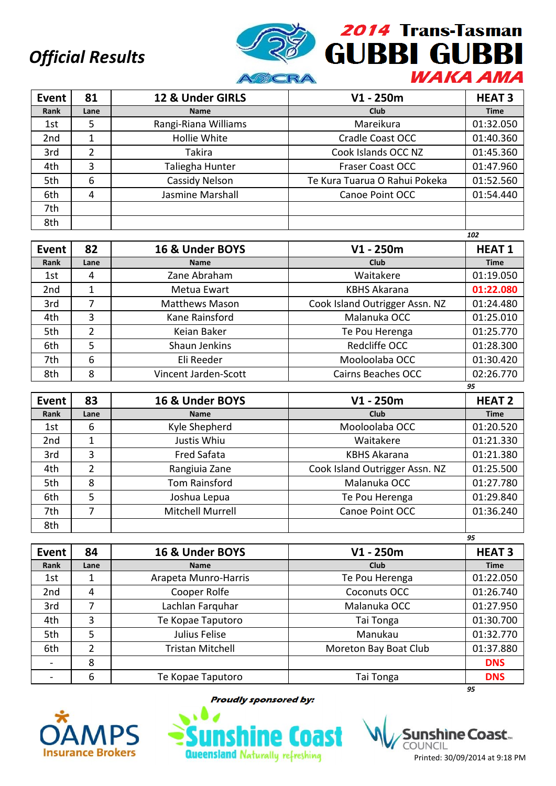

| Event           | 81   | 12 & Under GIRLS     | $V1 - 250m$                   | <b>HEAT 3</b> |
|-----------------|------|----------------------|-------------------------------|---------------|
| Rank            | Lane | <b>Name</b>          | Club                          | <b>Time</b>   |
| 1st             | 5    | Rangi-Riana Williams | Mareikura                     | 01:32.050     |
| 2 <sub>nd</sub> |      | Hollie White         | Cradle Coast OCC              | 01:40.360     |
| 3rd             | 2    | <b>Takira</b>        | Cook Islands OCC NZ           | 01:45.360     |
| 4th             | 3    | Taliegha Hunter      | <b>Fraser Coast OCC</b>       | 01:47.960     |
| 5th             | 6    | Cassidy Nelson       | Te Kura Tuarua O Rahui Pokeka | 01:52.560     |
| 6th             | 4    | Jasmine Marshall     | Canoe Point OCC               | 01:54.440     |
| 7th             |      |                      |                               |               |
| 8th             |      |                      |                               |               |

|                 |      |                       |                                | 102          |
|-----------------|------|-----------------------|--------------------------------|--------------|
| Event           | 82   | 16 & Under BOYS       | $V1 - 250m$                    | <b>HEAT1</b> |
| Rank            | Lane | <b>Name</b>           | <b>Club</b>                    | <b>Time</b>  |
| 1st             | 4    | Zane Abraham          | Waitakere                      | 01:19.050    |
| 2 <sub>nd</sub> |      | Metua Ewart           | <b>KBHS Akarana</b>            | 01:22.080    |
| 3rd             | 7    | <b>Matthews Mason</b> | Cook Island Outrigger Assn. NZ | 01:24.480    |
| 4th             | 3    | Kane Rainsford        | Malanuka OCC                   | 01:25.010    |
| 5th             | 2    | Keian Baker           | Te Pou Herenga                 | 01:25.770    |
| 6th             | 5    | Shaun Jenkins         | Redcliffe OCC                  | 01:28.300    |
| 7th             | 6    | Eli Reeder            | Mooloolaba OCC                 | 01:30.420    |
| 8th             | 8    | Vincent Jarden-Scott  | Cairns Beaches OCC             | 02:26.770    |
|                 |      |                       |                                | 95           |

| Event           | 83   | 16 & Under BOYS  | $V1 - 250m$                    | <b>HEAT 2</b> |
|-----------------|------|------------------|--------------------------------|---------------|
| Rank            | Lane | <b>Name</b>      | <b>Club</b>                    | <b>Time</b>   |
| 1st             | 6    | Kyle Shepherd    | Mooloolaba OCC                 | 01:20.520     |
| 2 <sub>nd</sub> |      | Justis Whiu      | Waitakere                      | 01:21.330     |
| 3rd             | 3    | Fred Safata      | <b>KBHS Akarana</b>            | 01:21.380     |
| 4th             | 2    | Rangiuia Zane    | Cook Island Outrigger Assn. NZ | 01:25.500     |
| 5th             | 8    | Tom Rainsford    | Malanuka OCC                   | 01:27.780     |
| 6th             | 5    | Joshua Lepua     | Te Pou Herenga                 | 01:29.840     |
| 7th             |      | Mitchell Murrell | Canoe Point OCC                | 01:36.240     |
| 8th             |      |                  |                                |               |

|                 |      |                         |                       | 95            |
|-----------------|------|-------------------------|-----------------------|---------------|
| <b>Event</b>    | 84   | 16 & Under BOYS         | $V1 - 250m$           | <b>HEAT 3</b> |
| Rank            | Lane | <b>Name</b>             | Club                  | <b>Time</b>   |
| 1st             | 1    | Arapeta Munro-Harris    | Te Pou Herenga        | 01:22.050     |
| 2 <sub>nd</sub> | 4    | Cooper Rolfe            | Coconuts OCC          | 01:26.740     |
| 3rd             |      | Lachlan Farquhar        | Malanuka OCC          | 01:27.950     |
| 4th             | 3    | Te Kopae Taputoro       | Tai Tonga             | 01:30.700     |
| 5th             | 5    | Julius Felise           | Manukau               | 01:32.770     |
| 6th             | 2    | <b>Tristan Mitchell</b> | Moreton Bay Boat Club | 01:37.880     |
|                 | 8    |                         |                       | <b>DNS</b>    |
|                 | 6    | Te Kopae Taputoro       | Tai Tonga             | <b>DNS</b>    |
|                 |      |                         |                       | 95            |



**Proudly sponsored by:** 



shine Coast... COUNCIL Printed: 30/09/2014 at 9:18 PM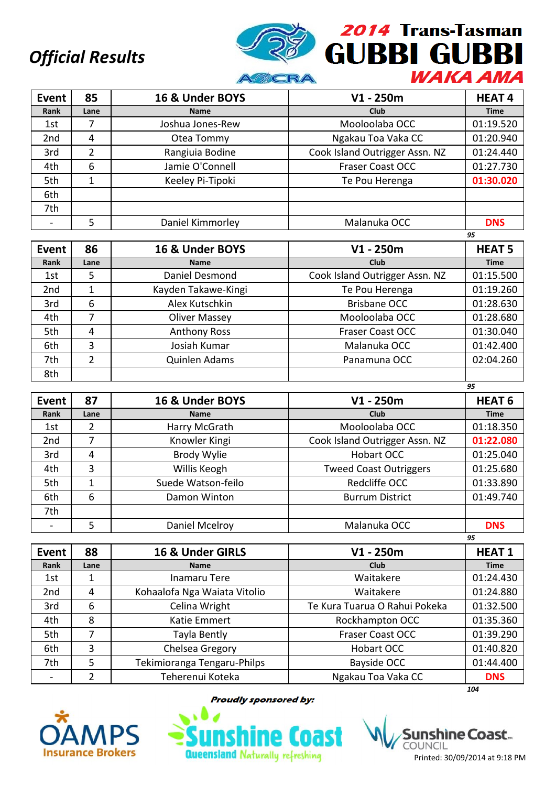

| <b>Event</b>    | 85   | 16 & Under BOYS  | $V1 - 250m$                    | <b>HEAT4</b> |
|-----------------|------|------------------|--------------------------------|--------------|
| Rank            | Lane | <b>Name</b>      | <b>Club</b>                    | <b>Time</b>  |
| 1st             |      | Joshua Jones-Rew | Mooloolaba OCC                 | 01:19.520    |
| 2 <sub>nd</sub> | 4    | Otea Tommy       | Ngakau Toa Vaka CC             | 01:20.940    |
| 3rd             | 2    | Rangiuia Bodine  | Cook Island Outrigger Assn. NZ | 01:24.440    |
| 4th             | 6    | Jamie O'Connell  | <b>Fraser Coast OCC</b>        | 01:27.730    |
| 5th             | 1    | Keeley Pi-Tipoki | Te Pou Herenga                 | 01:30.020    |
| 6th             |      |                  |                                |              |
| 7th             |      |                  |                                |              |
|                 |      | Daniel Kimmorley | Malanuka OCC                   | <b>DNS</b>   |

|                 |                |                      |                                | 95            |
|-----------------|----------------|----------------------|--------------------------------|---------------|
| Event           | 86             | 16 & Under BOYS      | $V1 - 250m$                    | <b>HEAT 5</b> |
| Rank            | Lane           | <b>Name</b>          | <b>Club</b>                    | <b>Time</b>   |
| 1st             | 5              | Daniel Desmond       | Cook Island Outrigger Assn. NZ | 01:15.500     |
| 2 <sub>nd</sub> |                | Kayden Takawe-Kingi  | Te Pou Herenga                 | 01:19.260     |
| 3rd             | 6              | Alex Kutschkin       | <b>Brisbane OCC</b>            | 01:28.630     |
| 4th             |                | <b>Oliver Massey</b> | Mooloolaba OCC                 | 01:28.680     |
| 5th             | 4              | <b>Anthony Ross</b>  | <b>Fraser Coast OCC</b>        | 01:30.040     |
| 6th             | 3              | Josiah Kumar         | Malanuka OCC                   | 01:42.400     |
| 7th             | $\overline{2}$ | Quinlen Adams        | Panamuna OCC                   | 02:04.260     |
| 8th             |                |                      |                                |               |

| Event           | 87   | 16 & Under BOYS    | $V1 - 250m$                    | <b>HEAT 6</b> |
|-----------------|------|--------------------|--------------------------------|---------------|
| Rank            | Lane | <b>Name</b>        | <b>Club</b>                    | <b>Time</b>   |
| 1st             | 2    | Harry McGrath      | Mooloolaba OCC                 | 01:18.350     |
| 2 <sub>nd</sub> | 7    | Knowler Kingi      | Cook Island Outrigger Assn. NZ | 01:22.080     |
| 3rd             | 4    | <b>Brody Wylie</b> | Hobart OCC                     | 01:25.040     |
| 4th             | 3    | Willis Keogh       | <b>Tweed Coast Outriggers</b>  | 01:25.680     |
| 5th             | 1    | Suede Watson-feilo | Redcliffe OCC                  | 01:33.890     |
| 6th             | 6    | Damon Winton       | <b>Burrum District</b>         | 01:49.740     |
| 7th             |      |                    |                                |               |
|                 | 5    | Daniel Mcelroy     | Malanuka OCC                   | <b>DNS</b>    |
|                 |      |                    |                                | 95            |

| <b>Event</b>    | 88   | 16 & Under GIRLS             | $V1 - 250m$                   | <b>HEAT1</b> |
|-----------------|------|------------------------------|-------------------------------|--------------|
| Rank            | Lane | <b>Name</b>                  | <b>Club</b>                   | <b>Time</b>  |
| 1st             | 1    | <b>Inamaru Tere</b>          | Waitakere                     | 01:24.430    |
| 2 <sub>nd</sub> | 4    | Kohaalofa Nga Waiata Vitolio | Waitakere                     | 01:24.880    |
| 3rd             | 6    | Celina Wright                | Te Kura Tuarua O Rahui Pokeka | 01:32.500    |
| 4th             | 8    | Katie Emmert                 | Rockhampton OCC               | 01:35.360    |
| 5th             |      | Tayla Bently                 | <b>Fraser Coast OCC</b>       | 01:39.290    |
| 6th             | 3    | Chelsea Gregory              | Hobart OCC                    | 01:40.820    |
| 7th             | 5    | Tekimioranga Tengaru-Philps  | Bayside OCC                   | 01:44.400    |
|                 |      | Teherenui Koteka             | Ngakau Toa Vaka CC            | <b>DNS</b>   |
|                 |      |                              |                               | 104          |



**Proudly sponsored by:** 



Printed: 30/09/2014 at 9:18 PM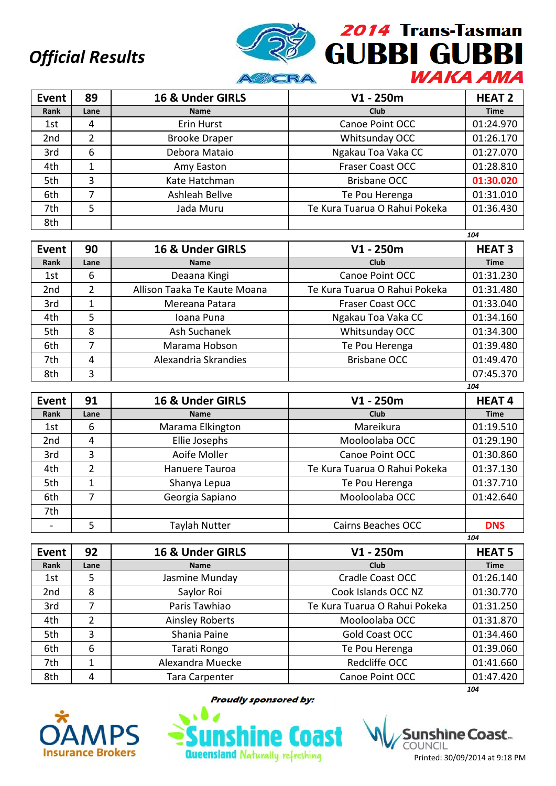

| Event           | 89   | 16 & Under GIRLS     | $V1 - 250m$                   | <b>HEAT 2</b> |
|-----------------|------|----------------------|-------------------------------|---------------|
| Rank            | Lane | <b>Name</b>          | <b>Club</b>                   | <b>Time</b>   |
| 1st             | 4    | Erin Hurst           | Canoe Point OCC               | 01:24.970     |
| 2 <sub>nd</sub> | 2    | <b>Brooke Draper</b> | Whitsunday OCC                | 01:26.170     |
| 3rd             | 6    | Debora Mataio        | Ngakau Toa Vaka CC            | 01:27.070     |
| 4th             |      | Amy Easton           | <b>Fraser Coast OCC</b>       | 01:28.810     |
| 5th             | 3    | Kate Hatchman        | <b>Brisbane OCC</b>           | 01:30.020     |
| 6th             | 7    | Ashleah Bellve       | Te Pou Herenga                | 01:31.010     |
| 7th             | 5    | Jada Muru            | Te Kura Tuarua O Rahui Pokeka | 01:36.430     |
| 8th             |      |                      |                               |               |

|                 |      |                              |                               | 104           |
|-----------------|------|------------------------------|-------------------------------|---------------|
| Event           | 90   | 16 & Under GIRLS             | $V1 - 250m$                   | <b>HEAT 3</b> |
| Rank            | Lane | <b>Name</b>                  | Club                          | <b>Time</b>   |
| 1st             | 6    | Deaana Kingi                 | Canoe Point OCC               | 01:31.230     |
| 2 <sub>nd</sub> | 2    | Allison Taaka Te Kaute Moana | Te Kura Tuarua O Rahui Pokeka | 01:31.480     |
| 3rd             |      | Mereana Patara               | <b>Fraser Coast OCC</b>       | 01:33.040     |
| 4th             | 5    | Ioana Puna                   | Ngakau Toa Vaka CC            | 01:34.160     |
| 5th             | 8    | Ash Suchanek                 | Whitsunday OCC                | 01:34.300     |
| 6th             |      | Marama Hobson                | Te Pou Herenga                | 01:39.480     |
| 7th             | 4    | Alexandria Skrandies         | <b>Brisbane OCC</b>           | 01:49.470     |
| 8th             | 3    |                              |                               | 07:45.370     |

| Event           | 91             | 16 & Under GIRLS | $V1 - 250m$                   | <b>HEAT4</b> |
|-----------------|----------------|------------------|-------------------------------|--------------|
| Rank            | Lane           | <b>Name</b>      | Club                          | <b>Time</b>  |
| 1st             | 6              | Marama Elkington | Mareikura                     | 01:19.510    |
| 2 <sub>nd</sub> | 4              | Ellie Josephs    | Mooloolaba OCC                | 01:29.190    |
| 3rd             | 3              | Aoife Moller     | Canoe Point OCC               | 01:30.860    |
| 4th             | $\overline{2}$ | Hanuere Tauroa   | Te Kura Tuarua O Rahui Pokeka | 01:37.130    |
| 5th             |                | Shanya Lepua     | Te Pou Herenga                | 01:37.710    |
| 6th             | 7              | Georgia Sapiano  | Mooloolaba OCC                | 01:42.640    |
| 7th             |                |                  |                               |              |
|                 | 5              | Taylah Nutter    | <b>Cairns Beaches OCC</b>     | <b>DNS</b>   |
|                 |                |                  |                               | 104          |

| Event           | 92   | 16 & Under GIRLS       | $V1 - 250m$                   | <b>HEAT 5</b> |
|-----------------|------|------------------------|-------------------------------|---------------|
| Rank            | Lane | <b>Name</b>            | <b>Club</b>                   | <b>Time</b>   |
| 1st             | 5    | Jasmine Munday         | <b>Cradle Coast OCC</b>       | 01:26.140     |
| 2 <sub>nd</sub> | 8    | Saylor Roi             | Cook Islands OCC NZ           | 01:30.770     |
| 3rd             |      | Paris Tawhiao          | Te Kura Tuarua O Rahui Pokeka | 01:31.250     |
| 4th             | 2    | <b>Ainsley Roberts</b> | Mooloolaba OCC                | 01:31.870     |
| 5th             | 3    | Shania Paine           | Gold Coast OCC                | 01:34.460     |
| 6th             | 6    | Tarati Rongo           | Te Pou Herenga                | 01:39.060     |
| 7th             |      | Alexandra Muecke       | Redcliffe OCC                 | 01:41.660     |
| 8th             | 4    | <b>Tara Carpenter</b>  | Canoe Point OCC               | 01:47.420     |
|                 |      |                        |                               | 104           |



**Proudly sponsored by:** 



shìne Coast.. COUNCIL Printed: 30/09/2014 at 9:18 PM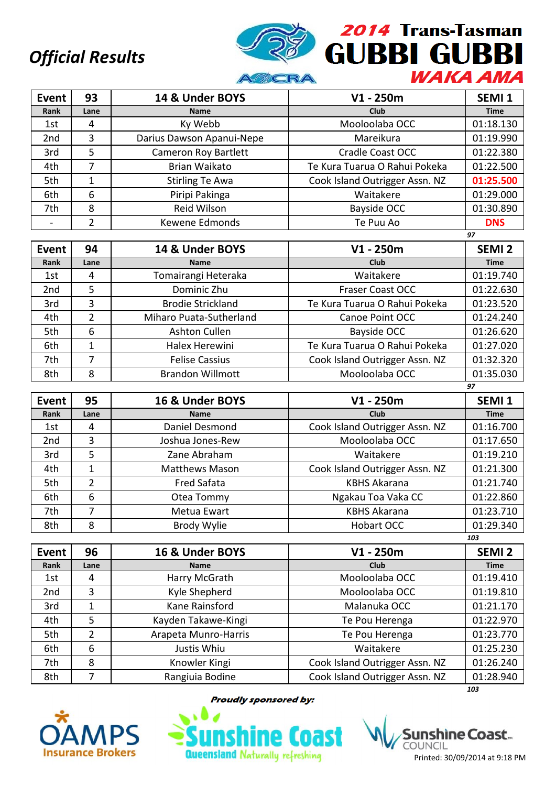

| Event           | 93   | 14 & Under BOYS             | $V1 - 250m$                    | SEMI <sub>1</sub> |
|-----------------|------|-----------------------------|--------------------------------|-------------------|
| Rank            | Lane | <b>Name</b>                 | Club                           | <b>Time</b>       |
| 1st             | 4    | Ky Webb                     | Mooloolaba OCC                 | 01:18.130         |
| 2 <sub>nd</sub> | 3    | Darius Dawson Apanui-Nepe   | Mareikura                      | 01:19.990         |
| 3rd             | 5    | <b>Cameron Roy Bartlett</b> | Cradle Coast OCC               | 01:22.380         |
| 4th             |      | Brian Waikato               | Te Kura Tuarua O Rahui Pokeka  | 01:22.500         |
| 5th             | 1    | <b>Stirling Te Awa</b>      | Cook Island Outrigger Assn. NZ | 01:25.500         |
| 6th             | 6    | Piripi Pakinga              | Waitakere                      | 01:29.000         |
| 7th             | 8    | Reid Wilson                 | Bayside OCC                    | 01:30.890         |
|                 | າ    | Kewene Edmonds              | Te Puu Ao                      | <b>DNS</b>        |
|                 |      |                             |                                | 97                |

| <b>Event</b>    | 94   | 14 & Under BOYS          | $V1 - 250m$                    | SEMI <sub>2</sub> |
|-----------------|------|--------------------------|--------------------------------|-------------------|
| Rank            | Lane | <b>Name</b>              | <b>Club</b>                    | <b>Time</b>       |
| 1st             | 4    | Tomairangi Heteraka      | Waitakere                      | 01:19.740         |
| 2 <sub>nd</sub> | 5    | Dominic Zhu              | <b>Fraser Coast OCC</b>        | 01:22.630         |
| 3rd             | 3    | <b>Brodie Strickland</b> | Te Kura Tuarua O Rahui Pokeka  | 01:23.520         |
| 4th             | 2    | Miharo Puata-Sutherland  | Canoe Point OCC                | 01:24.240         |
| 5th             | 6    | Ashton Cullen            | Bayside OCC                    | 01:26.620         |
| 6th             |      | Halex Herewini           | Te Kura Tuarua O Rahui Pokeka  | 01:27.020         |
| 7th             | 7    | <b>Felise Cassius</b>    | Cook Island Outrigger Assn. NZ | 01:32.320         |
| 8th             | 8    | <b>Brandon Willmott</b>  | Mooloolaba OCC                 | 01:35.030         |
|                 |      |                          |                                | 97                |

| Event           | 95   | 16 & Under BOYS       | $V1 - 250m$                    | SEMI <sub>1</sub> |
|-----------------|------|-----------------------|--------------------------------|-------------------|
| Rank            | Lane | <b>Name</b>           | Club                           | <b>Time</b>       |
| 1st             | 4    | Daniel Desmond        | Cook Island Outrigger Assn. NZ | 01:16.700         |
| 2 <sub>nd</sub> | 3    | Joshua Jones-Rew      | Mooloolaba OCC                 | 01:17.650         |
| 3rd             | 5    | Zane Abraham          | Waitakere                      | 01:19.210         |
| 4th             | 1    | <b>Matthews Mason</b> | Cook Island Outrigger Assn. NZ | 01:21.300         |
| 5th             | 2    | Fred Safata           | <b>KBHS Akarana</b>            | 01:21.740         |
| 6th             | 6    | Otea Tommy            | Ngakau Toa Vaka CC             | 01:22.860         |
| 7th             | 7    | Metua Ewart           | <b>KBHS Akarana</b>            | 01:23.710         |
| 8th             | 8    | Brody Wylie           | Hobart OCC                     | 01:29.340         |
|                 |      |                       |                                | 103               |

| <b>Event</b>    | 96   | 16 & Under BOYS      | $V1 - 250m$                    | <b>SEMI 2</b> |
|-----------------|------|----------------------|--------------------------------|---------------|
| Rank            | Lane | <b>Name</b>          | <b>Club</b>                    | <b>Time</b>   |
| 1st             | 4    | Harry McGrath        | Mooloolaba OCC                 | 01:19.410     |
| 2 <sub>nd</sub> | 3    | Kyle Shepherd        | Mooloolaba OCC                 | 01:19.810     |
| 3rd             |      | Kane Rainsford       | Malanuka OCC                   | 01:21.170     |
| 4th             | 5    | Kayden Takawe-Kingi  | Te Pou Herenga                 | 01:22.970     |
| 5th             | 2    | Arapeta Munro-Harris | Te Pou Herenga                 | 01:23.770     |
| 6th             | 6    | Justis Whiu          | Waitakere                      | 01:25.230     |
| 7th             | 8    | Knowler Kingi        | Cook Island Outrigger Assn. NZ | 01:26.240     |
| 8th             |      | Rangiuia Bodine      | Cook Island Outrigger Assn. NZ | 01:28.940     |
|                 |      |                      |                                | 103           |



**Proudly sponsored by:** 

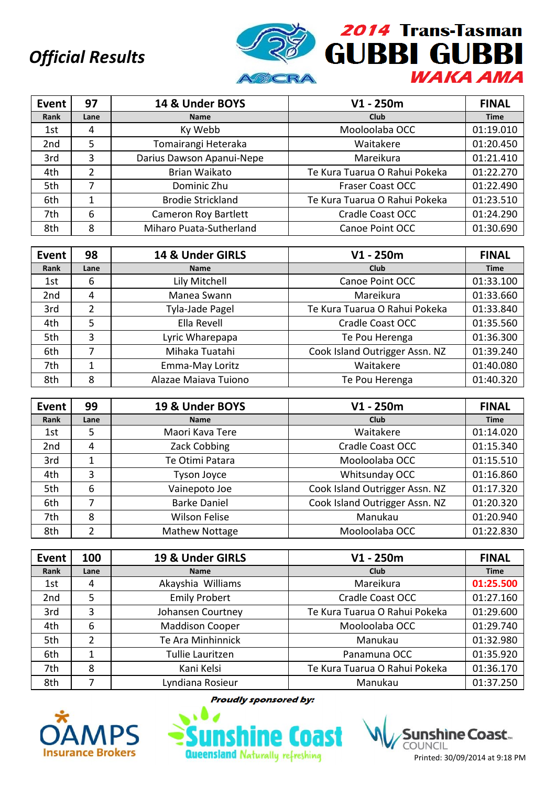

| Event           | 97   | 14 & Under BOYS             | $V1 - 250m$                   | <b>FINAL</b> |
|-----------------|------|-----------------------------|-------------------------------|--------------|
| Rank            | Lane | <b>Name</b>                 | <b>Club</b>                   | <b>Time</b>  |
| 1st             | 4    | Ky Webb                     | Mooloolaba OCC                | 01:19.010    |
| 2 <sub>nd</sub> | 5    | Tomairangi Heteraka         | Waitakere                     | 01:20.450    |
| 3rd             | 3    | Darius Dawson Apanui-Nepe   | Mareikura                     | 01:21.410    |
| 4th             | 2    | <b>Brian Waikato</b>        | Te Kura Tuarua O Rahui Pokeka | 01:22.270    |
| 5th             | 7    | Dominic Zhu                 | <b>Fraser Coast OCC</b>       | 01:22.490    |
| 6th             |      | <b>Brodie Strickland</b>    | Te Kura Tuarua O Rahui Pokeka | 01:23.510    |
| 7th             | 6    | <b>Cameron Roy Bartlett</b> | Cradle Coast OCC              | 01:24.290    |
| 8th             | 8    | Miharo Puata-Sutherland     | Canoe Point OCC               | 01:30.690    |

| Event           | 98   | 14 & Under GIRLS     | $V1 - 250m$                    | <b>FINAL</b> |
|-----------------|------|----------------------|--------------------------------|--------------|
| Rank            | Lane | <b>Name</b>          | <b>Club</b>                    | <b>Time</b>  |
| 1st             | 6    | Lily Mitchell        | Canoe Point OCC                | 01:33.100    |
| 2 <sub>nd</sub> | 4    | Manea Swann          | Mareikura                      | 01:33.660    |
| 3rd             | 2    | Tyla-Jade Pagel      | Te Kura Tuarua O Rahui Pokeka  | 01:33.840    |
| 4th             | 5    | Ella Revell          | Cradle Coast OCC               | 01:35.560    |
| 5th             | 3    | Lyric Wharepapa      | Te Pou Herenga                 | 01:36.300    |
| 6th             | 7    | Mihaka Tuatahi       | Cook Island Outrigger Assn. NZ | 01:39.240    |
| 7th             | 1    | Emma-May Loritz      | Waitakere                      | 01:40.080    |
| 8th             | 8    | Alazae Maiava Tuiono | Te Pou Herenga                 | 01:40.320    |

| Event           | 99   | 19 & Under BOYS       | $V1 - 250m$                    | <b>FINAL</b> |
|-----------------|------|-----------------------|--------------------------------|--------------|
| Rank            | Lane | <b>Name</b>           | Club                           | <b>Time</b>  |
| 1st             | 5    | Maori Kava Tere       | Waitakere                      | 01:14.020    |
| 2 <sub>nd</sub> | 4    | Zack Cobbing          | <b>Cradle Coast OCC</b>        | 01:15.340    |
| 3rd             |      | Te Otimi Patara       | Mooloolaba OCC                 | 01:15.510    |
| 4th             | 3    | <b>Tyson Joyce</b>    | Whitsunday OCC                 | 01:16.860    |
| 5th             | 6    | Vainepoto Joe         | Cook Island Outrigger Assn. NZ | 01:17.320    |
| 6th             | 7    | <b>Barke Daniel</b>   | Cook Island Outrigger Assn. NZ | 01:20.320    |
| 7th             | 8    | <b>Wilson Felise</b>  | Manukau                        | 01:20.940    |
| 8th             | າ    | <b>Mathew Nottage</b> | Mooloolaba OCC                 | 01:22.830    |

| Event | 100  | 19 & Under GIRLS       | $V1 - 250m$                   | <b>FINAL</b> |
|-------|------|------------------------|-------------------------------|--------------|
| Rank  | Lane | <b>Name</b>            | <b>Club</b>                   | <b>Time</b>  |
| 1st   | 4    | Akayshia Williams      | Mareikura                     | 01:25.500    |
| 2nd   | 5    | <b>Emily Probert</b>   | Cradle Coast OCC              | 01:27.160    |
| 3rd   | 3    | Johansen Courtney      | Te Kura Tuarua O Rahui Pokeka | 01:29.600    |
| 4th   | 6    | <b>Maddison Cooper</b> | Mooloolaba OCC                | 01:29.740    |
| 5th   | 2    | Te Ara Minhinnick      | Manukau                       | 01:32.980    |
| 6th   |      | Tullie Lauritzen       | Panamuna OCC                  | 01:35.920    |
| 7th   | 8    | Kani Kelsi             | Te Kura Tuarua O Rahui Pokeka | 01:36.170    |
| 8th   |      | Lyndiana Rosieur       | Manukau                       | 01:37.250    |

**Proudly sponsored by:** 



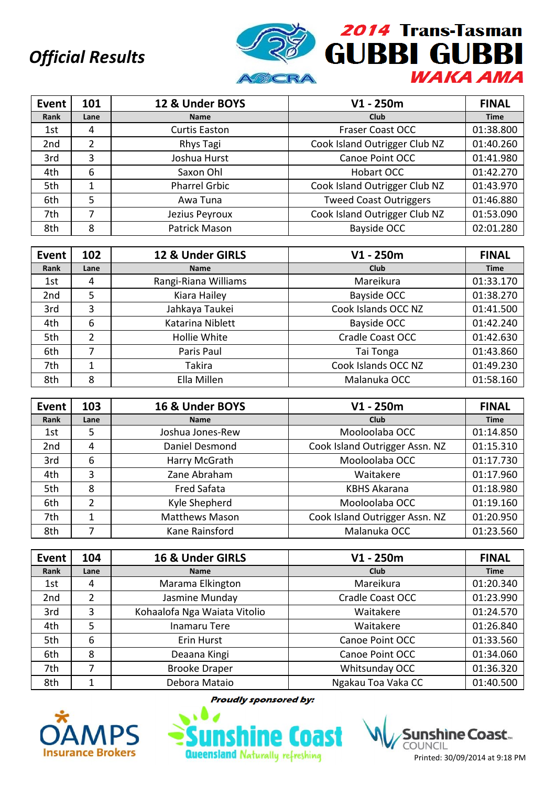

| Event           | 101  | 12 & Under BOYS      | $V1 - 250m$                   | <b>FINAL</b> |
|-----------------|------|----------------------|-------------------------------|--------------|
| Rank            | Lane | <b>Name</b>          | <b>Club</b>                   | <b>Time</b>  |
| 1st             | 4    | <b>Curtis Easton</b> | <b>Fraser Coast OCC</b>       | 01:38.800    |
| 2 <sub>nd</sub> | 2    | Rhys Tagi            | Cook Island Outrigger Club NZ | 01:40.260    |
| 3rd             | 3    | Joshua Hurst         | Canoe Point OCC               | 01:41.980    |
| 4th             | 6    | Saxon Ohl            | Hobart OCC                    | 01:42.270    |
| 5th             | 1    | <b>Pharrel Grbic</b> | Cook Island Outrigger Club NZ | 01:43.970    |
| 6th             | 5    | Awa Tuna             | <b>Tweed Coast Outriggers</b> | 01:46.880    |
| 7th             |      | Jezius Peyroux       | Cook Island Outrigger Club NZ | 01:53.090    |
| 8th             | 8    | Patrick Mason        | Bayside OCC                   | 02:01.280    |

| Event           | 102  | 12 & Under GIRLS     | $V1 - 250m$         | <b>FINAL</b> |
|-----------------|------|----------------------|---------------------|--------------|
| Rank            | Lane | <b>Name</b>          | <b>Club</b>         | <b>Time</b>  |
| 1st             | 4    | Rangi-Riana Williams | Mareikura           | 01:33.170    |
| 2 <sub>nd</sub> | 5    | Kiara Hailey         | Bayside OCC         | 01:38.270    |
| 3rd             | 3    | Jahkaya Taukei       | Cook Islands OCC NZ | 01:41.500    |
| 4th             | 6    | Katarina Niblett     | Bayside OCC         | 01:42.240    |
| 5th             | 2    | Hollie White         | Cradle Coast OCC    | 01:42.630    |
| 6th             |      | Paris Paul           | Tai Tonga           | 01:43.860    |
| 7th             | 1    | <b>Takira</b>        | Cook Islands OCC NZ | 01:49.230    |
| 8th             | 8    | Ella Millen          | Malanuka OCC        | 01:58.160    |

| Event | 103  | 16 & Under BOYS       | $V1 - 250m$                    | <b>FINAL</b> |
|-------|------|-----------------------|--------------------------------|--------------|
| Rank  | Lane | <b>Name</b>           | Club                           | <b>Time</b>  |
| 1st   | 5    | Joshua Jones-Rew      | Mooloolaba OCC                 | 01:14.850    |
| 2nd   | 4    | Daniel Desmond        | Cook Island Outrigger Assn. NZ | 01:15.310    |
| 3rd   | 6    | Harry McGrath         | Mooloolaba OCC                 | 01:17.730    |
| 4th   | 3    | Zane Abraham          | Waitakere                      | 01:17.960    |
| 5th   | 8    | Fred Safata           | <b>KBHS Akarana</b>            | 01:18.980    |
| 6th   | 2    | Kyle Shepherd         | Mooloolaba OCC                 | 01:19.160    |
| 7th   | 1    | <b>Matthews Mason</b> | Cook Island Outrigger Assn. NZ | 01:20.950    |
| 8th   |      | Kane Rainsford        | Malanuka OCC                   | 01:23.560    |

| Event | 104  | 16 & Under GIRLS             | $V1 - 250m$        | <b>FINAL</b> |
|-------|------|------------------------------|--------------------|--------------|
| Rank  | Lane | <b>Name</b>                  | <b>Club</b>        | <b>Time</b>  |
| 1st   | 4    | Marama Elkington             | Mareikura          | 01:20.340    |
| 2nd   | 2    | Jasmine Munday               | Cradle Coast OCC   | 01:23.990    |
| 3rd   | 3    | Kohaalofa Nga Waiata Vitolio | Waitakere          | 01:24.570    |
| 4th   | 5    | <b>Inamaru Tere</b>          | Waitakere          | 01:26.840    |
| 5th   | 6    | Erin Hurst                   | Canoe Point OCC    | 01:33.560    |
| 6th   | 8    | Deaana Kingi                 | Canoe Point OCC    | 01:34.060    |
| 7th   | 7    | <b>Brooke Draper</b>         | Whitsunday OCC     | 01:36.320    |
| 8th   | 1    | Debora Mataio                | Ngakau Toa Vaka CC | 01:40.500    |

**Proudly sponsored by:** 



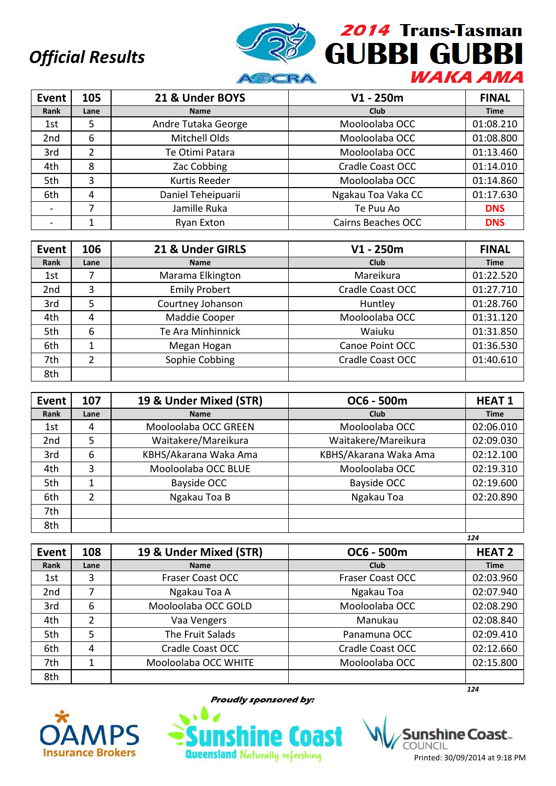

| <b>Event</b>    | 105  | 21 & Under BOYS     | $V1 - 250m$               | <b>FINAL</b> |
|-----------------|------|---------------------|---------------------------|--------------|
| Rank            | Lane | <b>Name</b>         | <b>Club</b>               | <b>Time</b>  |
| 1st             | 5    | Andre Tutaka George | Mooloolaba OCC            | 01:08.210    |
| 2 <sub>nd</sub> | 6    | Mitchell Olds       | Mooloolaba OCC            | 01:08.800    |
| 3rd             | 2    | Te Otimi Patara     | Mooloolaba OCC            | 01:13.460    |
| 4th             | 8    | Zac Cobbing         | Cradle Coast OCC          | 01:14.010    |
| 5th             | 3    | Kurtis Reeder       | Mooloolaba OCC            | 01:14.860    |
| 6th             | 4    | Daniel Teheipuarii  | Ngakau Toa Vaka CC        | 01:17.630    |
|                 | 7    | Jamille Ruka        | Te Puu Ao                 | <b>DNS</b>   |
|                 |      | Ryan Exton          | <b>Cairns Beaches OCC</b> | <b>DNS</b>   |

| Event | 106  | 21 & Under GIRLS     | $V1 - 250m$      | <b>FINAL</b> |
|-------|------|----------------------|------------------|--------------|
| Rank  | Lane | <b>Name</b>          | <b>Club</b>      | <b>Time</b>  |
| 1st   |      | Marama Elkington     | Mareikura        | 01:22.520    |
| 2nd   | 3    | <b>Emily Probert</b> | Cradle Coast OCC | 01:27.710    |
| 3rd   | 5    | Courtney Johanson    | Huntley          | 01:28.760    |
| 4th   | 4    | Maddie Cooper        | Mooloolaba OCC   | 01:31.120    |
| 5th   | 6    | Te Ara Minhinnick    | Waiuku           | 01:31.850    |
| 6th   | 1    | Megan Hogan          | Canoe Point OCC  | 01:36.530    |
| 7th   | 2    | Sophie Cobbing       | Cradle Coast OCC | 01:40.610    |
| 8th   |      |                      |                  |              |

| <b>Event</b>    | 107  | 19 & Under Mixed (STR) | OC6 - 500m            | <b>HEAT1</b> |
|-----------------|------|------------------------|-----------------------|--------------|
| Rank            | Lane | <b>Name</b>            | Club                  | <b>Time</b>  |
| 1st             | 4    | Mooloolaba OCC GREEN   | Mooloolaba OCC        | 02:06.010    |
| 2 <sub>nd</sub> | 5    | Waitakere/Mareikura    | Waitakere/Mareikura   | 02:09.030    |
| 3rd             | 6    | KBHS/Akarana Waka Ama  | KBHS/Akarana Waka Ama | 02:12.100    |
| 4th             | 3    | Mooloolaba OCC BLUE    | Mooloolaba OCC        | 02:19.310    |
| 5th             |      | Bayside OCC            | <b>Bayside OCC</b>    | 02:19.600    |
| 6th             | 2    | Ngakau Toa B           | Ngakau Toa            | 02:20.890    |
| 7th             |      |                        |                       |              |
| 8th             |      |                        |                       |              |
|                 |      |                        |                       | 124          |

| Event | 108  | 19 & Under Mixed (STR)  | OC6 - 500m              | <b>HEAT 2</b> |
|-------|------|-------------------------|-------------------------|---------------|
| Rank  | Lane | <b>Name</b>             | Club                    | <b>Time</b>   |
| 1st   | 3    | <b>Fraser Coast OCC</b> | <b>Fraser Coast OCC</b> | 02:03.960     |
| 2nd   |      | Ngakau Toa A            | Ngakau Toa              | 02:07.940     |
| 3rd   | 6    | Mooloolaba OCC GOLD     | Mooloolaba OCC          | 02:08.290     |
| 4th   | 2    | Vaa Vengers             | Manukau                 | 02:08.840     |
| 5th   | 5    | The Fruit Salads        | Panamuna OCC            | 02:09.410     |
| 6th   | 4    | Cradle Coast OCC        | <b>Cradle Coast OCC</b> | 02:12.660     |
| 7th   | 1    | Mooloolaba OCC WHITE    | Mooloolaba OCC          | 02:15.800     |
| 8th   |      |                         |                         |               |
|       |      |                         |                         | 124           |



**Proudly sponsored by:** 



shine Coast... Printed: 30/09/2014 at 9:18 PM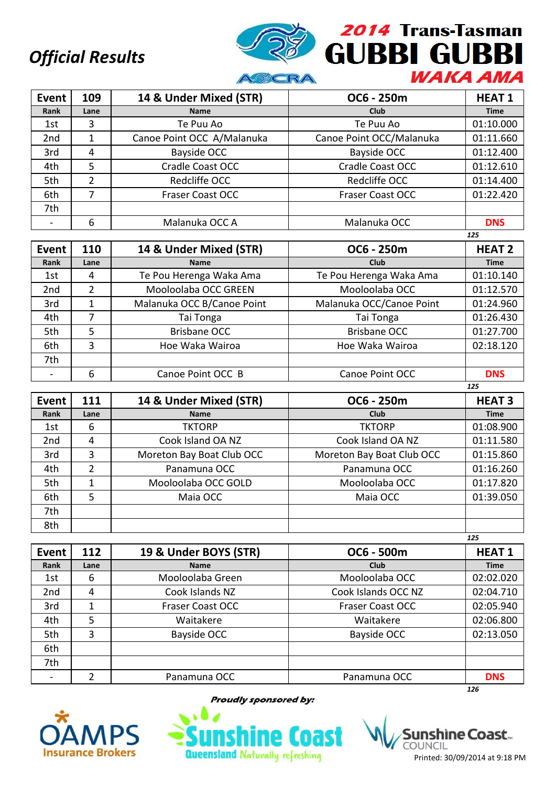

| Event           | 109  | 14 & Under Mixed (STR)     | OC6 - 250m               | <b>HEAT1</b> |
|-----------------|------|----------------------------|--------------------------|--------------|
| Rank            | Lane | <b>Name</b>                | <b>Club</b>              | <b>Time</b>  |
| 1st             | 3    | Te Puu Ao                  | Te Puu Ao                | 01:10.000    |
| 2 <sub>nd</sub> |      | Canoe Point OCC A/Malanuka | Canoe Point OCC/Malanuka | 01:11.660    |
| 3rd             | 4    | Bayside OCC                | <b>Bayside OCC</b>       | 01:12.400    |
| 4th             | 5    | Cradle Coast OCC           | Cradle Coast OCC         | 01:12.610    |
| 5th             | 2    | Redcliffe OCC              | Redcliffe OCC            | 01:14.400    |
| 6th             |      | <b>Fraser Coast OCC</b>    | <b>Fraser Coast OCC</b>  | 01:22.420    |
| 7th             |      |                            |                          |              |
|                 | 6    | Malanuka OCC A             | Malanuka OCC             | <b>DNS</b>   |

|                 |               |                            |                          | 125           |
|-----------------|---------------|----------------------------|--------------------------|---------------|
| Event           | 110           | 14 & Under Mixed (STR)     | OC6 - 250m               | <b>HEAT 2</b> |
| Rank            | Lane          | <b>Name</b>                | <b>Club</b>              | <b>Time</b>   |
| 1st             | 4             | Te Pou Herenga Waka Ama    | Te Pou Herenga Waka Ama  | 01:10.140     |
| 2 <sub>nd</sub> | $\mathcal{P}$ | Mooloolaba OCC GREEN       | Mooloolaba OCC           | 01:12.570     |
| 3rd             |               | Malanuka OCC B/Canoe Point | Malanuka OCC/Canoe Point | 01:24.960     |
| 4th             | 7             | Tai Tonga                  | Tai Tonga                | 01:26.430     |
| 5th             | 5             | <b>Brisbane OCC</b>        | <b>Brisbane OCC</b>      | 01:27.700     |
| 6th             | 3             | Hoe Waka Wairoa            | Hoe Waka Wairoa          | 02:18.120     |
| 7th             |               |                            |                          |               |
|                 | 6             | Canoe Point OCC B          | Canoe Point OCC          | <b>DNS</b>    |
|                 |               |                            |                          | 125           |

| Event           | 111  | 14 & Under Mixed (STR)    | OC6 - 250m                | <b>HEAT3</b> |
|-----------------|------|---------------------------|---------------------------|--------------|
| Rank            | Lane | <b>Name</b>               | <b>Club</b>               | <b>Time</b>  |
| 1st             | 6    | <b>TKTORP</b>             | <b>TKTORP</b>             | 01:08.900    |
| 2 <sub>nd</sub> | 4    | Cook Island OA NZ         | Cook Island OA NZ         | 01:11.580    |
| 3rd             | 3    | Moreton Bay Boat Club OCC | Moreton Bay Boat Club OCC | 01:15.860    |
| 4th             | 2    | Panamuna OCC              | Panamuna OCC              | 01:16.260    |
| 5th             |      | Mooloolaba OCC GOLD       | Mooloolaba OCC            | 01:17.820    |
| 6th             | 5    | Maia OCC                  | Maia OCC                  | 01:39.050    |
| 7th             |      |                           |                           |              |
| 8th             |      |                           |                           |              |
|                 |      |                           |                           | 125          |

| Event | 112  | 19 & Under BOYS (STR)   | OC6 - 500m              | <b>HEAT1</b> |
|-------|------|-------------------------|-------------------------|--------------|
| Rank  | Lane | <b>Name</b>             | Club                    | <b>Time</b>  |
| 1st   | 6    | Mooloolaba Green        | Mooloolaba OCC          | 02:02.020    |
| 2nd   | 4    | Cook Islands NZ         | Cook Islands OCC NZ     | 02:04.710    |
| 3rd   | 1    | <b>Fraser Coast OCC</b> | <b>Fraser Coast OCC</b> | 02:05.940    |
| 4th   | 5    | Waitakere               | Waitakere               | 02:06.800    |
| 5th   | 3    | Bayside OCC             | <b>Bayside OCC</b>      | 02:13.050    |
| 6th   |      |                         |                         |              |
| 7th   |      |                         |                         |              |
|       |      | Panamuna OCC            | Panamuna OCC            | <b>DNS</b>   |
|       |      |                         |                         | 126          |



**Proudly sponsored by:** 



Printed: 30/09/2014 at 9:18 PM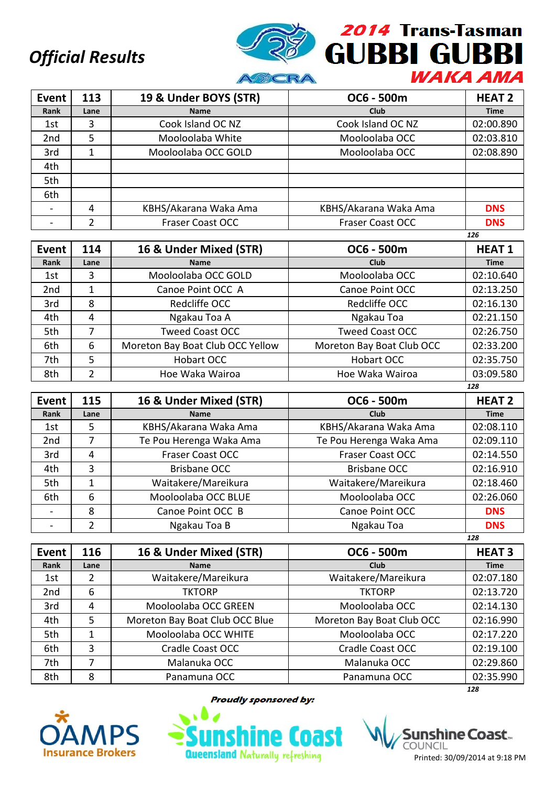

| Event           | 113  | 19 & Under BOYS (STR)   | OC6 - 500m              | <b>HEAT 2</b> |
|-----------------|------|-------------------------|-------------------------|---------------|
| Rank            | Lane | <b>Name</b>             | <b>Club</b>             | <b>Time</b>   |
| 1st             | 3    | Cook Island OC NZ       | Cook Island OC NZ       | 02:00.890     |
| 2 <sub>nd</sub> | 5    | Mooloolaba White        | Mooloolaba OCC          | 02:03.810     |
| 3rd             | 1    | Mooloolaba OCC GOLD     | Mooloolaba OCC          | 02:08.890     |
| 4th             |      |                         |                         |               |
| 5th             |      |                         |                         |               |
| 6th             |      |                         |                         |               |
|                 | 4    | KBHS/Akarana Waka Ama   | KBHS/Akarana Waka Ama   | <b>DNS</b>    |
|                 |      | <b>Fraser Coast OCC</b> | <b>Fraser Coast OCC</b> | <b>DNS</b>    |

|                 |      |                                  |                           | 126          |
|-----------------|------|----------------------------------|---------------------------|--------------|
| Event           | 114  | 16 & Under Mixed (STR)           | OC6 - 500m                | <b>HEAT1</b> |
| Rank            | Lane | <b>Name</b>                      | <b>Club</b>               | <b>Time</b>  |
| 1st             | 3    | Mooloolaba OCC GOLD              | Mooloolaba OCC            | 02:10.640    |
| 2 <sub>nd</sub> | 1    | Canoe Point OCC A                | Canoe Point OCC           | 02:13.250    |
| 3rd             | 8    | Redcliffe OCC                    | Redcliffe OCC             | 02:16.130    |
| 4th             | 4    | Ngakau Toa A                     | Ngakau Toa                | 02:21.150    |
| 5th             |      | <b>Tweed Coast OCC</b>           | <b>Tweed Coast OCC</b>    | 02:26.750    |
| 6th             | 6    | Moreton Bay Boat Club OCC Yellow | Moreton Bay Boat Club OCC | 02:33.200    |
| 7th             | 5    | Hobart OCC                       | Hobart OCC                | 02:35.750    |
| 8th             | 2    | Hoe Waka Wairoa                  | Hoe Waka Wairoa           | 03:09.580    |

|       |      |                         |                         | 128           |
|-------|------|-------------------------|-------------------------|---------------|
| Event | 115  | 16 & Under Mixed (STR)  | OC6 - 500m              | <b>HEAT 2</b> |
| Rank  | Lane | <b>Name</b>             | <b>Club</b>             | <b>Time</b>   |
| 1st   | 5.   | KBHS/Akarana Waka Ama   | KBHS/Akarana Waka Ama   | 02:08.110     |
| 2nd   | 7    | Te Pou Herenga Waka Ama | Te Pou Herenga Waka Ama | 02:09.110     |
| 3rd   | 4    | <b>Fraser Coast OCC</b> | <b>Fraser Coast OCC</b> | 02:14.550     |
| 4th   | 3    | <b>Brisbane OCC</b>     | Brisbane OCC            | 02:16.910     |
| 5th   | 1    | Waitakere/Mareikura     | Waitakere/Mareikura     | 02:18.460     |
| 6th   | 6    | Mooloolaba OCC BLUE     | Mooloolaba OCC          | 02:26.060     |
|       | 8    | Canoe Point OCC B       | Canoe Point OCC         | <b>DNS</b>    |
|       | 2    | Ngakau Toa B            | Ngakau Toa              | <b>DNS</b>    |
|       |      |                         |                         | 128           |

| Event           | 116  | 16 & Under Mixed (STR)         | OC6 - 500m                | <b>HEAT 3</b> |
|-----------------|------|--------------------------------|---------------------------|---------------|
| Rank            | Lane | <b>Name</b>                    | <b>Club</b>               | <b>Time</b>   |
| 1st             | 2    | Waitakere/Mareikura            | Waitakere/Mareikura       | 02:07.180     |
| 2 <sub>nd</sub> | 6    | <b>TKTORP</b>                  | <b>TKTORP</b>             | 02:13.720     |
| 3rd             | 4    | Mooloolaba OCC GREEN           | Mooloolaba OCC            | 02:14.130     |
| 4th             | 5    | Moreton Bay Boat Club OCC Blue | Moreton Bay Boat Club OCC | 02:16.990     |
| 5th             |      | Mooloolaba OCC WHITE           | Mooloolaba OCC            | 02:17.220     |
| 6th             | 3    | Cradle Coast OCC               | Cradle Coast OCC          | 02:19.100     |
| 7th             |      | Malanuka OCC                   | Malanuka OCC              | 02:29.860     |
| 8th             | 8    | Panamuna OCC                   | Panamuna OCC              | 02:35.990     |
|                 |      |                                |                           | 128           |



**Proudly sponsored by:** 



shìne Coast.. COUNCIL Printed: 30/09/2014 at 9:18 PM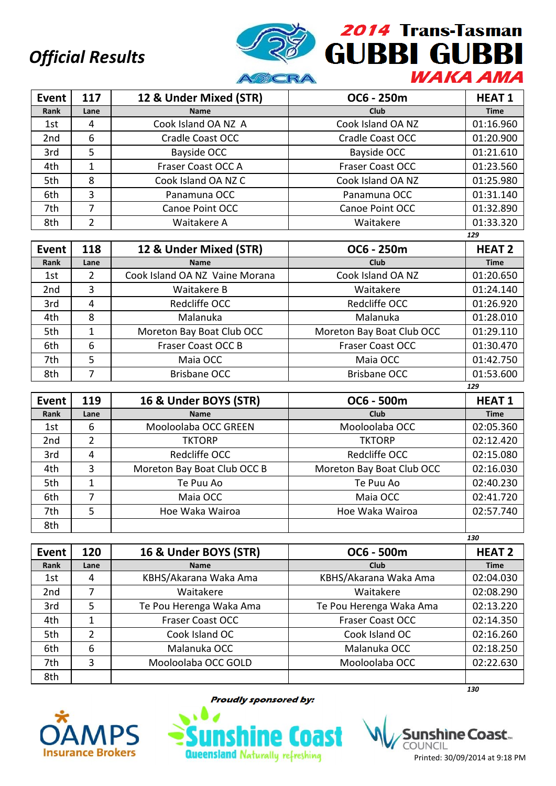

| Event           | 117  | 12 & Under Mixed (STR) | OC6 - 250m              | <b>HEAT1</b> |
|-----------------|------|------------------------|-------------------------|--------------|
| Rank            | Lane | <b>Name</b>            | Club                    | <b>Time</b>  |
| 1st             | 4    | Cook Island OA NZ A    | Cook Island OA NZ       | 01:16.960    |
| 2 <sub>nd</sub> | 6    | Cradle Coast OCC       | Cradle Coast OCC        | 01:20.900    |
| 3rd             | 5    | Bayside OCC            | Bayside OCC             | 01:21.610    |
| 4th             |      | Fraser Coast OCC A     | <b>Fraser Coast OCC</b> | 01:23.560    |
| 5th             | 8    | Cook Island OA NZ C    | Cook Island OA NZ       | 01:25.980    |
| 6th             | 3    | Panamuna OCC           | Panamuna OCC            | 01:31.140    |
| 7th             | 7    | Canoe Point OCC        | Canoe Point OCC         | 01:32.890    |
| 8th             | າ    | Waitakere A            | Waitakere               | 01:33.320    |

| Event           | 118  | 12 & Under Mixed (STR)         | OC6 - 250m                | <b>HEAT 2</b> |
|-----------------|------|--------------------------------|---------------------------|---------------|
| Rank            | Lane | <b>Name</b>                    | <b>Club</b>               | <b>Time</b>   |
| 1st             | 2    | Cook Island OA NZ Vaine Morana | Cook Island OA NZ         | 01:20.650     |
| 2 <sub>nd</sub> | 3    | Waitakere B                    | Waitakere                 | 01:24.140     |
| 3rd             | 4    | Redcliffe OCC                  | Redcliffe OCC             | 01:26.920     |
| 4th             | 8    | Malanuka                       | Malanuka                  | 01:28.010     |
| 5th             |      | Moreton Bay Boat Club OCC      | Moreton Bay Boat Club OCC | 01:29.110     |
| 6th             | 6    | Fraser Coast OCC B             | <b>Fraser Coast OCC</b>   | 01:30.470     |
| 7th             | 5    | Maia OCC                       | Maia OCC                  | 01:42.750     |
| 8th             | ⇁    | Brisbane OCC                   | <b>Brisbane OCC</b>       | 01:53.600     |
|                 |      |                                |                           | 129           |

| Event           | 119  | 16 & Under BOYS (STR)       | OC6 - 500m                | <b>HEAT1</b> |
|-----------------|------|-----------------------------|---------------------------|--------------|
| Rank            | Lane | <b>Name</b>                 | Club                      | <b>Time</b>  |
| 1st             | 6    | Mooloolaba OCC GREEN        | Mooloolaba OCC            | 02:05.360    |
| 2 <sub>nd</sub> | 2    | <b>TKTORP</b>               | <b>TKTORP</b>             | 02:12.420    |
| 3rd             | 4    | Redcliffe OCC               | Redcliffe OCC             | 02:15.080    |
| 4th             | 3    | Moreton Bay Boat Club OCC B | Moreton Bay Boat Club OCC | 02:16.030    |
| 5th             |      | Te Puu Ao                   | Te Puu Ao                 | 02:40.230    |
| 6th             | 7    | Maia OCC                    | Maia OCC                  | 02:41.720    |
| 7th             | 5    | Hoe Waka Wairoa             | Hoe Waka Wairoa           | 02:57.740    |
| 8th             |      |                             |                           |              |

|                 |                |                         |                         | 130           |
|-----------------|----------------|-------------------------|-------------------------|---------------|
| <b>Event</b>    | 120            | 16 & Under BOYS (STR)   | OC6 - 500m              | <b>HEAT 2</b> |
| Rank            | Lane           | <b>Name</b>             | <b>Club</b>             | <b>Time</b>   |
| 1st             | 4              | KBHS/Akarana Waka Ama   | KBHS/Akarana Waka Ama   | 02:04.030     |
| 2 <sub>nd</sub> | 7              | Waitakere               | Waitakere               | 02:08.290     |
| 3rd             | 5              | Te Pou Herenga Waka Ama | Te Pou Herenga Waka Ama | 02:13.220     |
| 4th             | 1              | <b>Fraser Coast OCC</b> | <b>Fraser Coast OCC</b> | 02:14.350     |
| 5th             | $\overline{2}$ | Cook Island OC          | Cook Island OC          | 02:16.260     |
| 6th             | 6              | Malanuka OCC            | Malanuka OCC            | 02:18.250     |
| 7th             | 3              | Mooloolaba OCC GOLD     | Mooloolaba OCC          | 02:22.630     |
| 8th             |                |                         |                         |               |
|                 |                |                         |                         | 130           |



**Proudly sponsored by:** 



shìne Coast… COUNCIL Printed: 30/09/2014 at 9:18 PM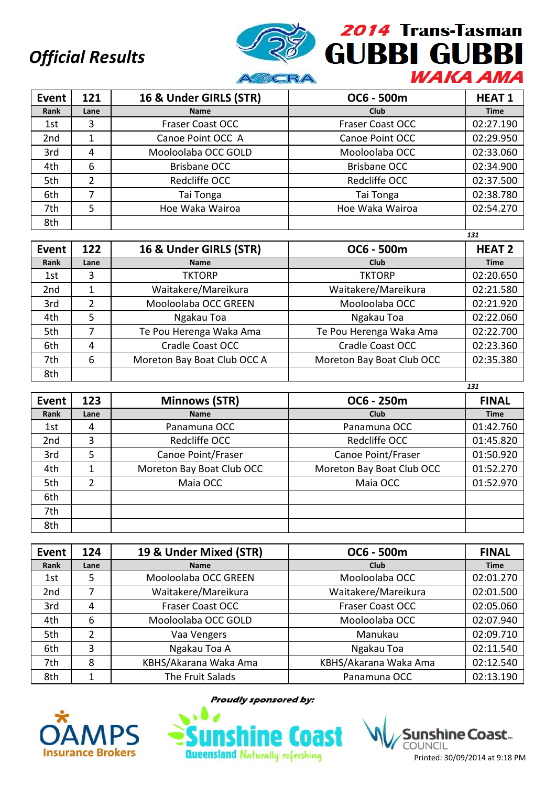

| Event           | 121  | 16 & Under GIRLS (STR) | OC6 - 500m              | <b>HEAT1</b> |
|-----------------|------|------------------------|-------------------------|--------------|
| Rank            | Lane | <b>Name</b>            | <b>Club</b>             | <b>Time</b>  |
| 1st             | 3    | Fraser Coast OCC       | <b>Fraser Coast OCC</b> | 02:27.190    |
| 2 <sub>nd</sub> |      | Canoe Point OCC A      | Canoe Point OCC         | 02:29.950    |
| 3rd             | 4    | Mooloolaba OCC GOLD    | Mooloolaba OCC          | 02:33.060    |
| 4th             | 6    | <b>Brisbane OCC</b>    | <b>Brisbane OCC</b>     | 02:34.900    |
| 5th             | 2    | Redcliffe OCC          | Redcliffe OCC           | 02:37.500    |
| 6th             | 7    | Tai Tonga              | Tai Tonga               | 02:38.780    |
| 7th             | 5    | Hoe Waka Wairoa        | Hoe Waka Wairoa         | 02:54.270    |
| 8th             |      |                        |                         |              |

|                 |               |                             |                           | 131           |
|-----------------|---------------|-----------------------------|---------------------------|---------------|
| Event           | 122           | 16 & Under GIRLS (STR)      | OC6 - 500m                | <b>HEAT 2</b> |
| Rank            | Lane          | <b>Name</b>                 | Club                      | <b>Time</b>   |
| 1st             | 3             | <b>TKTORP</b>               | <b>TKTORP</b>             | 02:20.650     |
| 2 <sub>nd</sub> | 1             | Waitakere/Mareikura         | Waitakere/Mareikura       | 02:21.580     |
| 3rd             | $\mathfrak z$ | Mooloolaba OCC GREEN        | Mooloolaba OCC            | 02:21.920     |
| 4th             | 5             | Ngakau Toa                  | Ngakau Toa                | 02:22.060     |
| 5th             | 7             | Te Pou Herenga Waka Ama     | Te Pou Herenga Waka Ama   | 02:22.700     |
| 6th             | 4             | Cradle Coast OCC            | <b>Cradle Coast OCC</b>   | 02:23.360     |
| 7th             | 6             | Moreton Bay Boat Club OCC A | Moreton Bay Boat Club OCC | 02:35.380     |
| 8th             |               |                             |                           |               |

| Event           | 123           | <b>Minnows (STR)</b>      | OC6 - 250m                | <b>FINAL</b> |
|-----------------|---------------|---------------------------|---------------------------|--------------|
| Rank            | Lane          | <b>Name</b>               | Club                      | <b>Time</b>  |
| 1st             | 4             | Panamuna OCC              | Panamuna OCC              | 01:42.760    |
| 2 <sub>nd</sub> | 3             | Redcliffe OCC             | Redcliffe OCC             | 01:45.820    |
| 3rd             | 5             | Canoe Point/Fraser        | Canoe Point/Fraser        | 01:50.920    |
| 4th             |               | Moreton Bay Boat Club OCC | Moreton Bay Boat Club OCC | 01:52.270    |
| 5th             | $\mathcal{P}$ | Maia OCC                  | Maia OCC                  | 01:52.970    |
| 6th             |               |                           |                           |              |
| 7th             |               |                           |                           |              |
| 8th             |               |                           |                           |              |

| Event           | 124  | 19 & Under Mixed (STR) | OC6 - 500m              | <b>FINAL</b> |
|-----------------|------|------------------------|-------------------------|--------------|
| Rank            | Lane | <b>Name</b>            | Club                    | <b>Time</b>  |
| 1st             | 5    | Mooloolaba OCC GREEN   | Mooloolaba OCC          | 02:01.270    |
| 2 <sub>nd</sub> |      | Waitakere/Mareikura    | Waitakere/Mareikura     | 02:01.500    |
| 3rd             | 4    | Fraser Coast OCC       | <b>Fraser Coast OCC</b> | 02:05.060    |
| 4th             | 6    | Mooloolaba OCC GOLD    | Mooloolaba OCC          | 02:07.940    |
| 5th             | 2    | Vaa Vengers            | Manukau                 | 02:09.710    |
| 6th             | 3    | Ngakau Toa A           | Ngakau Toa              | 02:11.540    |
| 7th             | 8    | KBHS/Akarana Waka Ama  | KBHS/Akarana Waka Ama   | 02:12.540    |
| 8th             |      | The Fruit Salads       | Panamuna OCC            | 02:13.190    |



**Proudly sponsored by:** 

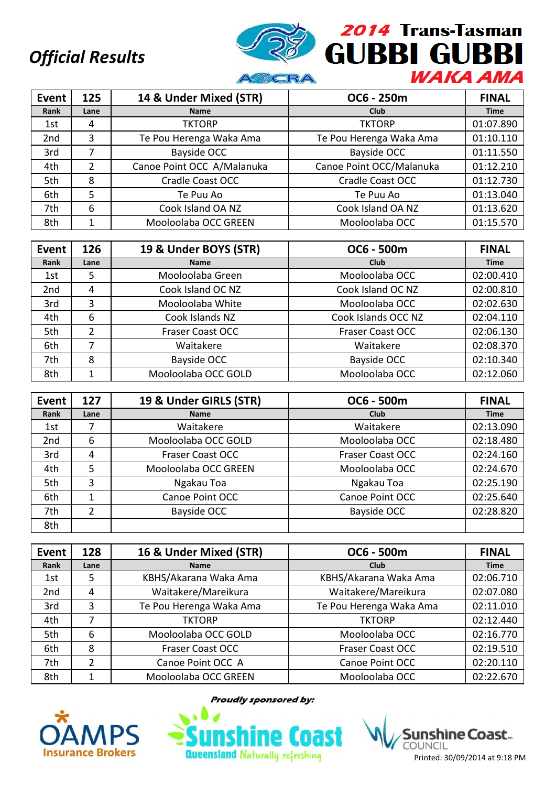

| Event           | 125  | 14 & Under Mixed (STR)     | OC6 - 250m               | <b>FINAL</b> |
|-----------------|------|----------------------------|--------------------------|--------------|
| Rank            | Lane | <b>Name</b>                | <b>Club</b>              | <b>Time</b>  |
| 1st             | 4    | <b>TKTORP</b>              | <b>TKTORP</b>            | 01:07.890    |
| 2 <sub>nd</sub> | 3    | Te Pou Herenga Waka Ama    | Te Pou Herenga Waka Ama  | 01:10.110    |
| 3rd             | 7    | Bayside OCC                | Bayside OCC              | 01:11.550    |
| 4th             | 2    | Canoe Point OCC A/Malanuka | Canoe Point OCC/Malanuka | 01:12.210    |
| 5th             | 8    | Cradle Coast OCC           | Cradle Coast OCC         | 01:12.730    |
| 6th             | 5    | Te Puu Ao                  | Te Puu Ao                | 01:13.040    |
| 7th             | 6    | Cook Island OA NZ          | Cook Island OA NZ        | 01:13.620    |
| 8th             |      | Mooloolaba OCC GREEN       | Mooloolaba OCC           | 01:15.570    |

| Event           | 126  | 19 & Under BOYS (STR) | OC6 - 500m              | <b>FINAL</b> |
|-----------------|------|-----------------------|-------------------------|--------------|
| Rank            | Lane | <b>Name</b>           | Club                    | <b>Time</b>  |
| 1st             | 5    | Mooloolaba Green      | Mooloolaba OCC          | 02:00.410    |
| 2 <sub>nd</sub> | 4    | Cook Island OC NZ     | Cook Island OC NZ       | 02:00.810    |
| 3rd             | 3    | Mooloolaba White      | Mooloolaba OCC          | 02:02.630    |
| 4th             | 6    | Cook Islands NZ       | Cook Islands OCC NZ     | 02:04.110    |
| 5th             | 2    | Fraser Coast OCC      | <b>Fraser Coast OCC</b> | 02:06.130    |
| 6th             | 7    | Waitakere             | Waitakere               | 02:08.370    |
| 7th             | 8    | Bayside OCC           | Bayside OCC             | 02:10.340    |
| 8th             |      | Mooloolaba OCC GOLD   | Mooloolaba OCC          | 02:12.060    |

| Event | 127  | 19 & Under GIRLS (STR)  | OC6 - 500m              | <b>FINAL</b> |
|-------|------|-------------------------|-------------------------|--------------|
| Rank  | Lane | <b>Name</b>             | Club                    | <b>Time</b>  |
| 1st   |      | Waitakere               | Waitakere               | 02:13.090    |
| 2nd   | 6    | Mooloolaba OCC GOLD     | Mooloolaba OCC          | 02:18.480    |
| 3rd   | 4    | <b>Fraser Coast OCC</b> | <b>Fraser Coast OCC</b> | 02:24.160    |
| 4th   | 5    | Mooloolaba OCC GREEN    | Mooloolaba OCC          | 02:24.670    |
| 5th   | 3    | Ngakau Toa              | Ngakau Toa              | 02:25.190    |
| 6th   | 1    | Canoe Point OCC         | Canoe Point OCC         | 02:25.640    |
| 7th   | 2    | Bayside OCC             | Bayside OCC             | 02:28.820    |
| 8th   |      |                         |                         |              |

| Event           | 128  | 16 & Under Mixed (STR)  | OC6 - 500m              | <b>FINAL</b> |
|-----------------|------|-------------------------|-------------------------|--------------|
| Rank            | Lane | <b>Name</b>             | Club                    | <b>Time</b>  |
| 1st             | 5    | KBHS/Akarana Waka Ama   | KBHS/Akarana Waka Ama   | 02:06.710    |
| 2 <sub>nd</sub> | 4    | Waitakere/Mareikura     | Waitakere/Mareikura     | 02:07.080    |
| 3rd             | 3    | Te Pou Herenga Waka Ama | Te Pou Herenga Waka Ama | 02:11.010    |
| 4th             |      | <b>TKTORP</b>           | <b>TKTORP</b>           | 02:12.440    |
| 5th             | 6    | Mooloolaba OCC GOLD     | Mooloolaba OCC          | 02:16.770    |
| 6th             | 8    | <b>Fraser Coast OCC</b> | <b>Fraser Coast OCC</b> | 02:19.510    |
| 7th             | 2    | Canoe Point OCC A       | Canoe Point OCC         | 02:20.110    |
| 8th             |      | Mooloolaba OCC GREEN    | Mooloolaba OCC          | 02:22.670    |



**Proudly sponsored by:** 

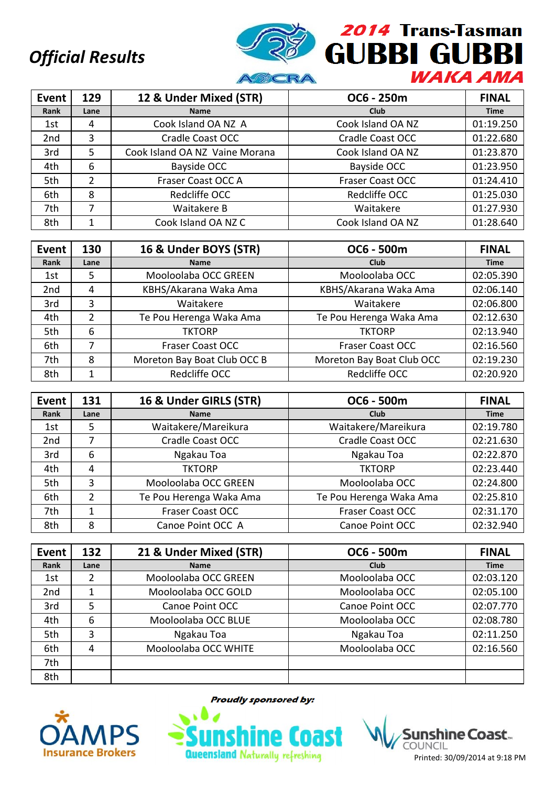

| <b>Event</b>    | 129  | 12 & Under Mixed (STR)         | OC6 - 250m              | <b>FINAL</b> |
|-----------------|------|--------------------------------|-------------------------|--------------|
| Rank            | Lane | <b>Name</b>                    | <b>Club</b>             | <b>Time</b>  |
| 1st             | 4    | Cook Island OA NZ A            | Cook Island OA NZ       | 01:19.250    |
| 2 <sub>nd</sub> | 3    | Cradle Coast OCC               | Cradle Coast OCC        | 01:22.680    |
| 3rd             | 5    | Cook Island OA NZ Vaine Morana | Cook Island OA NZ       | 01:23.870    |
| 4th             | 6    | Bayside OCC                    | Bayside OCC             | 01:23.950    |
| 5th             | 2    | Fraser Coast OCC A             | <b>Fraser Coast OCC</b> | 01:24.410    |
| 6th             | 8    | Redcliffe OCC                  | Redcliffe OCC           | 01:25.030    |
| 7th             | 7    | Waitakere B                    | Waitakere               | 01:27.930    |
| 8th             |      | Cook Island OA NZ C            | Cook Island OA NZ       | 01:28.640    |

| <b>Event</b>    | 130  | 16 & Under BOYS (STR)       | OC6 - 500m                | <b>FINAL</b> |
|-----------------|------|-----------------------------|---------------------------|--------------|
| Rank            | Lane | <b>Name</b>                 | Club                      | <b>Time</b>  |
| 1st             | 5    | Mooloolaba OCC GREEN        | Mooloolaba OCC            | 02:05.390    |
| 2 <sub>nd</sub> | 4    | KBHS/Akarana Waka Ama       | KBHS/Akarana Waka Ama     | 02:06.140    |
| 3rd             | 3    | Waitakere                   | Waitakere                 | 02:06.800    |
| 4th             | 2    | Te Pou Herenga Waka Ama     | Te Pou Herenga Waka Ama   | 02:12.630    |
| 5th             | 6    | <b>TKTORP</b>               | <b>TKTORP</b>             | 02:13.940    |
| 6th             | 7    | <b>Fraser Coast OCC</b>     | <b>Fraser Coast OCC</b>   | 02:16.560    |
| 7th             | 8    | Moreton Bay Boat Club OCC B | Moreton Bay Boat Club OCC | 02:19.230    |
| 8th             |      | Redcliffe OCC               | Redcliffe OCC             | 02:20.920    |

| Event | 131           | 16 & Under GIRLS (STR)  | OC6 - 500m              | <b>FINAL</b> |
|-------|---------------|-------------------------|-------------------------|--------------|
| Rank  | Lane          | <b>Name</b>             | Club                    | <b>Time</b>  |
| 1st   | 5             | Waitakere/Mareikura     | Waitakere/Mareikura     | 02:19.780    |
| 2nd   | 7             | Cradle Coast OCC        | Cradle Coast OCC        | 02:21.630    |
| 3rd   | 6             | Ngakau Toa              | Ngakau Toa              | 02:22.870    |
| 4th   | 4             | <b>TKTORP</b>           | <b>TKTORP</b>           | 02:23.440    |
| 5th   | 3             | Mooloolaba OCC GREEN    | Mooloolaba OCC          | 02:24.800    |
| 6th   | $\mathcal{P}$ | Te Pou Herenga Waka Ama | Te Pou Herenga Waka Ama | 02:25.810    |
| 7th   | 1             | <b>Fraser Coast OCC</b> | <b>Fraser Coast OCC</b> | 02:31.170    |
| 8th   | 8             | Canoe Point OCC A       | Canoe Point OCC         | 02:32.940    |

| <b>Event</b>    | 132  | 21 & Under Mixed (STR) | OC6 - 500m      | <b>FINAL</b> |
|-----------------|------|------------------------|-----------------|--------------|
| Rank            | Lane | <b>Name</b>            | Club            | <b>Time</b>  |
| 1st             | 2    | Mooloolaba OCC GREEN   | Mooloolaba OCC  | 02:03.120    |
| 2 <sub>nd</sub> |      | Mooloolaba OCC GOLD    | Mooloolaba OCC  | 02:05.100    |
| 3rd             | 5    | Canoe Point OCC        | Canoe Point OCC | 02:07.770    |
| 4th             | 6    | Mooloolaba OCC BLUE    | Mooloolaba OCC  | 02:08.780    |
| 5th             | 3    | Ngakau Toa             | Ngakau Toa      | 02:11.250    |
| 6th             | 4    | Mooloolaba OCC WHITE   | Mooloolaba OCC  | 02:16.560    |
| 7th             |      |                        |                 |              |
| 8th             |      |                        |                 |              |



**Proudly sponsored by:** 

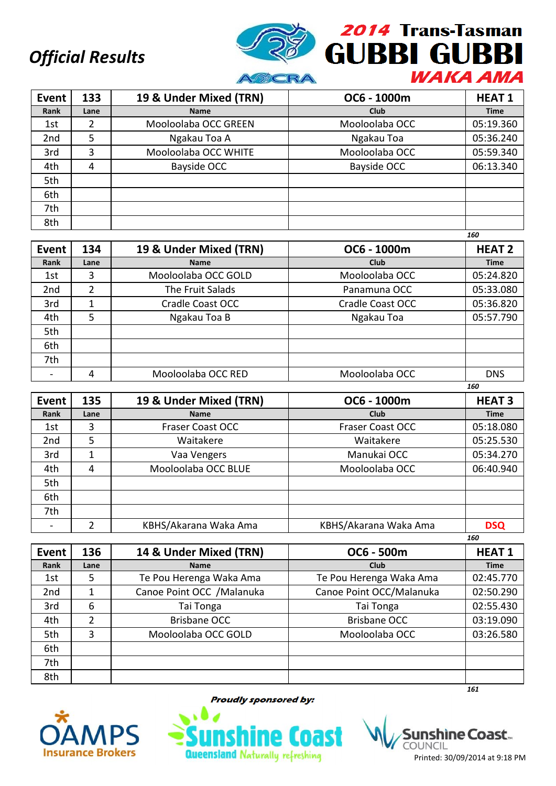

| Event           | 133  | 19 & Under Mixed (TRN) | OC6 - 1000m    | <b>HEAT1</b> |
|-----------------|------|------------------------|----------------|--------------|
| Rank            | Lane | <b>Name</b>            | <b>Club</b>    | <b>Time</b>  |
| 1st             | 2    | Mooloolaba OCC GREEN   | Mooloolaba OCC | 05:19.360    |
| 2 <sub>nd</sub> | 5    | Ngakau Toa A           | Ngakau Toa     | 05:36.240    |
| 3rd             | 3    | Mooloolaba OCC WHITE   | Mooloolaba OCC | 05:59.340    |
| 4th             | 4    | Bayside OCC            | Bayside OCC    | 06:13.340    |
| 5th             |      |                        |                |              |
| 6th             |      |                        |                |              |
| 7th             |      |                        |                |              |
| 8th             |      |                        |                |              |

|                 |                |                        |                         | 160           |
|-----------------|----------------|------------------------|-------------------------|---------------|
| Event           | 134            | 19 & Under Mixed (TRN) | OC6 - 1000m             | <b>HEAT 2</b> |
| Rank            | Lane           | <b>Name</b>            | Club                    | <b>Time</b>   |
| 1st             | 3              | Mooloolaba OCC GOLD    | Mooloolaba OCC          | 05:24.820     |
| 2 <sub>nd</sub> | $\overline{2}$ | The Fruit Salads       | Panamuna OCC            | 05:33.080     |
| 3rd             |                | Cradle Coast OCC       | <b>Cradle Coast OCC</b> | 05:36.820     |
| 4th             | 5              | Ngakau Toa B           | Ngakau Toa              | 05:57.790     |
| 5th             |                |                        |                         |               |
| 6th             |                |                        |                         |               |
| 7th             |                |                        |                         |               |
|                 |                | Mooloolaba OCC RED     | Mooloolaba OCC          | <b>DNS</b>    |

| <b>Event</b>    | 135  | 19 & Under Mixed (TRN)  | OC6 - 1000m             | <b>HEAT 3</b> |
|-----------------|------|-------------------------|-------------------------|---------------|
| Rank            | Lane | <b>Name</b>             | Club                    | <b>Time</b>   |
| 1st             | 3    | <b>Fraser Coast OCC</b> | <b>Fraser Coast OCC</b> | 05:18.080     |
| 2 <sub>nd</sub> | 5    | Waitakere               | Waitakere               | 05:25.530     |
| 3rd             | 1    | Vaa Vengers             | Manukai OCC             | 05:34.270     |
| 4th             | 4    | Mooloolaba OCC BLUE     | Mooloolaba OCC          | 06:40.940     |
| 5th             |      |                         |                         |               |
| 6th             |      |                         |                         |               |
| 7th             |      |                         |                         |               |
|                 | າ    | KBHS/Akarana Waka Ama   | KBHS/Akarana Waka Ama   | <b>DSQ</b>    |
|                 |      |                         |                         | 160           |

| Event           | 136  | 14 & Under Mixed (TRN)     | OC6 - 500m               | <b>HEAT1</b> |
|-----------------|------|----------------------------|--------------------------|--------------|
| Rank            | Lane | <b>Name</b>                | <b>Club</b>              | <b>Time</b>  |
| 1st             | 5    | Te Pou Herenga Waka Ama    | Te Pou Herenga Waka Ama  | 02:45.770    |
| 2 <sub>nd</sub> | 1    | Canoe Point OCC / Malanuka | Canoe Point OCC/Malanuka | 02:50.290    |
| 3rd             | 6    | Tai Tonga                  | Tai Tonga                | 02:55.430    |
| 4th             | 2    | <b>Brisbane OCC</b>        | <b>Brisbane OCC</b>      | 03:19.090    |
| 5th             | 3    | Mooloolaba OCC GOLD        | Mooloolaba OCC           | 03:26.580    |
| 6th             |      |                            |                          |              |
| 7th             |      |                            |                          |              |
| 8th             |      |                            |                          |              |
|                 |      |                            |                          | 161          |



**Proudly sponsored by:** 



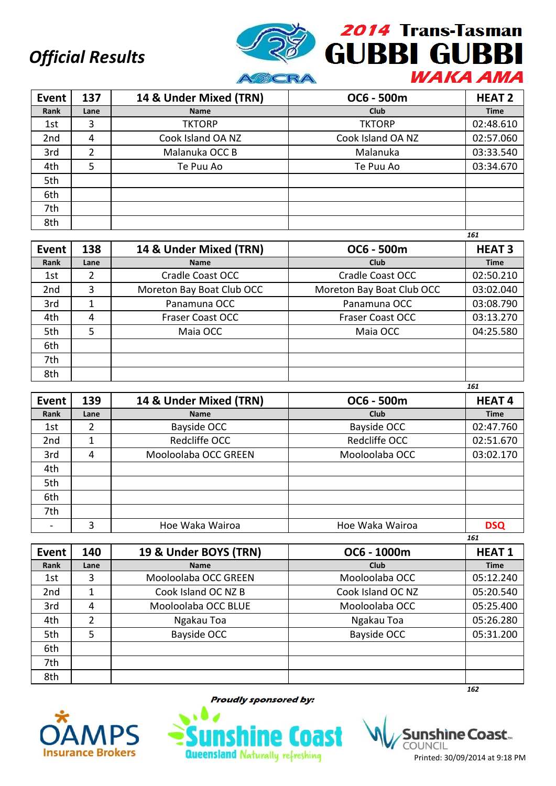

| Event           | 137  | 14 & Under Mixed (TRN) | OC6 - 500m        | <b>HEAT 2</b> |
|-----------------|------|------------------------|-------------------|---------------|
| Rank            | Lane | <b>Name</b>            | <b>Club</b>       | <b>Time</b>   |
| 1st             | 3    | <b>TKTORP</b>          | <b>TKTORP</b>     | 02:48.610     |
| 2 <sub>nd</sub> | 4    | Cook Island OA NZ      | Cook Island OA NZ | 02:57.060     |
| 3rd             | 2    | Malanuka OCC B         | Malanuka          | 03:33.540     |
| 4th             | 5    | Te Puu Ao              | Te Puu Ao         | 03:34.670     |
| 5th             |      |                        |                   |               |
| 6th             |      |                        |                   |               |
| 7th             |      |                        |                   |               |
| 8th             |      |                        |                   |               |
|                 |      |                        |                   | 161           |

| <b>Event</b>    | 138  | 14 & Under Mixed (TRN)    | OC6 - 500m                | <b>HEAT 3</b> |
|-----------------|------|---------------------------|---------------------------|---------------|
| Rank            | Lane | <b>Name</b>               | Club                      | <b>Time</b>   |
| 1st             | 2    | Cradle Coast OCC          | Cradle Coast OCC          | 02:50.210     |
| 2 <sub>nd</sub> | 3    | Moreton Bay Boat Club OCC | Moreton Bay Boat Club OCC | 03:02.040     |
| 3rd             |      | Panamuna OCC              | Panamuna OCC              | 03:08.790     |
| 4th             | 4    | <b>Fraser Coast OCC</b>   | <b>Fraser Coast OCC</b>   | 03:13.270     |
| 5th             | 5    | Maia OCC                  | Maia OCC                  | 04:25.580     |
| 6th             |      |                           |                           |               |
| 7th             |      |                           |                           |               |
| 8th             |      |                           |                           |               |

| <b>Event</b>    | 139  | 14 & Under Mixed (TRN) | OC6 - 500m         | <b>HEAT4</b> |
|-----------------|------|------------------------|--------------------|--------------|
| Rank            | Lane | <b>Name</b>            | <b>Club</b>        | <b>Time</b>  |
| 1st             | 2    | Bayside OCC            | <b>Bayside OCC</b> | 02:47.760    |
| 2 <sub>nd</sub> |      | Redcliffe OCC          | Redcliffe OCC      | 02:51.670    |
| 3rd             | 4    | Mooloolaba OCC GREEN   | Mooloolaba OCC     | 03:02.170    |
| 4th             |      |                        |                    |              |
| 5th             |      |                        |                    |              |
| 6th             |      |                        |                    |              |
| 7th             |      |                        |                    |              |
|                 | 3    | Hoe Waka Wairoa        | Hoe Waka Wairoa    | <b>DSQ</b>   |
|                 |      |                        |                    | 161          |

| <b>Event</b>    | 140  | 19 & Under BOYS (TRN) | OC6 - 1000m       | <b>HEAT1</b> |
|-----------------|------|-----------------------|-------------------|--------------|
| Rank            | Lane | <b>Name</b>           | Club              | <b>Time</b>  |
| 1st             | 3    | Mooloolaba OCC GREEN  | Mooloolaba OCC    | 05:12.240    |
| 2 <sub>nd</sub> | 1    | Cook Island OC NZ B   | Cook Island OC NZ | 05:20.540    |
| 3rd             | 4    | Mooloolaba OCC BLUE   | Mooloolaba OCC    | 05:25.400    |
| 4th             | 2    | Ngakau Toa            | Ngakau Toa        | 05:26.280    |
| 5th             | 5    | Bayside OCC           | Bayside OCC       | 05:31.200    |
| 6th             |      |                       |                   |              |
| 7th             |      |                       |                   |              |
| 8th             |      |                       |                   |              |
|                 |      |                       |                   | 162          |



**Proudly sponsored by:** 



shìne Coast.. COUNCIL Printed: 30/09/2014 at 9:18 PM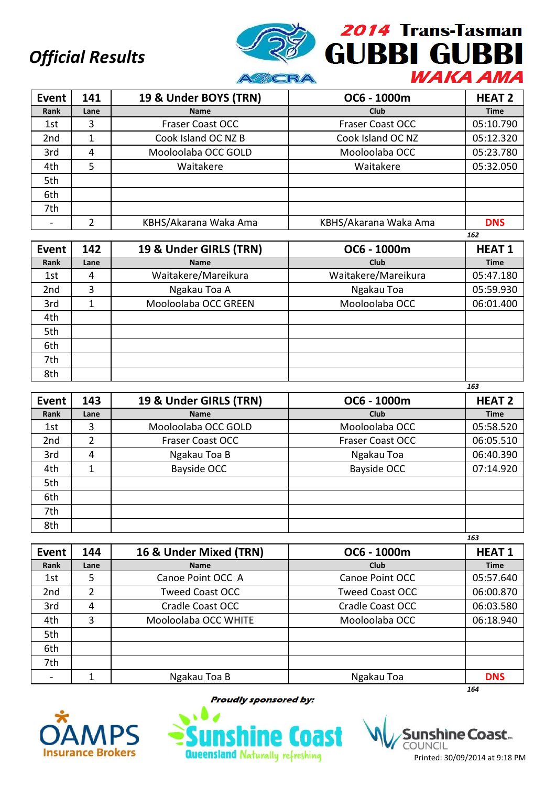

| Event           | 141  | 19 & Under BOYS (TRN)   | OC6 - 1000m             | <b>HEAT 2</b> |
|-----------------|------|-------------------------|-------------------------|---------------|
| Rank            | Lane | <b>Name</b>             | <b>Club</b>             | <b>Time</b>   |
| 1st             | 3    | <b>Fraser Coast OCC</b> | <b>Fraser Coast OCC</b> | 05:10.790     |
| 2 <sub>nd</sub> |      | Cook Island OC NZ B     | Cook Island OC NZ       | 05:12.320     |
| 3rd             | 4    | Mooloolaba OCC GOLD     | Mooloolaba OCC          | 05:23.780     |
| 4th             | 5    | Waitakere               | Waitakere               | 05:32.050     |
| 5th             |      |                         |                         |               |
| 6th             |      |                         |                         |               |
| 7th             |      |                         |                         |               |
|                 |      | KBHS/Akarana Waka Ama   | KBHS/Akarana Waka Ama   | <b>DNS</b>    |

|                 |      |                        |                     | 162          |
|-----------------|------|------------------------|---------------------|--------------|
| Event           | 142  | 19 & Under GIRLS (TRN) | OC6 - 1000m         | <b>HEAT1</b> |
| Rank            | Lane | <b>Name</b>            | Club                | <b>Time</b>  |
| 1st             | 4    | Waitakere/Mareikura    | Waitakere/Mareikura | 05:47.180    |
| 2 <sub>nd</sub> | 3    | Ngakau Toa A           | Ngakau Toa          | 05:59.930    |
| 3rd             | 1    | Mooloolaba OCC GREEN   | Mooloolaba OCC      | 06:01.400    |
| 4th             |      |                        |                     |              |
| 5th             |      |                        |                     |              |
| 6th             |      |                        |                     |              |
| 7th             |      |                        |                     |              |
| 8th             |      |                        |                     |              |

| <b>Event</b>    | 143            | 19 & Under GIRLS (TRN)  | OC6 - 1000m             | <b>HEAT 2</b> |
|-----------------|----------------|-------------------------|-------------------------|---------------|
| Rank            | Lane           | <b>Name</b>             | Club                    | <b>Time</b>   |
| 1st             | 3              | Mooloolaba OCC GOLD     | Mooloolaba OCC          | 05:58.520     |
| 2 <sub>nd</sub> | $\overline{2}$ | <b>Fraser Coast OCC</b> | <b>Fraser Coast OCC</b> | 06:05.510     |
| 3rd             | 4              | Ngakau Toa B            | Ngakau Toa              | 06:40.390     |
| 4th             |                | Bayside OCC             | Bayside OCC             | 07:14.920     |
| 5th             |                |                         |                         |               |
| 6th             |                |                         |                         |               |
| 7th             |                |                         |                         |               |
| 8th             |                |                         |                         |               |
|                 |                |                         |                         | 163           |

| Event           | 144            | 16 & Under Mixed (TRN) | OC6 - 1000m             | <b>HEAT1</b> |
|-----------------|----------------|------------------------|-------------------------|--------------|
| Rank            | Lane           | <b>Name</b>            | Club                    | <b>Time</b>  |
| 1st             | 5              | Canoe Point OCC A      | Canoe Point OCC         | 05:57.640    |
| 2 <sub>nd</sub> | $\overline{2}$ | <b>Tweed Coast OCC</b> | <b>Tweed Coast OCC</b>  | 06:00.870    |
| 3rd             | 4              | Cradle Coast OCC       | <b>Cradle Coast OCC</b> | 06:03.580    |
| 4th             | 3              | Mooloolaba OCC WHITE   | Mooloolaba OCC          | 06:18.940    |
| 5th             |                |                        |                         |              |
| 6th             |                |                        |                         |              |
| 7th             |                |                        |                         |              |
|                 |                | Ngakau Toa B           | Ngakau Toa              | <b>DNS</b>   |
|                 |                |                        |                         | 164          |



**Proudly sponsored by:** 



shine Coast... COUNCIL Printed: 30/09/2014 at 9:18 PM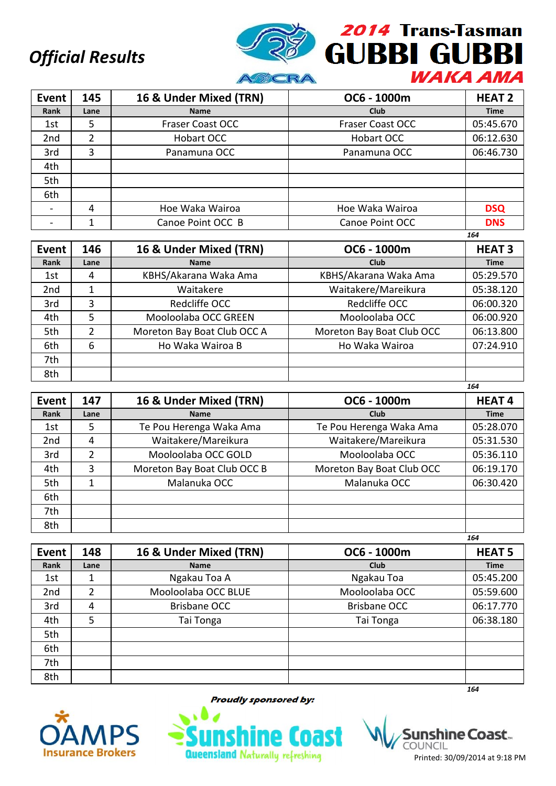

| <b>Event</b>    | 145  | 16 & Under Mixed (TRN)  | OC6 - 1000m             | <b>HEAT 2</b> |
|-----------------|------|-------------------------|-------------------------|---------------|
| Rank            | Lane | <b>Name</b>             | <b>Club</b>             | <b>Time</b>   |
| 1st             | 5    | <b>Fraser Coast OCC</b> | <b>Fraser Coast OCC</b> | 05:45.670     |
| 2 <sub>nd</sub> | 2    | Hobart OCC              | Hobart OCC              | 06:12.630     |
| 3rd             | 3    | Panamuna OCC            | Panamuna OCC            | 06:46.730     |
| 4th             |      |                         |                         |               |
| 5th             |      |                         |                         |               |
| 6th             |      |                         |                         |               |
|                 | 4    | Hoe Waka Wairoa         | Hoe Waka Wairoa         | <b>DSQ</b>    |
|                 |      | Canoe Point OCC B       | Canoe Point OCC         | <b>DNS</b>    |

|                 |      |                             |                           | 164           |
|-----------------|------|-----------------------------|---------------------------|---------------|
| Event           | 146  | 16 & Under Mixed (TRN)      | OC6 - 1000m               | <b>HEAT 3</b> |
| Rank            | Lane | <b>Name</b>                 | Club                      | <b>Time</b>   |
| 1st             | 4    | KBHS/Akarana Waka Ama       | KBHS/Akarana Waka Ama     | 05:29.570     |
| 2 <sub>nd</sub> | 1    | Waitakere                   | Waitakere/Mareikura       | 05:38.120     |
| 3rd             | 3    | Redcliffe OCC               | Redcliffe OCC             | 06:00.320     |
| 4th             | 5    | Mooloolaba OCC GREEN        | Mooloolaba OCC            | 06:00.920     |
| 5th             | 2    | Moreton Bay Boat Club OCC A | Moreton Bay Boat Club OCC | 06:13.800     |
| 6th             | 6    | Ho Waka Wairoa B            | Ho Waka Wairoa            | 07:24.910     |
| 7th             |      |                             |                           |               |
| 8th             |      |                             |                           |               |

| <b>Event</b>    | 147           | 16 & Under Mixed (TRN)      | OC6 - 1000m               | <b>HEAT4</b> |
|-----------------|---------------|-----------------------------|---------------------------|--------------|
| Rank            | Lane          | <b>Name</b>                 | Club                      | <b>Time</b>  |
| 1st             | 5.            | Te Pou Herenga Waka Ama     | Te Pou Herenga Waka Ama   | 05:28.070    |
| 2 <sub>nd</sub> | 4             | Waitakere/Mareikura         | Waitakere/Mareikura       | 05:31.530    |
| 3rd             | $\mathcal{P}$ | Mooloolaba OCC GOLD         | Mooloolaba OCC            | 05:36.110    |
| 4th             | 3             | Moreton Bay Boat Club OCC B | Moreton Bay Boat Club OCC | 06:19.170    |
| 5th             |               | Malanuka OCC                | Malanuka OCC              | 06:30.420    |
| 6th             |               |                             |                           |              |
| 7th             |               |                             |                           |              |
| 8th             |               |                             |                           |              |
|                 |               |                             |                           | 164          |

| <b>Event</b> | 148  | 16 & Under Mixed (TRN) | OC6 - 1000m         | <b>HEAT 5</b> |
|--------------|------|------------------------|---------------------|---------------|
| Rank         | Lane | <b>Name</b>            | Club                | <b>Time</b>   |
| 1st          | 1    | Ngakau Toa A           | Ngakau Toa          | 05:45.200     |
| 2nd          | 2    | Mooloolaba OCC BLUE    | Mooloolaba OCC      | 05:59.600     |
| 3rd          | 4    | <b>Brisbane OCC</b>    | <b>Brisbane OCC</b> | 06:17.770     |
| 4th          | 5    | Tai Tonga              | Tai Tonga           | 06:38.180     |
| 5th          |      |                        |                     |               |
| 6th          |      |                        |                     |               |
| 7th          |      |                        |                     |               |
| 8th          |      |                        |                     |               |
|              |      |                        |                     | 164           |



**Proudly sponsored by:** 



shìne Coast.. COUNCIL Printed: 30/09/2014 at 9:18 PM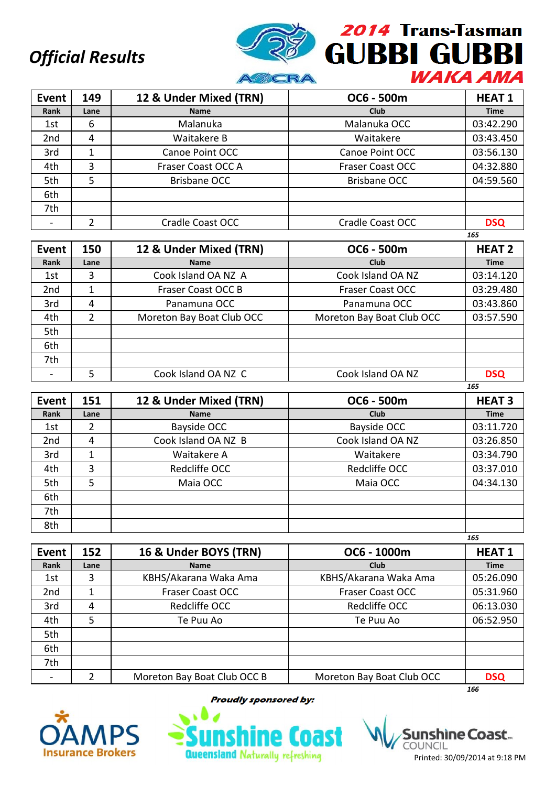

| <b>Event</b> | 149  | 12 & Under Mixed (TRN) | OC6 - 500m              | <b>HEAT1</b> |
|--------------|------|------------------------|-------------------------|--------------|
| Rank         | Lane | <b>Name</b>            | Club                    | <b>Time</b>  |
| 1st          | 6    | Malanuka               | Malanuka OCC            | 03:42.290    |
| 2nd          | 4    | Waitakere B            | Waitakere               | 03:43.450    |
| 3rd          | 1    | Canoe Point OCC        | Canoe Point OCC         | 03:56.130    |
| 4th          | 3    | Fraser Coast OCC A     | <b>Fraser Coast OCC</b> | 04:32.880    |
| 5th          | 5    | Brisbane OCC           | <b>Brisbane OCC</b>     | 04:59.560    |
| 6th          |      |                        |                         |              |
| 7th          |      |                        |                         |              |
|              |      | Cradle Coast OCC       | <b>Cradle Coast OCC</b> | <b>DSQ</b>   |

|                 |      |                           |                           | 165           |
|-----------------|------|---------------------------|---------------------------|---------------|
| <b>Event</b>    | 150  | 12 & Under Mixed (TRN)    | OC6 - 500m                | <b>HEAT 2</b> |
| Rank            | Lane | <b>Name</b>               | Club                      | <b>Time</b>   |
| 1st             | 3    | Cook Island OA NZ A       | Cook Island OA NZ         | 03:14.120     |
| 2 <sub>nd</sub> |      | Fraser Coast OCC B        | <b>Fraser Coast OCC</b>   | 03:29.480     |
| 3rd             | 4    | Panamuna OCC              | Panamuna OCC              | 03:43.860     |
| 4th             | 2    | Moreton Bay Boat Club OCC | Moreton Bay Boat Club OCC | 03:57.590     |
| 5th             |      |                           |                           |               |
| 6th             |      |                           |                           |               |
| 7th             |      |                           |                           |               |
|                 | 5    | Cook Island OA NZ C       | Cook Island OA NZ         | <b>DSQ</b>    |

| Event           | 151  | 12 & Under Mixed (TRN) | OC6 - 500m        | <b>HEAT 3</b> |
|-----------------|------|------------------------|-------------------|---------------|
| Rank            | Lane | <b>Name</b>            | <b>Club</b>       | <b>Time</b>   |
| 1st             | 2    | Bayside OCC            | Bayside OCC       | 03:11.720     |
| 2 <sub>nd</sub> | 4    | Cook Island OA NZ B    | Cook Island OA NZ | 03:26.850     |
| 3rd             |      | Waitakere A            | Waitakere         | 03:34.790     |
| 4th             | 3    | Redcliffe OCC          | Redcliffe OCC     | 03:37.010     |
| 5th             | 5    | Maia OCC               | Maia OCC          | 04:34.130     |
| 6th             |      |                        |                   |               |
| 7th             |      |                        |                   |               |
| 8th             |      |                        |                   |               |
|                 |      |                        |                   | 165           |

| <b>Event</b>    | 152  | 16 & Under BOYS (TRN)       | OC6 - 1000m               | <b>HEAT1</b> |
|-----------------|------|-----------------------------|---------------------------|--------------|
| Rank            | Lane | <b>Name</b>                 | Club                      | <b>Time</b>  |
| 1st             | 3    | KBHS/Akarana Waka Ama       | KBHS/Akarana Waka Ama     | 05:26.090    |
| 2 <sub>nd</sub> | 1    | Fraser Coast OCC            | <b>Fraser Coast OCC</b>   | 05:31.960    |
| 3rd             | 4    | Redcliffe OCC               | Redcliffe OCC             | 06:13.030    |
| 4th             | 5    | Te Puu Ao                   | Te Puu Ao                 | 06:52.950    |
| 5th             |      |                             |                           |              |
| 6th             |      |                             |                           |              |
| 7th             |      |                             |                           |              |
|                 | 2    | Moreton Bay Boat Club OCC B | Moreton Bay Boat Club OCC | <b>DSQ</b>   |
|                 |      |                             |                           | 166          |



**Proudly sponsored by:** 

**Queensland Naturally refreshing** 

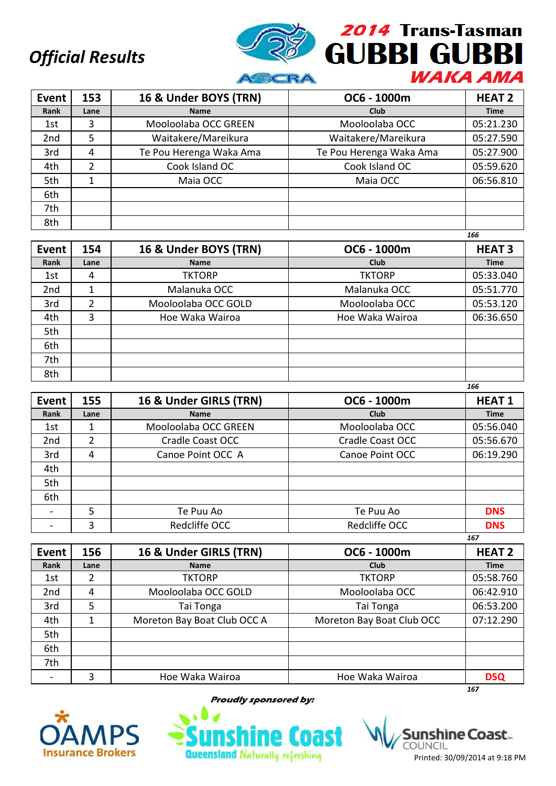

| <b>Event</b>    | 153  | 16 & Under BOYS (TRN)   | OC6 - 1000m             | <b>HEAT 2</b> |
|-----------------|------|-------------------------|-------------------------|---------------|
| Rank            | Lane | <b>Name</b>             | Club                    | <b>Time</b>   |
| 1st             | 3    | Mooloolaba OCC GREEN    | Mooloolaba OCC          | 05:21.230     |
| 2 <sub>nd</sub> | 5    | Waitakere/Mareikura     | Waitakere/Mareikura     | 05:27.590     |
| 3rd             | 4    | Te Pou Herenga Waka Ama | Te Pou Herenga Waka Ama | 05:27.900     |
| 4th             | 2    | Cook Island OC          | Cook Island OC          | 05:59.620     |
| 5th             |      | Maia OCC                | Maia OCC                | 06:56.810     |
| 6th             |      |                         |                         |               |
| 7th             |      |                         |                         |               |
| 8th             |      |                         |                         |               |

|                 |               |                       |                 | 166           |
|-----------------|---------------|-----------------------|-----------------|---------------|
| <b>Event</b>    | 154           | 16 & Under BOYS (TRN) | OC6 - 1000m     | <b>HEAT 3</b> |
| Rank            | Lane          | <b>Name</b>           | Club            | <b>Time</b>   |
| 1st             | 4             | <b>TKTORP</b>         | <b>TKTORP</b>   | 05:33.040     |
| 2 <sub>nd</sub> |               | Malanuka OCC          | Malanuka OCC    | 05:51.770     |
| 3rd             | $\mathfrak z$ | Mooloolaba OCC GOLD   | Mooloolaba OCC  | 05:53.120     |
| 4th             | 3             | Hoe Waka Wairoa       | Hoe Waka Wairoa | 06:36.650     |
| 5th             |               |                       |                 |               |
| 6th             |               |                       |                 |               |
| 7th             |               |                       |                 |               |
| 8th             |               |                       |                 |               |

| <b>Event</b>    | 155  | 16 & Under GIRLS (TRN) | OC6 - 1000m      | <b>HEAT1</b> |
|-----------------|------|------------------------|------------------|--------------|
| Rank            | Lane | <b>Name</b>            | <b>Club</b>      | <b>Time</b>  |
| 1st             |      | Mooloolaba OCC GREEN   | Mooloolaba OCC   | 05:56.040    |
| 2 <sub>nd</sub> | 2    | Cradle Coast OCC       | Cradle Coast OCC | 05:56.670    |
| 3rd             | 4    | Canoe Point OCC A      | Canoe Point OCC  | 06:19.290    |
| 4th             |      |                        |                  |              |
| 5th             |      |                        |                  |              |
| 6th             |      |                        |                  |              |
|                 | 5    | Te Puu Ao              | Te Puu Ao        | <b>DNS</b>   |
|                 | 3    | Redcliffe OCC          | Redcliffe OCC    | <b>DNS</b>   |
|                 |      |                        |                  | 167          |

| Event | 156  | 16 & Under GIRLS (TRN)      | OC6 - 1000m               | <b>HEAT 2</b> |
|-------|------|-----------------------------|---------------------------|---------------|
| Rank  | Lane | <b>Name</b>                 | Club                      | <b>Time</b>   |
| 1st   | 2    | <b>TKTORP</b>               | <b>TKTORP</b>             | 05:58.760     |
| 2nd   | 4    | Mooloolaba OCC GOLD         | Mooloolaba OCC            | 06:42.910     |
| 3rd   | 5    | Tai Tonga                   | Tai Tonga                 | 06:53.200     |
| 4th   | 1    | Moreton Bay Boat Club OCC A | Moreton Bay Boat Club OCC | 07:12.290     |
| 5th   |      |                             |                           |               |
| 6th   |      |                             |                           |               |
| 7th   |      |                             |                           |               |
|       | 3    | Hoe Waka Wairoa             | Hoe Waka Wairoa           | <b>DSQ</b>    |
|       |      |                             |                           | 167           |



**Proudly sponsored by:** 



shine Coast... COUNCIL Printed: 30/09/2014 at 9:18 PM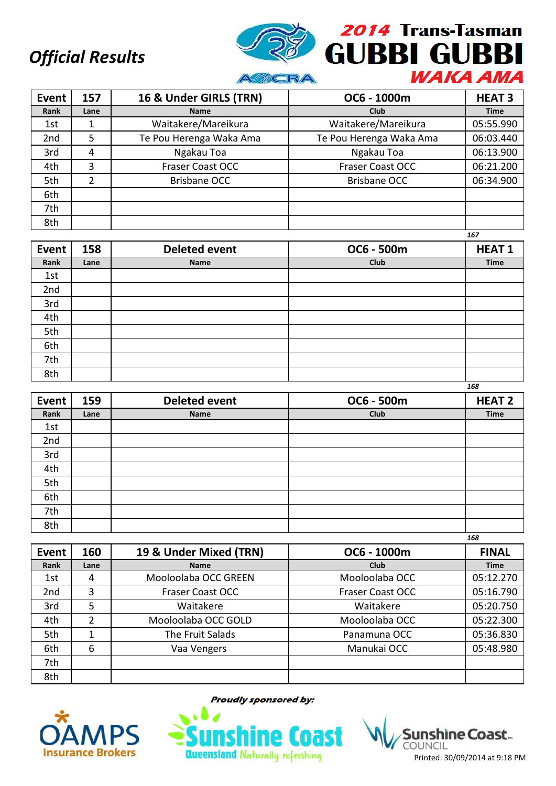

| <b>Event</b>    | 157  | 16 & Under GIRLS (TRN)  | OC6 - 1000m             | <b>HEAT 3</b> |
|-----------------|------|-------------------------|-------------------------|---------------|
| Rank            | Lane | <b>Name</b>             | Club                    | <b>Time</b>   |
| 1st             |      | Waitakere/Mareikura     | Waitakere/Mareikura     | 05:55.990     |
| 2 <sub>nd</sub> | 5    | Te Pou Herenga Waka Ama | Te Pou Herenga Waka Ama | 06:03.440     |
| 3rd             | 4    | Ngakau Toa              | Ngakau Toa              | 06:13.900     |
| 4th             | 3    | <b>Fraser Coast OCC</b> | <b>Fraser Coast OCC</b> | 06:21.200     |
| 5th             | 2    | <b>Brisbane OCC</b>     | <b>Brisbane OCC</b>     | 06:34.900     |
| 6th             |      |                         |                         |               |
| 7th             |      |                         |                         |               |
| 8th             |      |                         |                         |               |

|       |      |                      |            | 167          |
|-------|------|----------------------|------------|--------------|
| Event | 158  | <b>Deleted event</b> | OC6 - 500m | <b>HEAT1</b> |
| Rank  | Lane | Name                 | Club       | <b>Time</b>  |
| 1st   |      |                      |            |              |
| 2nd   |      |                      |            |              |
| 3rd   |      |                      |            |              |
| 4th   |      |                      |            |              |
| 5th   |      |                      |            |              |
| 6th   |      |                      |            |              |
| 7th   |      |                      |            |              |
| 8th   |      |                      |            |              |

| Event | 159  | <b>Deleted event</b> | OC6 - 500m | <b>HEAT 2</b> |
|-------|------|----------------------|------------|---------------|
| Rank  | Lane | Name                 | Club       | <b>Time</b>   |
| 1st   |      |                      |            |               |
| 2nd   |      |                      |            |               |
| 3rd   |      |                      |            |               |
| 4th   |      |                      |            |               |
| 5th   |      |                      |            |               |
| 6th   |      |                      |            |               |
| 7th   |      |                      |            |               |
| 8th   |      |                      |            |               |

|                 |      |                         |                         | 168          |
|-----------------|------|-------------------------|-------------------------|--------------|
| Event           | 160  | 19 & Under Mixed (TRN)  | OC6 - 1000m             | <b>FINAL</b> |
| Rank            | Lane | <b>Name</b>             | Club                    | <b>Time</b>  |
| 1st             | 4    | Mooloolaba OCC GREEN    | Mooloolaba OCC          | 05:12.270    |
| 2 <sub>nd</sub> | 3    | <b>Fraser Coast OCC</b> | <b>Fraser Coast OCC</b> | 05:16.790    |
| 3rd             | 5    | Waitakere               | Waitakere               | 05:20.750    |
| 4th             | າ    | Mooloolaba OCC GOLD     | Mooloolaba OCC          | 05:22.300    |
| 5th             |      | The Fruit Salads        | Panamuna OCC            | 05:36.830    |
| 6th             | 6    | Vaa Vengers             | Manukai OCC             | 05:48.980    |
| 7th             |      |                         |                         |              |
| 8th             |      |                         |                         |              |



**Proudly sponsored by:** 



nshìne Coast... COUNCIL Printed: 30/09/2014 at 9:18 PM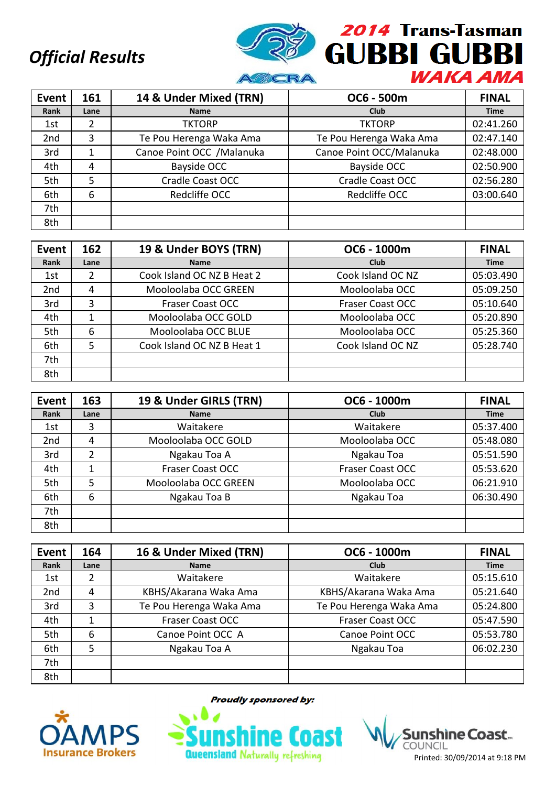

| Event           | 161  | 14 & Under Mixed (TRN)     | OC6 - 500m               | <b>FINAL</b> |
|-----------------|------|----------------------------|--------------------------|--------------|
| Rank            | Lane | <b>Name</b>                | Club                     | <b>Time</b>  |
| 1st             | 2    | <b>TKTORP</b>              | <b>TKTORP</b>            | 02:41.260    |
| 2 <sub>nd</sub> | 3    | Te Pou Herenga Waka Ama    | Te Pou Herenga Waka Ama  | 02:47.140    |
| 3rd             |      | Canoe Point OCC / Malanuka | Canoe Point OCC/Malanuka | 02:48.000    |
| 4th             | 4    | Bayside OCC                | <b>Bayside OCC</b>       | 02:50.900    |
| 5th             | 5    | Cradle Coast OCC           | Cradle Coast OCC         | 02:56.280    |
| 6th             | 6    | Redcliffe OCC              | Redcliffe OCC            | 03:00.640    |
| 7th             |      |                            |                          |              |
| 8th             |      |                            |                          |              |

| <b>Event</b> | 162  | 19 & Under BOYS (TRN)      | OC6 - 1000m             | <b>FINAL</b> |
|--------------|------|----------------------------|-------------------------|--------------|
| Rank         | Lane | <b>Name</b>                | <b>Club</b>             | <b>Time</b>  |
| 1st          | 2    | Cook Island OC NZ B Heat 2 | Cook Island OC NZ       | 05:03.490    |
| 2nd          | 4    | Mooloolaba OCC GREEN       | Mooloolaba OCC          | 05:09.250    |
| 3rd          | 3    | <b>Fraser Coast OCC</b>    | <b>Fraser Coast OCC</b> | 05:10.640    |
| 4th          |      | Mooloolaba OCC GOLD        | Mooloolaba OCC          | 05:20.890    |
| 5th          | 6    | Mooloolaba OCC BLUE        | Mooloolaba OCC          | 05:25.360    |
| 6th          | 5    | Cook Island OC NZ B Heat 1 | Cook Island OC NZ       | 05:28.740    |
| 7th          |      |                            |                         |              |
| 8th          |      |                            |                         |              |

| Event           | 163  | 19 & Under GIRLS (TRN) | OC6 - 1000m      | <b>FINAL</b> |
|-----------------|------|------------------------|------------------|--------------|
| Rank            | Lane | <b>Name</b>            | Club             | <b>Time</b>  |
| 1st             | 3    | Waitakere              | Waitakere        | 05:37.400    |
| 2 <sub>nd</sub> | 4    | Mooloolaba OCC GOLD    | Mooloolaba OCC   | 05:48.080    |
| 3rd             | 2    | Ngakau Toa A           | Ngakau Toa       | 05:51.590    |
| 4th             |      | Fraser Coast OCC       | Fraser Coast OCC | 05:53.620    |
| 5th             | 5    | Mooloolaba OCC GREEN   | Mooloolaba OCC   | 06:21.910    |
| 6th             | 6    | Ngakau Toa B           | Ngakau Toa       | 06:30.490    |
| 7th             |      |                        |                  |              |
| 8th             |      |                        |                  |              |

| Event           | 164  | 16 & Under Mixed (TRN)  | OC6 - 1000m             | <b>FINAL</b> |
|-----------------|------|-------------------------|-------------------------|--------------|
| Rank            | Lane | <b>Name</b>             | Club                    | <b>Time</b>  |
| 1st             | 2    | Waitakere               | Waitakere               | 05:15.610    |
| 2 <sub>nd</sub> | 4    | KBHS/Akarana Waka Ama   | KBHS/Akarana Waka Ama   | 05:21.640    |
| 3rd             | 3    | Te Pou Herenga Waka Ama | Te Pou Herenga Waka Ama | 05:24.800    |
| 4th             |      | <b>Fraser Coast OCC</b> | <b>Fraser Coast OCC</b> | 05:47.590    |
| 5th             | 6    | Canoe Point OCC A       | Canoe Point OCC         | 05:53.780    |
| 6th             | 5    | Ngakau Toa A            | Ngakau Toa              | 06:02.230    |
| 7th             |      |                         |                         |              |
| 8th             |      |                         |                         |              |



**Proudly sponsored by:** 



**Sunshine Coast** Printed: 30/09/2014 at 9:18 PM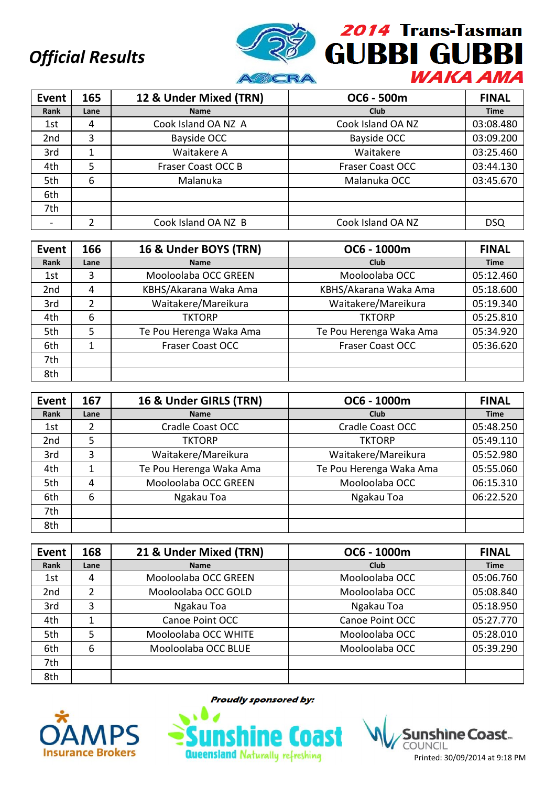

| Event           | 165  | 12 & Under Mixed (TRN) | OC6 - 500m              | <b>FINAL</b> |
|-----------------|------|------------------------|-------------------------|--------------|
| Rank            | Lane | <b>Name</b>            | Club                    | <b>Time</b>  |
| 1st             | 4    | Cook Island OA NZ A    | Cook Island OA NZ       | 03:08.480    |
| 2 <sub>nd</sub> | 3    | Bayside OCC            | Bayside OCC             | 03:09.200    |
| 3rd             | 1    | Waitakere A            | Waitakere               | 03:25.460    |
| 4th             | 5    | Fraser Coast OCC B     | <b>Fraser Coast OCC</b> | 03:44.130    |
| 5th             | 6    | Malanuka               | Malanuka OCC            | 03:45.670    |
| 6th             |      |                        |                         |              |
| 7th             |      |                        |                         |              |
|                 |      | Cook Island OA NZ B    | Cook Island OA NZ       | <b>DSQ</b>   |

| Event | 166  | 16 & Under BOYS (TRN)   | OC6 - 1000m             | <b>FINAL</b> |
|-------|------|-------------------------|-------------------------|--------------|
| Rank  | Lane | <b>Name</b>             | Club                    | <b>Time</b>  |
| 1st   | 3    | Mooloolaba OCC GREEN    | Mooloolaba OCC          | 05:12.460    |
| 2nd   | 4    | KBHS/Akarana Waka Ama   | KBHS/Akarana Waka Ama   | 05:18.600    |
| 3rd   | 2    | Waitakere/Mareikura     | Waitakere/Mareikura     | 05:19.340    |
| 4th   | 6    | <b>TKTORP</b>           | <b>TKTORP</b>           | 05:25.810    |
| 5th   | 5    | Te Pou Herenga Waka Ama | Te Pou Herenga Waka Ama | 05:34.920    |
| 6th   |      | <b>Fraser Coast OCC</b> | <b>Fraser Coast OCC</b> | 05:36.620    |
| 7th   |      |                         |                         |              |
| 8th   |      |                         |                         |              |

| <b>Event</b> | 167  | 16 & Under GIRLS (TRN)  | OC6 - 1000m             | <b>FINAL</b> |
|--------------|------|-------------------------|-------------------------|--------------|
| Rank         | Lane | <b>Name</b>             | Club                    | <b>Time</b>  |
| 1st          | 2    | Cradle Coast OCC        | Cradle Coast OCC        | 05:48.250    |
| 2nd          | 5    | <b>TKTORP</b>           | <b>TKTORP</b>           | 05:49.110    |
| 3rd          | 3    | Waitakere/Mareikura     | Waitakere/Mareikura     | 05:52.980    |
| 4th          | 1    | Te Pou Herenga Waka Ama | Te Pou Herenga Waka Ama | 05:55.060    |
| 5th          | 4    | Mooloolaba OCC GREEN    | Mooloolaba OCC          | 06:15.310    |
| 6th          | 6    | Ngakau Toa              | Ngakau Toa              | 06:22.520    |
| 7th          |      |                         |                         |              |
| 8th          |      |                         |                         |              |

| Event           | 168  | 21 & Under Mixed (TRN) | OC6 - 1000m     | <b>FINAL</b> |
|-----------------|------|------------------------|-----------------|--------------|
| Rank            | Lane | <b>Name</b>            | Club            | <b>Time</b>  |
| 1st             | 4    | Mooloolaba OCC GREEN   | Mooloolaba OCC  | 05:06.760    |
| 2 <sub>nd</sub> | 2    | Mooloolaba OCC GOLD    | Mooloolaba OCC  | 05:08.840    |
| 3rd             | 3    | Ngakau Toa             | Ngakau Toa      | 05:18.950    |
| 4th             |      | Canoe Point OCC        | Canoe Point OCC | 05:27.770    |
| 5th             | 5    | Mooloolaba OCC WHITE   | Mooloolaba OCC  | 05:28.010    |
| 6th             | 6    | Mooloolaba OCC BLUE    | Mooloolaba OCC  | 05:39.290    |
| 7th             |      |                        |                 |              |
| 8th             |      |                        |                 |              |



**Proudly sponsored by:** 



COUNCIL Printed: 30/09/2014 at 9:18 PM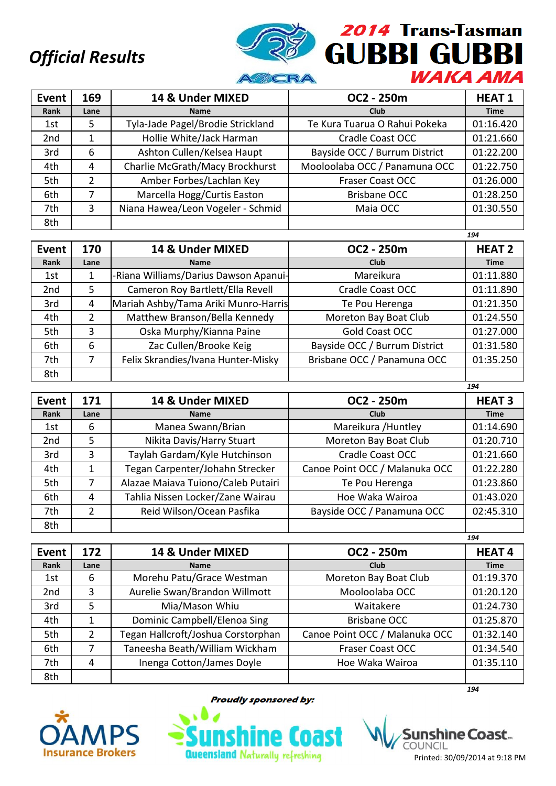

| Event           | 169  | 14 & Under MIXED                  | OC2 - 250m                    | <b>HEAT1</b> |
|-----------------|------|-----------------------------------|-------------------------------|--------------|
| Rank            | Lane | <b>Name</b>                       | <b>Club</b>                   | <b>Time</b>  |
| 1st             | 5.   | Tyla-Jade Pagel/Brodie Strickland | Te Kura Tuarua O Rahui Pokeka | 01:16.420    |
| 2 <sub>nd</sub> |      | Hollie White/Jack Harman          | <b>Cradle Coast OCC</b>       | 01:21.660    |
| 3rd             | 6    | Ashton Cullen/Kelsea Haupt        | Bayside OCC / Burrum District | 01:22.200    |
| 4th             | 4    | Charlie McGrath/Macy Brockhurst   | Mooloolaba OCC / Panamuna OCC | 01:22.750    |
| 5th             | 2    | Amber Forbes/Lachlan Key          | <b>Fraser Coast OCC</b>       | 01:26.000    |
| 6th             |      | Marcella Hogg/Curtis Easton       | <b>Brisbane OCC</b>           | 01:28.250    |
| 7th             | 3    | Niana Hawea/Leon Vogeler - Schmid | Maia OCC                      | 01:30.550    |
| 8th             |      |                                   |                               |              |

|                 |      |                                       |                               | 194           |
|-----------------|------|---------------------------------------|-------------------------------|---------------|
| Event           | 170  | 14 & Under MIXED                      | OC2 - 250m                    | <b>HEAT 2</b> |
| Rank            | Lane | <b>Name</b>                           | Club                          | <b>Time</b>   |
| 1st             |      | -Riana Williams/Darius Dawson Apanui- | Mareikura                     | 01:11.880     |
| 2 <sub>nd</sub> | 5    | Cameron Roy Bartlett/Ella Revell      | <b>Cradle Coast OCC</b>       | 01:11.890     |
| 3rd             | 4    | Mariah Ashby/Tama Ariki Munro-Harris  | Te Pou Herenga                | 01:21.350     |
| 4th             | 2    | Matthew Branson/Bella Kennedy         | Moreton Bay Boat Club         | 01:24.550     |
| 5th             | 3    | Oska Murphy/Kianna Paine              | Gold Coast OCC                | 01:27.000     |
| 6th             | 6    | Zac Cullen/Brooke Keig                | Bayside OCC / Burrum District | 01:31.580     |
| 7th             | 7    | Felix Skrandies/Ivana Hunter-Misky    | Brisbane OCC / Panamuna OCC   | 01:35.250     |
| 8th             |      |                                       |                               |               |

| Event           | 171  | 14 & Under MIXED                   | OC2 - 250m                     | <b>HEAT 3</b> |
|-----------------|------|------------------------------------|--------------------------------|---------------|
| Rank            | Lane | <b>Name</b>                        | Club                           | <b>Time</b>   |
| 1st             | 6    | Manea Swann/Brian                  | Mareikura / Huntley            | 01:14.690     |
| 2 <sub>nd</sub> | 5    | Nikita Davis/Harry Stuart          | Moreton Bay Boat Club          | 01:20.710     |
| 3rd             | 3    | Taylah Gardam/Kyle Hutchinson      | Cradle Coast OCC               | 01:21.660     |
| 4th             |      | Tegan Carpenter/Johahn Strecker    | Canoe Point OCC / Malanuka OCC | 01:22.280     |
| 5th             | 7    | Alazae Maiava Tuiono/Caleb Putairi | Te Pou Herenga                 | 01:23.860     |
| 6th             | 4    | Tahlia Nissen Locker/Zane Wairau   | Hoe Waka Wairoa                | 01:43.020     |
| 7th             | 2    | Reid Wilson/Ocean Pasfika          | Bayside OCC / Panamuna OCC     | 02:45.310     |
| 8th             |      |                                    |                                |               |

|                 |                |                                    |                                | 194          |
|-----------------|----------------|------------------------------------|--------------------------------|--------------|
| Event           | 172            | 14 & Under MIXED                   | OC2 - 250m                     | <b>HEAT4</b> |
| Rank            | Lane           | <b>Name</b>                        | <b>Club</b>                    | <b>Time</b>  |
| 1st             | 6              | Morehu Patu/Grace Westman          | Moreton Bay Boat Club          | 01:19.370    |
| 2 <sub>nd</sub> | 3              | Aurelie Swan/Brandon Willmott      | Mooloolaba OCC                 | 01:20.120    |
| 3rd             | 5              | Mia/Mason Whiu                     | Waitakere                      | 01:24.730    |
| 4th             |                | Dominic Campbell/Elenoa Sing       | <b>Brisbane OCC</b>            | 01:25.870    |
| 5th             | $\overline{2}$ | Tegan Hallcroft/Joshua Corstorphan | Canoe Point OCC / Malanuka OCC | 01:32.140    |
| 6th             | 7              | Taneesha Beath/William Wickham     | Fraser Coast OCC               | 01:34.540    |
| 7th             | 4              | Inenga Cotton/James Doyle          | Hoe Waka Wairoa                | 01:35.110    |
| 8th             |                |                                    |                                |              |
|                 |                |                                    |                                | 194          |



**Proudly sponsored by:** 



shine Coast... COUNCIL Printed: 30/09/2014 at 9:18 PM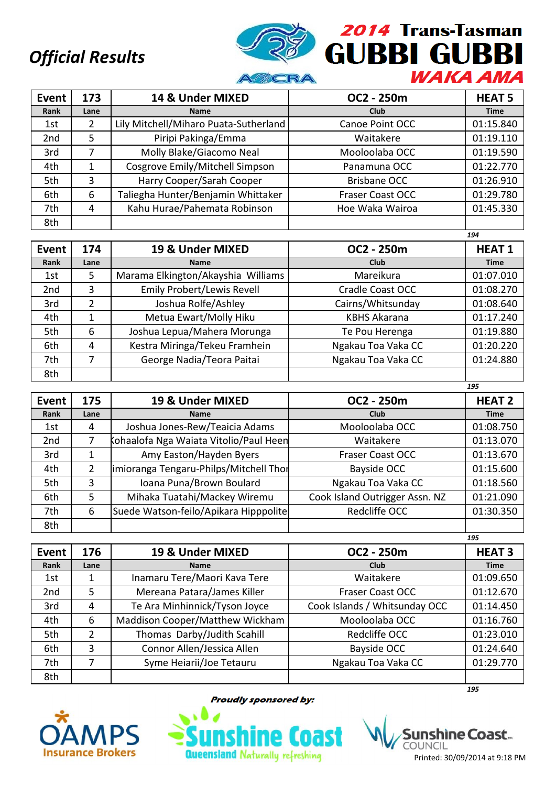

| Event           | 173  | 14 & Under MIXED                      | OC2 - 250m              | <b>HEAT 5</b> |
|-----------------|------|---------------------------------------|-------------------------|---------------|
| Rank            | Lane | <b>Name</b>                           | Club                    | <b>Time</b>   |
| 1st             | 2    | Lily Mitchell/Miharo Puata-Sutherland | Canoe Point OCC         | 01:15.840     |
| 2 <sub>nd</sub> | 5    | Piripi Pakinga/Emma                   | Waitakere               | 01:19.110     |
| 3rd             | 7    | Molly Blake/Giacomo Neal              | Mooloolaba OCC          | 01:19.590     |
| 4th             |      | Cosgrove Emily/Mitchell Simpson       | Panamuna OCC            | 01:22.770     |
| 5th             | 3    | Harry Cooper/Sarah Cooper             | <b>Brisbane OCC</b>     | 01:26.910     |
| 6th             | 6    | Taliegha Hunter/Benjamin Whittaker    | <b>Fraser Coast OCC</b> | 01:29.780     |
| 7th             | 4    | Kahu Hurae/Pahemata Robinson          | Hoe Waka Wairoa         | 01:45.330     |
| 8th             |      |                                       |                         |               |

|                 |      |                                    |                         | 194          |
|-----------------|------|------------------------------------|-------------------------|--------------|
| Event           | 174  | 19 & Under MIXED                   | OC2 - 250m              | <b>HEAT1</b> |
| Rank            | Lane | <b>Name</b>                        | Club                    | <b>Time</b>  |
| 1st             | 5    | Marama Elkington/Akayshia Williams | Mareikura               | 01:07.010    |
| 2 <sub>nd</sub> | 3    | <b>Emily Probert/Lewis Revell</b>  | <b>Cradle Coast OCC</b> | 01:08.270    |
| 3rd             | 2    | Joshua Rolfe/Ashley                | Cairns/Whitsunday       | 01:08.640    |
| 4th             |      | Metua Ewart/Molly Hiku             | <b>KBHS Akarana</b>     | 01:17.240    |
| 5th             | 6    | Joshua Lepua/Mahera Morunga        | Te Pou Herenga          | 01:19.880    |
| 6th             | 4    | Kestra Miringa/Tekeu Framhein      | Ngakau Toa Vaka CC      | 01:20.220    |
| 7th             |      | George Nadia/Teora Paitai          | Ngakau Toa Vaka CC      | 01:24.880    |
| 8th             |      |                                    |                         |              |

| Event           | 175  | 19 & Under MIXED                       | OC2 - 250m                     | <b>HEAT 2</b> |
|-----------------|------|----------------------------------------|--------------------------------|---------------|
| Rank            | Lane | <b>Name</b>                            | Club                           | <b>Time</b>   |
| 1st             | 4    | Joshua Jones-Rew/Teaicia Adams         | Mooloolaba OCC                 | 01:08.750     |
| 2 <sub>nd</sub> |      | Cohaalofa Nga Waiata Vitolio/Paul Heen | Waitakere                      | 01:13.070     |
| 3rd             |      | Amy Easton/Hayden Byers                | <b>Fraser Coast OCC</b>        | 01:13.670     |
| 4th             |      | imioranga Tengaru-Philps/Mitchell Thor | <b>Bayside OCC</b>             | 01:15.600     |
| 5th             | 3    | Ioana Puna/Brown Boulard               | Ngakau Toa Vaka CC             | 01:18.560     |
| 6th             | 5    | Mihaka Tuatahi/Mackey Wiremu           | Cook Island Outrigger Assn. NZ | 01:21.090     |
| 7th             | 6    | Suede Watson-feilo/Apikara Hipppolite  | Redcliffe OCC                  | 01:30.350     |
| 8th             |      |                                        |                                |               |

|                 |      |                                 |                               | 195           |
|-----------------|------|---------------------------------|-------------------------------|---------------|
| Event           | 176  | 19 & Under MIXED                | OC2 - 250m                    | <b>HEAT 3</b> |
| Rank            | Lane | <b>Name</b>                     | Club                          | <b>Time</b>   |
| 1st             |      | Inamaru Tere/Maori Kava Tere    | Waitakere                     | 01:09.650     |
| 2 <sub>nd</sub> | 5    | Mereana Patara/James Killer     | <b>Fraser Coast OCC</b>       | 01:12.670     |
| 3rd             | 4    | Te Ara Minhinnick/Tyson Joyce   | Cook Islands / Whitsunday OCC | 01:14.450     |
| 4th             | 6    | Maddison Cooper/Matthew Wickham | Mooloolaba OCC                | 01:16.760     |
| 5th             | 2    | Thomas Darby/Judith Scahill     | Redcliffe OCC                 | 01:23.010     |
| 6th             | 3    | Connor Allen/Jessica Allen      | Bayside OCC                   | 01:24.640     |
| 7th             |      | Syme Heiarii/Joe Tetauru        | Ngakau Toa Vaka CC            | 01:29.770     |
| 8th             |      |                                 |                               |               |



**Proudly sponsored by:** 



*195*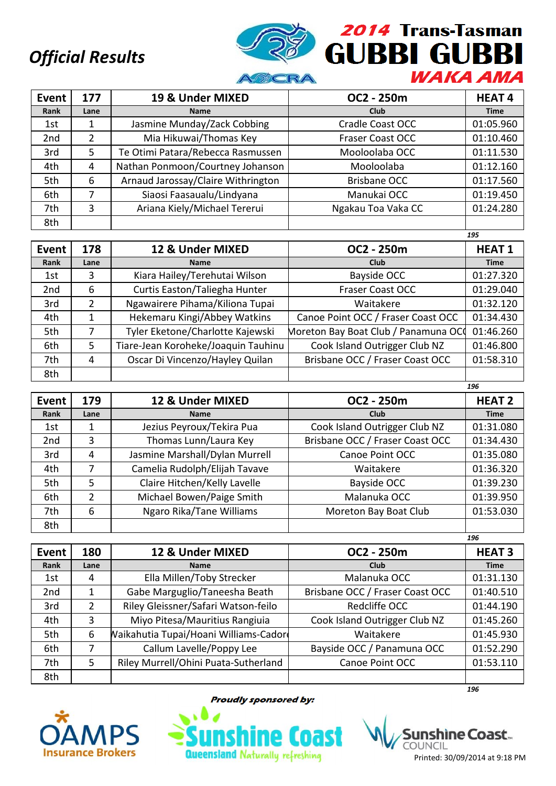

| Event           | 177  | 19 & Under MIXED                   | OC2 - 250m              | <b>HEAT4</b> |
|-----------------|------|------------------------------------|-------------------------|--------------|
| Rank            | Lane | <b>Name</b>                        | <b>Club</b>             | <b>Time</b>  |
| 1st             |      | Jasmine Munday/Zack Cobbing        | <b>Cradle Coast OCC</b> | 01:05.960    |
| 2 <sub>nd</sub> | 2    | Mia Hikuwai/Thomas Key             | <b>Fraser Coast OCC</b> | 01:10.460    |
| 3rd             | 5    | Te Otimi Patara/Rebecca Rasmussen  | Mooloolaba OCC          | 01:11.530    |
| 4th             | 4    | Nathan Ponmoon/Courtney Johanson   | Mooloolaba              | 01:12.160    |
| 5th             | 6    | Arnaud Jarossay/Claire Withrington | <b>Brisbane OCC</b>     | 01:17.560    |
| 6th             | 7    | Siaosi Faasaualu/Lindyana          | Manukai OCC             | 01:19.450    |
| 7th             | 3    | Ariana Kiely/Michael Tererui       | Ngakau Toa Vaka CC      | 01:24.280    |
| 8th             |      |                                    |                         |              |

|                 |               |                                     |                                     | 195          |
|-----------------|---------------|-------------------------------------|-------------------------------------|--------------|
| Event           | 178           | 12 & Under MIXED                    | OC2 - 250m                          | <b>HEAT1</b> |
| Rank            | Lane          | <b>Name</b>                         | Club                                | <b>Time</b>  |
| 1st             | 3             | Kiara Hailey/Terehutai Wilson       | Bayside OCC                         | 01:27.320    |
| 2 <sub>nd</sub> | 6             | Curtis Easton/Taliegha Hunter       | Fraser Coast OCC                    | 01:29.040    |
| 3rd             | $\mathcal{P}$ | Ngawairere Pihama/Kiliona Tupai     | Waitakere                           | 01:32.120    |
| 4th             |               | Hekemaru Kingi/Abbey Watkins        | Canoe Point OCC / Fraser Coast OCC  | 01:34.430    |
| 5th             |               | Tyler Eketone/Charlotte Kajewski    | Moreton Bay Boat Club / Panamuna OC | 01:46.260    |
| 6th             | 5.            | Tiare-Jean Koroheke/Joaquin Tauhinu | Cook Island Outrigger Club NZ       | 01:46.800    |
| 7th             | 4             | Oscar Di Vincenzo/Hayley Quilan     | Brisbane OCC / Fraser Coast OCC     | 01:58.310    |
| 8th             |               |                                     |                                     |              |

| <b>Event</b>    | 179           | 12 & Under MIXED               | OC2 - 250m                      | <b>HEAT 2</b> |
|-----------------|---------------|--------------------------------|---------------------------------|---------------|
| Rank            | Lane          | <b>Name</b>                    | <b>Club</b>                     | <b>Time</b>   |
| 1st             |               | Jezius Peyroux/Tekira Pua      | Cook Island Outrigger Club NZ   | 01:31.080     |
| 2 <sub>nd</sub> | 3             | Thomas Lunn/Laura Key          | Brisbane OCC / Fraser Coast OCC | 01:34.430     |
| 3rd             | 4             | Jasmine Marshall/Dylan Murrell | Canoe Point OCC                 | 01:35.080     |
| 4th             |               | Camelia Rudolph/Elijah Tavave  | Waitakere                       | 01:36.320     |
| 5th             | 5             | Claire Hitchen/Kelly Lavelle   | Bayside OCC                     | 01:39.230     |
| 6th             | $\mathcal{P}$ | Michael Bowen/Paige Smith      | Malanuka OCC                    | 01:39.950     |
| 7th             | 6             | Ngaro Rika/Tane Williams       | Moreton Bay Boat Club           | 01:53.030     |
| 8th             |               |                                |                                 |               |

|                 |      |                                       |                                 | 196           |
|-----------------|------|---------------------------------------|---------------------------------|---------------|
| Event           | 180  | 12 & Under MIXED                      | OC2 - 250m                      | <b>HEAT 3</b> |
| Rank            | Lane | <b>Name</b>                           | Club                            | <b>Time</b>   |
| 1st             | 4    | Ella Millen/Toby Strecker             | Malanuka OCC                    | 01:31.130     |
| 2 <sub>nd</sub> | 1    | Gabe Marguglio/Taneesha Beath         | Brisbane OCC / Fraser Coast OCC | 01:40.510     |
| 3rd             | 2    | Riley Gleissner/Safari Watson-feilo   | Redcliffe OCC                   | 01:44.190     |
| 4th             | 3    | Miyo Pitesa/Mauritius Rangiuia        | Cook Island Outrigger Club NZ   | 01:45.260     |
| 5th             | 6    | Waikahutia Tupai/Hoani Williams-Cador | Waitakere                       | 01:45.930     |
| 6th             |      | Callum Lavelle/Poppy Lee              | Bayside OCC / Panamuna OCC      | 01:52.290     |
| 7th             | 5    | Riley Murrell/Ohini Puata-Sutherland  | Canoe Point OCC                 | 01:53.110     |
| 8th             |      |                                       |                                 |               |



**Proudly sponsored by:** 



*196*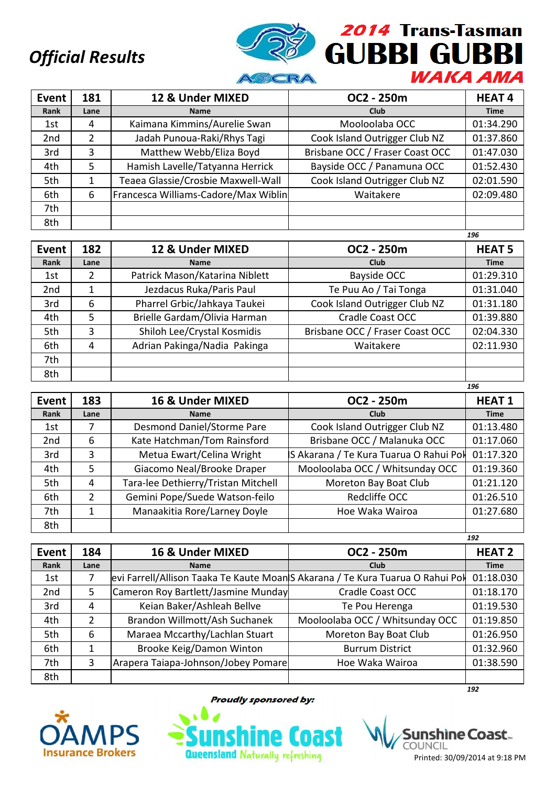

| Event           | 181  | 12 & Under MIXED                     | OC2 - 250m                      | <b>HEAT4</b> |
|-----------------|------|--------------------------------------|---------------------------------|--------------|
| Rank            | Lane | <b>Name</b>                          | <b>Club</b>                     | <b>Time</b>  |
| 1st             | 4    | Kaimana Kimmins/Aurelie Swan         | Mooloolaba OCC                  | 01:34.290    |
| 2 <sub>nd</sub> | 2    | Jadah Punoua-Raki/Rhys Tagi          | Cook Island Outrigger Club NZ   | 01:37.860    |
| 3rd             | 3    | Matthew Webb/Eliza Boyd              | Brisbane OCC / Fraser Coast OCC | 01:47.030    |
| 4th             | 5    | Hamish Lavelle/Tatyanna Herrick      | Bayside OCC / Panamuna OCC      | 01:52.430    |
| 5th             |      | Teaea Glassie/Crosbie Maxwell-Wall   | Cook Island Outrigger Club NZ   | 02:01.590    |
| 6th             | 6    | Francesca Williams-Cadore/Max Wiblin | Waitakere                       | 02:09.480    |
| 7th             |      |                                      |                                 |              |
| 8th             |      |                                      |                                 |              |

|                 |      |                                |                                 | 196           |
|-----------------|------|--------------------------------|---------------------------------|---------------|
| Event           | 182  | 12 & Under MIXED               | OC2 - 250m                      | <b>HEAT 5</b> |
| Rank            | Lane | <b>Name</b>                    | <b>Club</b>                     | <b>Time</b>   |
| 1st             | 2    | Patrick Mason/Katarina Niblett | Bayside OCC                     | 01:29.310     |
| 2 <sub>nd</sub> |      | Jezdacus Ruka/Paris Paul       | Te Puu Ao / Tai Tonga           | 01:31.040     |
| 3rd             | 6    | Pharrel Grbic/Jahkaya Taukei   | Cook Island Outrigger Club NZ   | 01:31.180     |
| 4th             | 5    | Brielle Gardam/Olivia Harman   | Cradle Coast OCC                | 01:39.880     |
| 5th             | 3    | Shiloh Lee/Crystal Kosmidis    | Brisbane OCC / Fraser Coast OCC | 02:04.330     |
| 6th             | 4    | Adrian Pakinga/Nadia Pakinga   | Waitakere                       | 02:11.930     |
| 7th             |      |                                |                                 |               |
| 8th             |      |                                |                                 |               |
|                 |      |                                |                                 | 196           |

| <b>Event</b>    | 183           | 16 & Under MIXED                    | OC2 - 250m                             | <b>HEAT1</b> |
|-----------------|---------------|-------------------------------------|----------------------------------------|--------------|
| Rank            | Lane          | <b>Name</b>                         | <b>Club</b>                            | <b>Time</b>  |
| 1st             |               | Desmond Daniel/Storme Pare          | Cook Island Outrigger Club NZ          | 01:13.480    |
| 2 <sub>nd</sub> | 6             | Kate Hatchman/Tom Rainsford         | Brisbane OCC / Malanuka OCC            | 01:17.060    |
| 3rd             | 3             | Metua Ewart/Celina Wright           | S Akarana / Te Kura Tuarua O Rahui Pol | 01:17.320    |
| 4th             | 5             | Giacomo Neal/Brooke Draper          | Mooloolaba OCC / Whitsunday OCC        | 01:19.360    |
| 5th             | 4             | Tara-lee Dethierry/Tristan Mitchell | Moreton Bay Boat Club                  | 01:21.120    |
| 6th             | $\mathcal{P}$ | Gemini Pope/Suede Watson-feilo      | Redcliffe OCC                          | 01:26.510    |
| 7th             |               | Manaakitia Rore/Larney Doyle        | Hoe Waka Wairoa                        | 01:27.680    |
| 8th             |               |                                     |                                        |              |

|       |      |                                                                                |                                 | 192           |
|-------|------|--------------------------------------------------------------------------------|---------------------------------|---------------|
| Event | 184  | 16 & Under MIXED                                                               | OC2 - 250m                      | <b>HEAT 2</b> |
| Rank  | Lane | <b>Name</b>                                                                    | <b>Club</b>                     | <b>Time</b>   |
| 1st   |      | evi Farrell/Allison Taaka Te Kaute Moan S Akarana / Te Kura Tuarua O Rahui Pol |                                 | 01:18.030     |
| 2nd   | 5.   | Cameron Roy Bartlett/Jasmine Munday                                            | Cradle Coast OCC                | 01:18.170     |
| 3rd   | 4    | Keian Baker/Ashleah Bellve                                                     | Te Pou Herenga                  | 01:19.530     |
| 4th   | 2    | Brandon Willmott/Ash Suchanek                                                  | Mooloolaba OCC / Whitsunday OCC | 01:19.850     |
| 5th   | 6    | Maraea Mccarthy/Lachlan Stuart                                                 | Moreton Bay Boat Club           | 01:26.950     |
| 6th   | 1    | Brooke Keig/Damon Winton                                                       | <b>Burrum District</b>          | 01:32.960     |
| 7th   | 3    | Arapera Taiapa-Johnson/Jobey Pomare                                            | Hoe Waka Wairoa                 | 01:38.590     |
| 8th   |      |                                                                                |                                 |               |
|       |      |                                                                                |                                 | 192           |



**Proudly sponsored by:** 

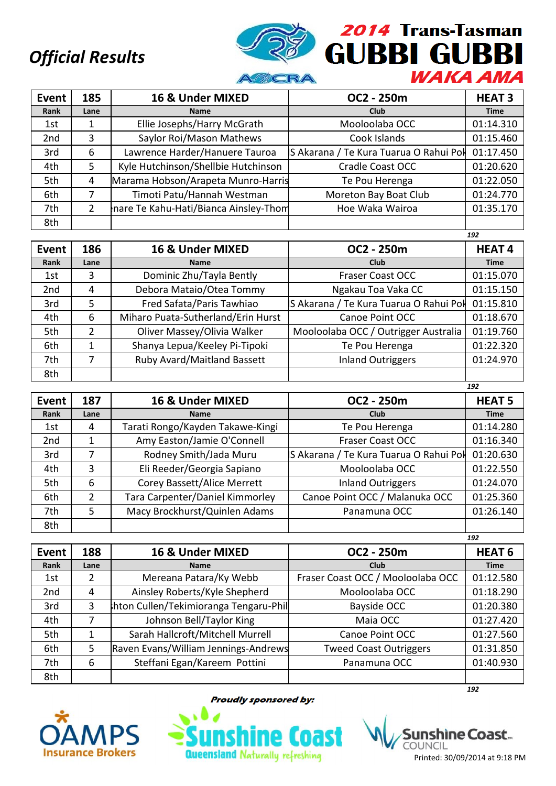

| Event           | 185           | 16 & Under MIXED                      | OC2 - 250m                             | <b>HEAT 3</b> |
|-----------------|---------------|---------------------------------------|----------------------------------------|---------------|
| Rank            | Lane          | <b>Name</b>                           | Club                                   | <b>Time</b>   |
| 1st             |               | Ellie Josephs/Harry McGrath           | Mooloolaba OCC                         | 01:14.310     |
| 2 <sub>nd</sub> | 3             | Saylor Roi/Mason Mathews              | Cook Islands                           | 01:15.460     |
| 3rd             | 6             | Lawrence Harder/Hanuere Tauroa        | S Akarana / Te Kura Tuarua O Rahui Pol | 01:17.450     |
| 4th             | 5             | Kyle Hutchinson/Shellbie Hutchinson   | Cradle Coast OCC                       | 01:20.620     |
| 5th             | 4             | Marama Hobson/Arapeta Munro-Harris    | Te Pou Herenga                         | 01:22.050     |
| 6th             |               | Timoti Patu/Hannah Westman            | Moreton Bay Boat Club                  | 01:24.770     |
| 7th             | $\mathcal{P}$ | nare Te Kahu-Hati/Bianca Ainsley-Thom | Hoe Waka Wairoa                        | 01:35.170     |
| 8th             |               |                                       |                                        |               |

|                 |      |                                    |                                        | 192          |
|-----------------|------|------------------------------------|----------------------------------------|--------------|
| <b>Event</b>    | 186  | 16 & Under MIXED                   | OC2 - 250m                             | <b>HEAT4</b> |
| Rank            | Lane | <b>Name</b>                        | Club                                   | <b>Time</b>  |
| 1st             | 3    | Dominic Zhu/Tayla Bently           | <b>Fraser Coast OCC</b>                | 01:15.070    |
| 2 <sub>nd</sub> | 4    | Debora Mataio/Otea Tommy           | Ngakau Toa Vaka CC                     | 01:15.150    |
| 3rd             | 5    | Fred Safata/Paris Tawhiao          | S Akarana / Te Kura Tuarua O Rahui Pol | 01:15.810    |
| 4th             | 6    | Miharo Puata-Sutherland/Erin Hurst | Canoe Point OCC                        | 01:18.670    |
| 5th             | 2    | Oliver Massey/Olivia Walker        | Mooloolaba OCC / Outrigger Australia   | 01:19.760    |
| 6th             |      | Shanya Lepua/Keeley Pi-Tipoki      | Te Pou Herenga                         | 01:22.320    |
| 7th             |      | Ruby Avard/Maitland Bassett        | <b>Inland Outriggers</b>               | 01:24.970    |
| 8th             |      |                                    |                                        |              |

| Event           | 187           | 16 & Under MIXED                 | OC2 - 250m                             | <b>HEAT 5</b> |
|-----------------|---------------|----------------------------------|----------------------------------------|---------------|
| Rank            | Lane          | <b>Name</b>                      | Club                                   | <b>Time</b>   |
| 1st             | 4             | Tarati Rongo/Kayden Takawe-Kingi | Te Pou Herenga                         | 01:14.280     |
| 2 <sub>nd</sub> |               | Amy Easton/Jamie O'Connell       | <b>Fraser Coast OCC</b>                | 01:16.340     |
| 3rd             |               | Rodney Smith/Jada Muru           | S Akarana / Te Kura Tuarua O Rahui Pol | 01:20.630     |
| 4th             | 3             | Eli Reeder/Georgia Sapiano       | Mooloolaba OCC                         | 01:22.550     |
| 5th             | 6             | Corey Bassett/Alice Merrett      | <b>Inland Outriggers</b>               | 01:24.070     |
| 6th             | $\mathcal{P}$ | Tara Carpenter/Daniel Kimmorley  | Canoe Point OCC / Malanuka OCC         | 01:25.360     |
| 7th             | 5             | Macy Brockhurst/Quinlen Adams    | Panamuna OCC                           | 01:26.140     |
| 8th             |               |                                  |                                        |               |

|                 |      |                                       |                                   | 192           |
|-----------------|------|---------------------------------------|-----------------------------------|---------------|
| Event           | 188  | 16 & Under MIXED                      | OC2 - 250m                        | <b>HEAT 6</b> |
| Rank            | Lane | <b>Name</b>                           | <b>Club</b>                       | <b>Time</b>   |
| 1st             |      | Mereana Patara/Ky Webb                | Fraser Coast OCC / Mooloolaba OCC | 01:12.580     |
| 2 <sub>nd</sub> | 4    | Ainsley Roberts/Kyle Shepherd         | Mooloolaba OCC                    | 01:18.290     |
| 3rd             | 3    | hton Cullen/Tekimioranga Tengaru-Phil | Bayside OCC                       | 01:20.380     |
| 4th             | 7    | Johnson Bell/Taylor King              | Maia OCC                          | 01:27.420     |
| 5th             |      | Sarah Hallcroft/Mitchell Murrell      | Canoe Point OCC                   | 01:27.560     |
| 6th             | 5    | Raven Evans/William Jennings-Andrews  | <b>Tweed Coast Outriggers</b>     | 01:31.850     |
| 7th             | 6    | Steffani Egan/Kareem Pottini          | Panamuna OCC                      | 01:40.930     |
| 8th             |      |                                       |                                   |               |
|                 |      |                                       |                                   | 192           |



**Proudly sponsored by:** 

**Queensland Naturally refreshing** 

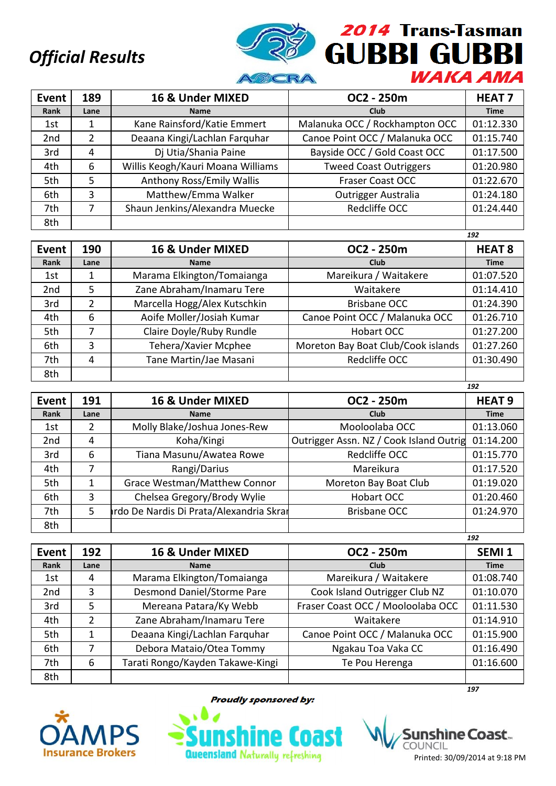

| <b>Event</b>    | 189            | 16 & Under MIXED                  | OC2 - 250m                     | <b>HEAT 7</b> |
|-----------------|----------------|-----------------------------------|--------------------------------|---------------|
| Rank            | Lane           | <b>Name</b>                       | <b>Club</b>                    | <b>Time</b>   |
| 1st             |                | Kane Rainsford/Katie Emmert       | Malanuka OCC / Rockhampton OCC | 01:12.330     |
| 2 <sub>nd</sub> | $\overline{2}$ | Deaana Kingi/Lachlan Farquhar     | Canoe Point OCC / Malanuka OCC | 01:15.740     |
| 3rd             | 4              | Dj Utia/Shania Paine              | Bayside OCC / Gold Coast OCC   | 01:17.500     |
| 4th             | 6              | Willis Keogh/Kauri Moana Williams | <b>Tweed Coast Outriggers</b>  | 01:20.980     |
| 5th             | 5              | Anthony Ross/Emily Wallis         | <b>Fraser Coast OCC</b>        | 01:22.670     |
| 6th             | 3              | Matthew/Emma Walker               | <b>Outrigger Australia</b>     | 01:24.180     |
| 7th             |                | Shaun Jenkins/Alexandra Muecke    | Redcliffe OCC                  | 01:24.440     |
| 8th             |                |                                   |                                |               |

|              |      |                              |                                    | 192           |
|--------------|------|------------------------------|------------------------------------|---------------|
| <b>Event</b> | 190  | 16 & Under MIXED             | OC2 - 250m                         | <b>HEAT 8</b> |
| Rank         | Lane | <b>Name</b>                  | Club                               | <b>Time</b>   |
| 1st          |      | Marama Elkington/Tomaianga   | Mareikura / Waitakere              | 01:07.520     |
| 2nd          | 5    | Zane Abraham/Inamaru Tere    | Waitakere                          | 01:14.410     |
| 3rd          | 2    | Marcella Hogg/Alex Kutschkin | <b>Brisbane OCC</b>                | 01:24.390     |
| 4th          | 6    | Aoife Moller/Josiah Kumar    | Canoe Point OCC / Malanuka OCC     | 01:26.710     |
| 5th          |      | Claire Doyle/Ruby Rundle     | <b>Hobart OCC</b>                  | 01:27.200     |
| 6th          | 3    | Tehera/Xavier Mcphee         | Moreton Bay Boat Club/Cook islands | 01:27.260     |
| 7th          | 4    | Tane Martin/Jae Masani       | Redcliffe OCC                      | 01:30.490     |
| 8th          |      |                              |                                    |               |

| <b>Event</b>    | 191  | 16 & Under MIXED                        | OC2 - 250m                              | <b>HEAT 9</b> |
|-----------------|------|-----------------------------------------|-----------------------------------------|---------------|
| Rank            | Lane | <b>Name</b>                             | Club                                    | <b>Time</b>   |
| 1st             | 2    | Molly Blake/Joshua Jones-Rew            | Mooloolaba OCC                          | 01:13.060     |
| 2 <sub>nd</sub> | 4    | Koha/Kingi                              | Outrigger Assn. NZ / Cook Island Outrig | 01:14.200     |
| 3rd             | 6    | Tiana Masunu/Awatea Rowe                | Redcliffe OCC                           | 01:15.770     |
| 4th             |      | Rangi/Darius                            | Mareikura                               | 01:17.520     |
| 5th             |      | Grace Westman/Matthew Connor            | Moreton Bay Boat Club                   | 01:19.020     |
| 6th             | 3    | Chelsea Gregory/Brody Wylie             | <b>Hobart OCC</b>                       | 01:20.460     |
| 7th             | 5    | rdo De Nardis Di Prata/Alexandria Skrar | <b>Brisbane OCC</b>                     | 01:24.970     |
| 8th             |      |                                         |                                         |               |

|       |                |                                  |                                   | 192               |
|-------|----------------|----------------------------------|-----------------------------------|-------------------|
| Event | 192            | 16 & Under MIXED                 | OC2 - 250m                        | SEMI <sub>1</sub> |
| Rank  | Lane           | <b>Name</b>                      | Club                              | <b>Time</b>       |
| 1st   | 4              | Marama Elkington/Tomaianga       | Mareikura / Waitakere             | 01:08.740         |
| 2nd   | 3              | Desmond Daniel/Storme Pare       | Cook Island Outrigger Club NZ     | 01:10.070         |
| 3rd   | 5              | Mereana Patara/Ky Webb           | Fraser Coast OCC / Mooloolaba OCC | 01:11.530         |
| 4th   | $\overline{2}$ | Zane Abraham/Inamaru Tere        | Waitakere                         | 01:14.910         |
| 5th   |                | Deaana Kingi/Lachlan Farquhar    | Canoe Point OCC / Malanuka OCC    | 01:15.900         |
| 6th   |                | Debora Mataio/Otea Tommy         | Ngakau Toa Vaka CC                | 01:16.490         |
| 7th   | 6              | Tarati Rongo/Kayden Takawe-Kingi | Te Pou Herenga                    | 01:16.600         |
| 8th   |                |                                  |                                   |                   |



**Proudly sponsored by:** 



*197*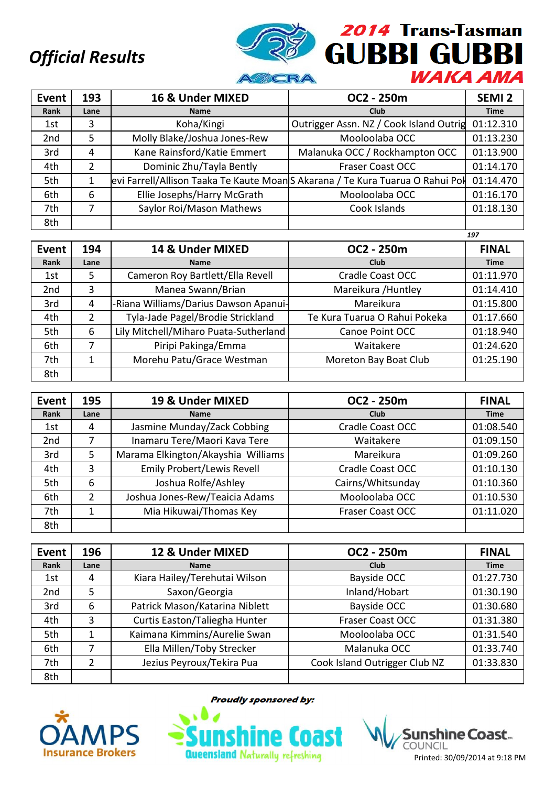

| <b>Event</b> | 193  | 16 & Under MIXED             | OC2 - 250m                                                                    | SEMI <sub>2</sub> |
|--------------|------|------------------------------|-------------------------------------------------------------------------------|-------------------|
| Rank         | Lane | <b>Name</b>                  | <b>Club</b>                                                                   | <b>Time</b>       |
| 1st          | 3    | Koha/Kingi                   | Outrigger Assn. NZ / Cook Island Outrig                                       | 01:12.310         |
| 2nd          | 5    | Molly Blake/Joshua Jones-Rew | Mooloolaba OCC                                                                | 01:13.230         |
| 3rd          | 4    | Kane Rainsford/Katie Emmert  | Malanuka OCC / Rockhampton OCC                                                | 01:13.900         |
| 4th          | 2    | Dominic Zhu/Tayla Bently     | <b>Fraser Coast OCC</b>                                                       | 01:14.170         |
| 5th          | 1    |                              | evi Farrell/Allison Taaka Te Kaute MoanS Akarana / Te Kura Tuarua O Rahui Pol | 01:14.470         |
| 6th          | 6    | Ellie Josephs/Harry McGrath  | Mooloolaba OCC                                                                | 01:16.170         |
| 7th          |      | Saylor Roi/Mason Mathews     | Cook Islands                                                                  | 01:18.130         |
| 8th          |      |                              |                                                                               |                   |

|                 |      |                                       |                               | 197          |
|-----------------|------|---------------------------------------|-------------------------------|--------------|
| Event           | 194  | 14 & Under MIXED                      | OC2 - 250m                    | <b>FINAL</b> |
| Rank            | Lane | <b>Name</b>                           | Club                          | <b>Time</b>  |
| 1st             | 5.   | Cameron Roy Bartlett/Ella Revell      | <b>Cradle Coast OCC</b>       | 01:11.970    |
| 2 <sub>nd</sub> | 3    | Manea Swann/Brian                     | Mareikura / Huntley           | 01:14.410    |
| 3rd             | 4    | -Riana Williams/Darius Dawson Apanui- | Mareikura                     | 01:15.800    |
| 4th             | 2    | Tyla-Jade Pagel/Brodie Strickland     | Te Kura Tuarua O Rahui Pokeka | 01:17.660    |
| 5th             | 6    | Lily Mitchell/Miharo Puata-Sutherland | Canoe Point OCC               | 01:18.940    |
| 6th             |      | Piripi Pakinga/Emma                   | Waitakere                     | 01:24.620    |
| 7th             |      | Morehu Patu/Grace Westman             | Moreton Bay Boat Club         | 01:25.190    |
| 8th             |      |                                       |                               |              |

| Event           | 195  | 19 & Under MIXED                   | OC2 - 250m              | <b>FINAL</b> |
|-----------------|------|------------------------------------|-------------------------|--------------|
| Rank            | Lane | <b>Name</b>                        | Club                    | <b>Time</b>  |
| 1st             | 4    | Jasmine Munday/Zack Cobbing        | Cradle Coast OCC        | 01:08.540    |
| 2 <sub>nd</sub> | 7    | Inamaru Tere/Maori Kava Tere       | Waitakere               | 01:09.150    |
| 3rd             | 5.   | Marama Elkington/Akayshia Williams | Mareikura               | 01:09.260    |
| 4th             | 3    | <b>Emily Probert/Lewis Revell</b>  | Cradle Coast OCC        | 01:10.130    |
| 5th             | 6    | Joshua Rolfe/Ashley                | Cairns/Whitsunday       | 01:10.360    |
| 6th             | 2    | Joshua Jones-Rew/Teaicia Adams     | Mooloolaba OCC          | 01:10.530    |
| 7th             |      | Mia Hikuwai/Thomas Key             | <b>Fraser Coast OCC</b> | 01:11.020    |
| 8th             |      |                                    |                         |              |

| Event           | 196  | 12 & Under MIXED               | OC2 - 250m                    | <b>FINAL</b> |
|-----------------|------|--------------------------------|-------------------------------|--------------|
| Rank            | Lane | <b>Name</b>                    | <b>Club</b>                   | <b>Time</b>  |
| 1st             | 4    | Kiara Hailey/Terehutai Wilson  | Bayside OCC                   | 01:27.730    |
| 2 <sub>nd</sub> | 5    | Saxon/Georgia                  | Inland/Hobart                 | 01:30.190    |
| 3rd             | 6    | Patrick Mason/Katarina Niblett | Bayside OCC                   | 01:30.680    |
| 4th             | 3    | Curtis Easton/Taliegha Hunter  | <b>Fraser Coast OCC</b>       | 01:31.380    |
| 5th             | 1    | Kaimana Kimmins/Aurelie Swan   | Mooloolaba OCC                | 01:31.540    |
| 6th             |      | Ella Millen/Toby Strecker      | Malanuka OCC                  | 01:33.740    |
| 7th             | 2    | Jezius Peyroux/Tekira Pua      | Cook Island Outrigger Club NZ | 01:33.830    |
| 8th             |      |                                |                               |              |



**Proudly sponsored by:** 

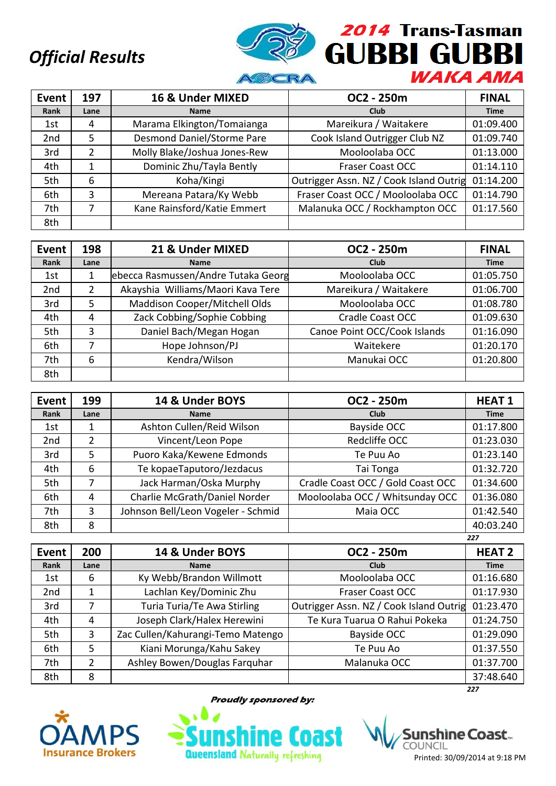

| Event           | 197           | 16 & Under MIXED             | OC2 - 250m                              | <b>FINAL</b> |
|-----------------|---------------|------------------------------|-----------------------------------------|--------------|
| Rank            | Lane          | <b>Name</b>                  | <b>Club</b>                             | <b>Time</b>  |
| 1st             | 4             | Marama Elkington/Tomaianga   | Mareikura / Waitakere                   | 01:09.400    |
| 2 <sub>nd</sub> | 5             | Desmond Daniel/Storme Pare   | Cook Island Outrigger Club NZ           | 01:09.740    |
| 3rd             | $\mathcal{P}$ | Molly Blake/Joshua Jones-Rew | Mooloolaba OCC                          | 01:13.000    |
| 4th             |               | Dominic Zhu/Tayla Bently     | <b>Fraser Coast OCC</b>                 | 01:14.110    |
| 5th             | 6             | Koha/Kingi                   | Outrigger Assn. NZ / Cook Island Outrig | 01:14.200    |
| 6th             | 3             | Mereana Patara/Ky Webb       | Fraser Coast OCC / Mooloolaba OCC       | 01:14.790    |
| 7th             | 7             | Kane Rainsford/Katie Emmert  | Malanuka OCC / Rockhampton OCC          | 01:17.560    |
| 8th             |               |                              |                                         |              |

| Event           | 198  | 21 & Under MIXED                    | OC2 - 250m                   | <b>FINAL</b> |
|-----------------|------|-------------------------------------|------------------------------|--------------|
| Rank            | Lane | <b>Name</b>                         | Club                         | <b>Time</b>  |
| 1st             |      | ebecca Rasmussen/Andre Tutaka Georg | Mooloolaba OCC               | 01:05.750    |
| 2 <sub>nd</sub> | 2    | Akayshia Williams/Maori Kava Tere   | Mareikura / Waitakere        | 01:06.700    |
| 3rd             | 5.   | Maddison Cooper/Mitchell Olds       | Mooloolaba OCC               | 01:08.780    |
| 4th             | 4    | Zack Cobbing/Sophie Cobbing         | Cradle Coast OCC             | 01:09.630    |
| 5th             | 3    | Daniel Bach/Megan Hogan             | Canoe Point OCC/Cook Islands | 01:16.090    |
| 6th             | 7    | Hope Johnson/PJ                     | Waitekere                    | 01:20.170    |
| 7th             | 6    | Kendra/Wilson                       | Manukai OCC                  | 01:20.800    |
| 8th             |      |                                     |                              |              |

| <b>Event</b>    | 199           | 14 & Under BOYS                    | OC2 - 250m                        | <b>HEAT1</b> |
|-----------------|---------------|------------------------------------|-----------------------------------|--------------|
| Rank            | Lane          | <b>Name</b>                        | <b>Club</b>                       | <b>Time</b>  |
| 1st             |               | Ashton Cullen/Reid Wilson          | Bayside OCC                       | 01:17.800    |
| 2 <sub>nd</sub> | $\mathcal{P}$ | Vincent/Leon Pope                  | Redcliffe OCC                     | 01:23.030    |
| 3rd             | 5             | Puoro Kaka/Kewene Edmonds          | Te Puu Ao                         | 01:23.140    |
| 4th             | 6             | Te kopaeTaputoro/Jezdacus          | Tai Tonga                         | 01:32.720    |
| 5th             | 7             | Jack Harman/Oska Murphy            | Cradle Coast OCC / Gold Coast OCC | 01:34.600    |
| 6th             | 4             | Charlie McGrath/Daniel Norder      | Mooloolaba OCC / Whitsunday OCC   | 01:36.080    |
| 7th             | 3             | Johnson Bell/Leon Vogeler - Schmid | Maia OCC                          | 01:42.540    |
| 8th             | 8             |                                    |                                   | 40:03.240    |
|                 |               |                                    |                                   | 227          |

| <b>Event</b>    | 200           | 14 & Under BOYS                   | OC2 - 250m                              | <b>HEAT 2</b> |
|-----------------|---------------|-----------------------------------|-----------------------------------------|---------------|
| Rank            | Lane          | <b>Name</b>                       | Club                                    | <b>Time</b>   |
| 1st             | 6             | Ky Webb/Brandon Willmott          | Mooloolaba OCC                          | 01:16.680     |
| 2 <sub>nd</sub> | 1             | Lachlan Key/Dominic Zhu           | <b>Fraser Coast OCC</b>                 | 01:17.930     |
| 3rd             |               | Turia Turia/Te Awa Stirling       | Outrigger Assn. NZ / Cook Island Outrig | 01:23.470     |
| 4th             | 4             | Joseph Clark/Halex Herewini       | Te Kura Tuarua O Rahui Pokeka           | 01:24.750     |
| 5th             | 3             | Zac Cullen/Kahurangi-Temo Matengo | Bayside OCC                             | 01:29.090     |
| 6th             | 5             | Kiani Morunga/Kahu Sakey          | Te Puu Ao                               | 01:37.550     |
| 7th             | $\mathcal{P}$ | Ashley Bowen/Douglas Farquhar     | Malanuka OCC                            | 01:37.700     |
| 8th             | 8             |                                   |                                         | 37:48.640     |
|                 |               |                                   |                                         | 227           |



**Proudly sponsored by:** 

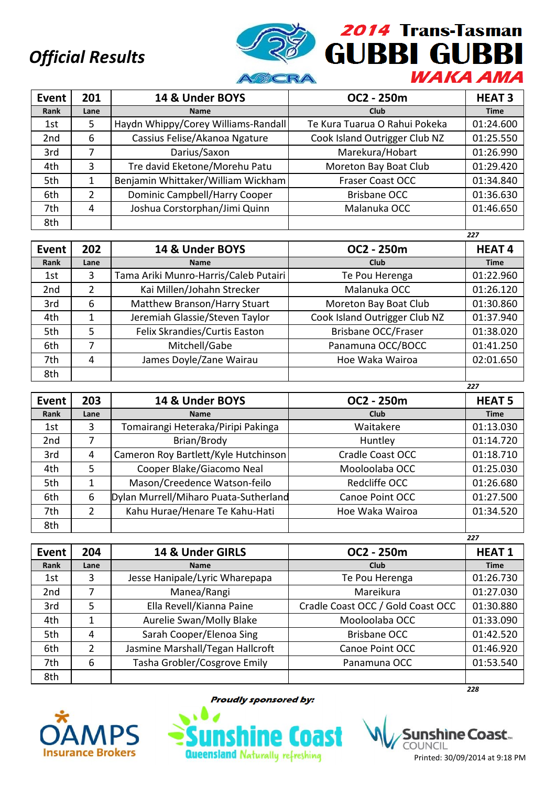

| Event           | 201  | 14 & Under BOYS                     | OC2 - 250m                    | <b>HEAT 3</b> |
|-----------------|------|-------------------------------------|-------------------------------|---------------|
| Rank            | Lane | <b>Name</b>                         | <b>Club</b>                   | <b>Time</b>   |
| 1st             | 5    | Haydn Whippy/Corey Williams-Randall | Te Kura Tuarua O Rahui Pokeka | 01:24.600     |
| 2 <sub>nd</sub> | 6    | Cassius Felise/Akanoa Ngature       | Cook Island Outrigger Club NZ | 01:25.550     |
| 3rd             | 7    | Darius/Saxon                        | Marekura/Hobart               | 01:26.990     |
| 4th             | 3    | Tre david Eketone/Morehu Patu       | Moreton Bay Boat Club         | 01:29.420     |
| 5th             |      | Benjamin Whittaker/William Wickham  | <b>Fraser Coast OCC</b>       | 01:34.840     |
| 6th             | 2    | Dominic Campbell/Harry Cooper       | <b>Brisbane OCC</b>           | 01:36.630     |
| 7th             | 4    | Joshua Corstorphan/Jimi Quinn       | Malanuka OCC                  | 01:46.650     |
| 8th             |      |                                     |                               |               |

|                 |      |                                       |                               | 227          |
|-----------------|------|---------------------------------------|-------------------------------|--------------|
| Event           | 202  | 14 & Under BOYS                       | OC2 - 250m                    | <b>HEAT4</b> |
| Rank            | Lane | <b>Name</b>                           | Club                          | <b>Time</b>  |
| 1st             | 3    | Tama Ariki Munro-Harris/Caleb Putairi | Te Pou Herenga                | 01:22.960    |
| 2 <sub>nd</sub> | 2    | Kai Millen/Johahn Strecker            | Malanuka OCC                  | 01:26.120    |
| 3rd             | 6    | Matthew Branson/Harry Stuart          | Moreton Bay Boat Club         | 01:30.860    |
| 4th             |      | Jeremiah Glassie/Steven Taylor        | Cook Island Outrigger Club NZ | 01:37.940    |
| 5th             | 5    | Felix Skrandies/Curtis Easton         | Brisbane OCC/Fraser           | 01:38.020    |
| 6th             |      | Mitchell/Gabe                         | Panamuna OCC/BOCC             | 01:41.250    |
| 7th             | 4    | James Doyle/Zane Wairau               | Hoe Waka Wairoa               | 02:01.650    |
| 8th             |      |                                       |                               |              |

| Event           | 203  | 14 & Under BOYS                       | OC2 - 250m       | <b>HEAT 5</b> |
|-----------------|------|---------------------------------------|------------------|---------------|
| Rank            | Lane | <b>Name</b>                           | Club             | <b>Time</b>   |
| 1st             | 3    | Tomairangi Heteraka/Piripi Pakinga    | Waitakere        | 01:13.030     |
| 2 <sub>nd</sub> |      | Brian/Brody                           | Huntley          | 01:14.720     |
| 3rd             | 4    | Cameron Roy Bartlett/Kyle Hutchinson  | Cradle Coast OCC | 01:18.710     |
| 4th             | 5    | Cooper Blake/Giacomo Neal             | Mooloolaba OCC   | 01:25.030     |
| 5th             |      | Mason/Creedence Watson-feilo          | Redcliffe OCC    | 01:26.680     |
| 6th             | 6    | Dylan Murrell/Miharo Puata-Sutherland | Canoe Point OCC  | 01:27.500     |
| 7th             | 2    | Kahu Hurae/Henare Te Kahu-Hati        | Hoe Waka Wairoa  | 01:34.520     |
| 8th             |      |                                       |                  |               |

|                 |                |                                  |                                   | 227          |
|-----------------|----------------|----------------------------------|-----------------------------------|--------------|
| Event           | 204            | 14 & Under GIRLS                 | OC2 - 250m                        | <b>HEAT1</b> |
| Rank            | Lane           | <b>Name</b>                      | Club                              | <b>Time</b>  |
| 1st             | 3              | Jesse Hanipale/Lyric Wharepapa   | Te Pou Herenga                    | 01:26.730    |
| 2 <sub>nd</sub> |                | Manea/Rangi                      | Mareikura                         | 01:27.030    |
| 3rd             | 5              | Ella Revell/Kianna Paine         | Cradle Coast OCC / Gold Coast OCC | 01:30.880    |
| 4th             |                | Aurelie Swan/Molly Blake         | Mooloolaba OCC                    | 01:33.090    |
| 5th             | 4              | Sarah Cooper/Elenoa Sing         | <b>Brisbane OCC</b>               | 01:42.520    |
| 6th             | $\overline{2}$ | Jasmine Marshall/Tegan Hallcroft | Canoe Point OCC                   | 01:46.920    |
| 7th             | 6              | Tasha Grobler/Cosgrove Emily     | Panamuna OCC                      | 01:53.540    |
| 8th             |                |                                  |                                   |              |
|                 |                |                                  |                                   | 228          |



**Proudly sponsored by:** 



shìne Coast… COUNCIL Printed: 30/09/2014 at 9:18 PM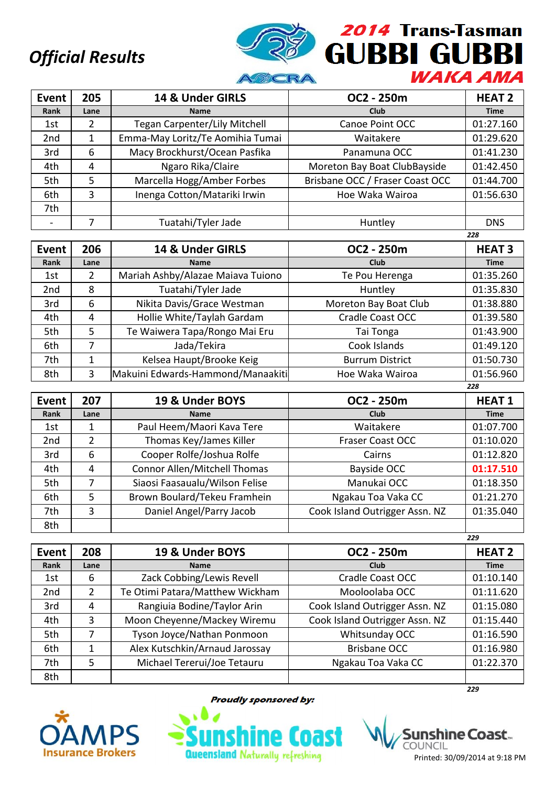

| <b>Event</b>    | 205  | 14 & Under GIRLS                     | OC2 - 250m                      | <b>HEAT 2</b> |  |  |
|-----------------|------|--------------------------------------|---------------------------------|---------------|--|--|
| Rank            | Lane | <b>Name</b>                          | <b>Club</b>                     | <b>Time</b>   |  |  |
| 1st             | 2    | <b>Tegan Carpenter/Lily Mitchell</b> | Canoe Point OCC                 | 01:27.160     |  |  |
| 2 <sub>nd</sub> |      | Emma-May Loritz/Te Aomihia Tumai     | Waitakere                       | 01:29.620     |  |  |
| 3rd             | 6    | Macy Brockhurst/Ocean Pasfika        | Panamuna OCC                    | 01:41.230     |  |  |
| 4th             | 4    | Ngaro Rika/Claire                    | Moreton Bay Boat ClubBayside    | 01:42.450     |  |  |
| 5th             | 5    | Marcella Hogg/Amber Forbes           | Brisbane OCC / Fraser Coast OCC | 01:44.700     |  |  |
| 6th             | 3    | Inenga Cotton/Matariki Irwin         | Hoe Waka Wairoa                 | 01:56.630     |  |  |
| 7th             |      |                                      |                                 |               |  |  |
|                 |      | Tuatahi/Tyler Jade                   | Huntley                         | <b>DNS</b>    |  |  |

|                 |      |                                   |                         | 228           |
|-----------------|------|-----------------------------------|-------------------------|---------------|
| Event           | 206  | 14 & Under GIRLS                  | OC2 - 250m              | <b>HEAT 3</b> |
| Rank            | Lane | <b>Name</b>                       | Club                    | <b>Time</b>   |
| 1st             | 2    | Mariah Ashby/Alazae Maiava Tuiono | Te Pou Herenga          | 01:35.260     |
| 2 <sub>nd</sub> | 8    | Tuatahi/Tyler Jade                | Huntley                 | 01:35.830     |
| 3rd             | 6    | Nikita Davis/Grace Westman        | Moreton Bay Boat Club   | 01:38.880     |
| 4th             | 4    | Hollie White/Taylah Gardam        | <b>Cradle Coast OCC</b> | 01:39.580     |
| 5th             | 5    | Te Waiwera Tapa/Rongo Mai Eru     | Tai Tonga               | 01:43.900     |
| 6th             | 7    | Jada/Tekira                       | Cook Islands            | 01:49.120     |
| 7th             |      | Kelsea Haupt/Brooke Keig          | <b>Burrum District</b>  | 01:50.730     |
| 8th             | 3    | Makuini Edwards-Hammond/Manaakiti | Hoe Waka Wairoa         | 01:56.960     |
|                 |      |                                   |                         | 228           |

| Event           | 207  | 19 & Under BOYS                | OC2 - 250m                     | <b>HEAT1</b> |
|-----------------|------|--------------------------------|--------------------------------|--------------|
| Rank            | Lane | <b>Name</b>                    | Club                           | <b>Time</b>  |
| 1st             |      | Paul Heem/Maori Kava Tere      | Waitakere                      | 01:07.700    |
| 2 <sub>nd</sub> | 2    | Thomas Key/James Killer        | <b>Fraser Coast OCC</b>        | 01:10.020    |
| 3rd             | 6    | Cooper Rolfe/Joshua Rolfe      | Cairns                         | 01:12.820    |
| 4th             | 4    | Connor Allen/Mitchell Thomas   | Bayside OCC                    | 01:17.510    |
| 5th             |      | Siaosi Faasaualu/Wilson Felise | Manukai OCC                    | 01:18.350    |
| 6th             | 5    | Brown Boulard/Tekeu Framhein   | Ngakau Toa Vaka CC             | 01:21.270    |
| 7th             | 3    | Daniel Angel/Parry Jacob       | Cook Island Outrigger Assn. NZ | 01:35.040    |
| 8th             |      |                                |                                |              |

|              |      |                                 |                                | ---           |
|--------------|------|---------------------------------|--------------------------------|---------------|
| <b>Event</b> | 208  | 19 & Under BOYS                 | OC2 - 250m                     | <b>HEAT 2</b> |
| Rank         | Lane | <b>Name</b>                     | <b>Club</b>                    | <b>Time</b>   |
| 1st          | 6    | Zack Cobbing/Lewis Revell       | <b>Cradle Coast OCC</b>        | 01:10.140     |
| 2nd          | 2    | Te Otimi Patara/Matthew Wickham | Mooloolaba OCC                 | 01:11.620     |
| 3rd          | 4    | Rangiuia Bodine/Taylor Arin     | Cook Island Outrigger Assn. NZ | 01:15.080     |
| 4th          | 3    | Moon Cheyenne/Mackey Wiremu     | Cook Island Outrigger Assn. NZ | 01:15.440     |
| 5th          | 7    | Tyson Joyce/Nathan Ponmoon      | Whitsunday OCC                 | 01:16.590     |
| 6th          |      | Alex Kutschkin/Arnaud Jarossay  | <b>Brisbane OCC</b>            | 01:16.980     |
| 7th          | 5    | Michael Tererui/Joe Tetauru     | Ngakau Toa Vaka CC             | 01:22.370     |
| 8th          |      |                                 |                                |               |
|              |      |                                 |                                | 229           |



**Proudly sponsored by:** 



shìne Coast... COUNCIL

Printed: 30/09/2014 at 9:18 PM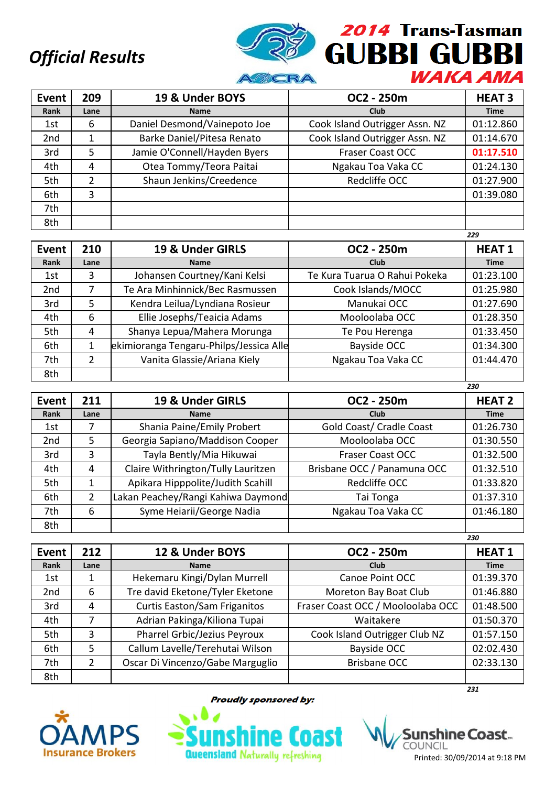

| <b>Event</b>    | 209  | 19 & Under BOYS              | OC2 - 250m                     | <b>HEAT 3</b> |
|-----------------|------|------------------------------|--------------------------------|---------------|
| Rank            | Lane | <b>Name</b>                  | Club                           | <b>Time</b>   |
| 1st             | 6    | Daniel Desmond/Vainepoto Joe | Cook Island Outrigger Assn. NZ | 01:12.860     |
| 2 <sub>nd</sub> | 1    | Barke Daniel/Pitesa Renato   | Cook Island Outrigger Assn. NZ | 01:14.670     |
| 3rd             | 5    | Jamie O'Connell/Hayden Byers | <b>Fraser Coast OCC</b>        | 01:17.510     |
| 4th             | 4    | Otea Tommy/Teora Paitai      | Ngakau Toa Vaka CC             | 01:24.130     |
| 5th             | 2    | Shaun Jenkins/Creedence      | Redcliffe OCC                  | 01:27.900     |
| 6th             | 3    |                              |                                | 01:39.080     |
| 7th             |      |                              |                                |               |
| 8th             |      |                              |                                |               |

|                 |      |                                         |                               | 229          |
|-----------------|------|-----------------------------------------|-------------------------------|--------------|
| Event           | 210  | 19 & Under GIRLS                        | OC2 - 250m                    | <b>HEAT1</b> |
| Rank            | Lane | <b>Name</b>                             | Club                          | <b>Time</b>  |
| 1st             | 3    | Johansen Courtney/Kani Kelsi            | Te Kura Tuarua O Rahui Pokeka | 01:23.100    |
| 2 <sub>nd</sub> | 7    | Te Ara Minhinnick/Bec Rasmussen         | Cook Islands/MOCC             | 01:25.980    |
| 3rd             | 5    | Kendra Leilua/Lyndiana Rosieur          | Manukai OCC                   | 01:27.690    |
| 4th             | 6    | Ellie Josephs/Teaicia Adams             | Mooloolaba OCC                | 01:28.350    |
| 5th             | 4    | Shanya Lepua/Mahera Morunga             | Te Pou Herenga                | 01:33.450    |
| 6th             |      | ekimioranga Tengaru-Philps/Jessica Alle | Bayside OCC                   | 01:34.300    |
| 7th             | 2    | Vanita Glassie/Ariana Kiely             | Ngakau Toa Vaka CC            | 01:44.470    |
| 8th             |      |                                         |                               |              |

| <b>Event</b>    | 211  | 19 & Under GIRLS                   | OC2 - 250m                  | <b>HEAT 2</b> |
|-----------------|------|------------------------------------|-----------------------------|---------------|
| Rank            | Lane | <b>Name</b>                        | Club                        | <b>Time</b>   |
| 1st             |      | Shania Paine/Emily Probert         | Gold Coast/ Cradle Coast    | 01:26.730     |
| 2 <sub>nd</sub> | 5.   | Georgia Sapiano/Maddison Cooper    | Mooloolaba OCC              | 01:30.550     |
| 3rd             | 3    | Tayla Bently/Mia Hikuwai           | <b>Fraser Coast OCC</b>     | 01:32.500     |
| 4th             | 4    | Claire Withrington/Tully Lauritzen | Brisbane OCC / Panamuna OCC | 01:32.510     |
| 5th             |      | Apikara Hipppolite/Judith Scahill  | Redcliffe OCC               | 01:33.820     |
| 6th             | 2    | Lakan Peachey/Rangi Kahiwa Daymond | Tai Tonga                   | 01:37.310     |
| 7th             | 6    | Syme Heiarii/George Nadia          | Ngakau Toa Vaka CC          | 01:46.180     |
| 8th             |      |                                    |                             |               |

|                 |      |                                     |                                   | 230          |
|-----------------|------|-------------------------------------|-----------------------------------|--------------|
| Event           | 212  | 12 & Under BOYS                     | OC2 - 250m                        | <b>HEAT1</b> |
| Rank            | Lane | <b>Name</b>                         | Club                              | <b>Time</b>  |
| 1st             | 1    | Hekemaru Kingi/Dylan Murrell        | Canoe Point OCC                   | 01:39.370    |
| 2 <sub>nd</sub> | 6    | Tre david Eketone/Tyler Eketone     | Moreton Bay Boat Club             | 01:46.880    |
| 3rd             | 4    | <b>Curtis Easton/Sam Friganitos</b> | Fraser Coast OCC / Mooloolaba OCC | 01:48.500    |
| 4th             | 7    | Adrian Pakinga/Kiliona Tupai        | Waitakere                         | 01:50.370    |
| 5th             | 3    | Pharrel Grbic/Jezius Peyroux        | Cook Island Outrigger Club NZ     | 01:57.150    |
| 6th             | 5    | Callum Lavelle/Terehutai Wilson     | Bayside OCC                       | 02:02.430    |
| 7th             | 2    | Oscar Di Vincenzo/Gabe Marguglio    | <b>Brisbane OCC</b>               | 02:33.130    |
| 8th             |      |                                     |                                   |              |
|                 |      |                                     |                                   | 231          |



**Proudly sponsored by:** 



shìne Coast… COUNCIL Printed: 30/09/2014 at 9:18 PM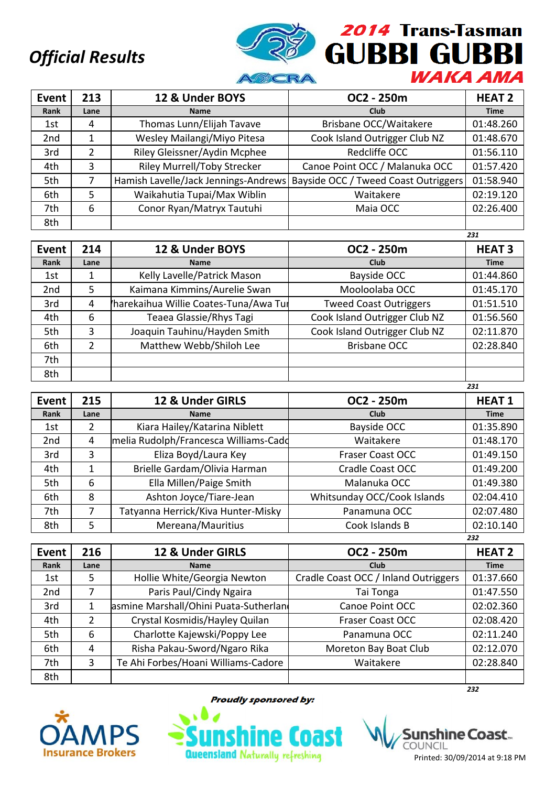

| Event           | 213           | 12 & Under BOYS                      | OC2 - 250m                           | <b>HEAT 2</b> |
|-----------------|---------------|--------------------------------------|--------------------------------------|---------------|
| Rank            | Lane          | <b>Name</b>                          | Club                                 | <b>Time</b>   |
| 1st             | 4             | Thomas Lunn/Elijah Tavave            | Brisbane OCC/Waitakere               | 01:48.260     |
| 2 <sub>nd</sub> |               | Wesley Mailangi/Miyo Pitesa          | Cook Island Outrigger Club NZ        | 01:48.670     |
| 3rd             | $\mathcal{P}$ | Riley Gleissner/Aydin Mcphee         | Redcliffe OCC                        | 01:56.110     |
| 4th             | 3             | <b>Riley Murrell/Toby Strecker</b>   | Canoe Point OCC / Malanuka OCC       | 01:57.420     |
| 5th             |               | Hamish Lavelle/Jack Jennings-Andrews | Bayside OCC / Tweed Coast Outriggers | 01:58.940     |
| 6th             | 5             | Waikahutia Tupai/Max Wiblin          | Waitakere                            | 02:19.120     |
| 7th             | 6             | Conor Ryan/Matryx Tautuhi            | Maia OCC                             | 02:26.400     |
| 8th             |               |                                      |                                      |               |

|                 |      |                                       |                               | 231           |
|-----------------|------|---------------------------------------|-------------------------------|---------------|
| Event           | 214  | 12 & Under BOYS                       | OC2 - 250m                    | <b>HEAT 3</b> |
| Rank            | Lane | <b>Name</b>                           | Club                          | <b>Time</b>   |
| 1st             |      | Kelly Lavelle/Patrick Mason           | Bayside OCC                   | 01:44.860     |
| 2 <sub>nd</sub> | 5    | Kaimana Kimmins/Aurelie Swan          | Mooloolaba OCC                | 01:45.170     |
| 3rd             | 4    | harekaihua Willie Coates-Tuna/Awa Tur | <b>Tweed Coast Outriggers</b> | 01:51.510     |
| 4th             | 6    | Teaea Glassie/Rhys Tagi               | Cook Island Outrigger Club NZ | 01:56.560     |
| 5th             | 3    | Joaquin Tauhinu/Hayden Smith          | Cook Island Outrigger Club NZ | 02:11.870     |
| 6th             | 2    | Matthew Webb/Shiloh Lee               | <b>Brisbane OCC</b>           | 02:28.840     |
| 7th             |      |                                       |                               |               |
| 8th             |      |                                       |                               |               |

| Event           | 215  | 12 & Under GIRLS                      | OC2 - 250m                  | <b>HEAT1</b> |
|-----------------|------|---------------------------------------|-----------------------------|--------------|
| Rank            | Lane | <b>Name</b>                           | Club                        | <b>Time</b>  |
| 1st             | 2    | Kiara Hailey/Katarina Niblett         | Bayside OCC                 | 01:35.890    |
| 2 <sub>nd</sub> | 4    | melia Rudolph/Francesca Williams-Cadd | Waitakere                   | 01:48.170    |
| 3rd             | 3    | Eliza Boyd/Laura Key                  | <b>Fraser Coast OCC</b>     | 01:49.150    |
| 4th             | 1    | Brielle Gardam/Olivia Harman          | Cradle Coast OCC            | 01:49.200    |
| 5th             | 6    | Ella Millen/Paige Smith               | Malanuka OCC                | 01:49.380    |
| 6th             | 8    | Ashton Joyce/Tiare-Jean               | Whitsunday OCC/Cook Islands | 02:04.410    |
| 7th             | 7    | Tatyanna Herrick/Kiva Hunter-Misky    | Panamuna OCC                | 02:07.480    |
| 8th             | 5    | Mereana/Mauritius                     | Cook Islands B              | 02:10.140    |
|                 |      |                                       |                             | 232          |

| Event | 216  | 12 & Under GIRLS                      | OC2 - 250m                           | <b>HEAT 2</b> |
|-------|------|---------------------------------------|--------------------------------------|---------------|
| Rank  | Lane | <b>Name</b>                           | Club                                 | <b>Time</b>   |
| 1st   | 5    | Hollie White/Georgia Newton           | Cradle Coast OCC / Inland Outriggers | 01:37.660     |
| 2nd   |      | Paris Paul/Cindy Ngaira               | Tai Tonga                            | 01:47.550     |
| 3rd   | 1    | asmine Marshall/Ohini Puata-Sutherlan | Canoe Point OCC                      | 02:02.360     |
| 4th   | 2    | Crystal Kosmidis/Hayley Quilan        | Fraser Coast OCC                     | 02:08.420     |
| 5th   | 6    | Charlotte Kajewski/Poppy Lee          | Panamuna OCC                         | 02:11.240     |
| 6th   | 4    | Risha Pakau-Sword/Ngaro Rika          | Moreton Bay Boat Club                | 02:12.070     |
| 7th   | 3    | Te Ahi Forbes/Hoani Williams-Cadore   | Waitakere                            | 02:28.840     |
| 8th   |      |                                       |                                      |               |
|       |      |                                       |                                      | 232           |



**Proudly sponsored by:** 



shìne Coast.. COUNCIL Printed: 30/09/2014 at 9:18 PM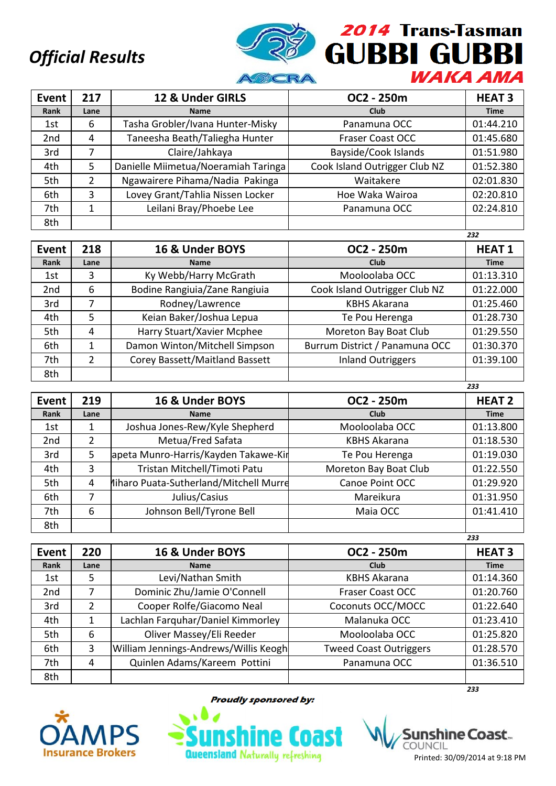

| Event           | 217  | 12 & Under GIRLS                    | OC2 - 250m                    | <b>HEAT 3</b> |
|-----------------|------|-------------------------------------|-------------------------------|---------------|
| Rank            | Lane | <b>Name</b>                         | <b>Club</b>                   | <b>Time</b>   |
| 1st             | 6    | Tasha Grobler/Ivana Hunter-Misky    | Panamuna OCC                  | 01:44.210     |
| 2 <sub>nd</sub> | 4    | Taneesha Beath/Taliegha Hunter      | <b>Fraser Coast OCC</b>       | 01:45.680     |
| 3rd             |      | Claire/Jahkaya                      | Bayside/Cook Islands          | 01:51.980     |
| 4th             | 5    | Danielle Miimetua/Noeramiah Taringa | Cook Island Outrigger Club NZ | 01:52.380     |
| 5th             | 2    | Ngawairere Pihama/Nadia Pakinga     | Waitakere                     | 02:01.830     |
| 6th             | 3    | Lovey Grant/Tahlia Nissen Locker    | Hoe Waka Wairoa               | 02:20.810     |
| 7th             |      | Leilani Bray/Phoebe Lee             | Panamuna OCC                  | 02:24.810     |
| 8th             |      |                                     |                               |               |

|                 |               |                                |                                | 232          |
|-----------------|---------------|--------------------------------|--------------------------------|--------------|
| Event           | 218           | 16 & Under BOYS                | OC2 - 250m                     | <b>HEAT1</b> |
| Rank            | Lane          | <b>Name</b>                    | Club                           | <b>Time</b>  |
| 1st             | 3             | Ky Webb/Harry McGrath          | Mooloolaba OCC                 | 01:13.310    |
| 2 <sub>nd</sub> | 6             | Bodine Rangiuia/Zane Rangiuia  | Cook Island Outrigger Club NZ  | 01:22.000    |
| 3rd             | 7             | Rodney/Lawrence                | <b>KBHS Akarana</b>            | 01:25.460    |
| 4th             | 5             | Keian Baker/Joshua Lepua       | Te Pou Herenga                 | 01:28.730    |
| 5th             | 4             | Harry Stuart/Xavier Mcphee     | Moreton Bay Boat Club          | 01:29.550    |
| 6th             |               | Damon Winton/Mitchell Simpson  | Burrum District / Panamuna OCC | 01:30.370    |
| 7th             | $\mathcal{P}$ | Corey Bassett/Maitland Bassett | <b>Inland Outriggers</b>       | 01:39.100    |
| 8th             |               |                                |                                |              |

| <b>Event</b>    | 219  | 16 & Under BOYS                        | OC2 - 250m            | <b>HEAT 2</b> |
|-----------------|------|----------------------------------------|-----------------------|---------------|
| Rank            | Lane | <b>Name</b>                            | <b>Club</b>           | <b>Time</b>   |
| 1st             |      | Joshua Jones-Rew/Kyle Shepherd         | Mooloolaba OCC        | 01:13.800     |
| 2 <sub>nd</sub> | 2    | Metua/Fred Safata                      | <b>KBHS Akarana</b>   | 01:18.530     |
| 3rd             | 5    | apeta Munro-Harris/Kayden Takawe-Kir   | Te Pou Herenga        | 01:19.030     |
| 4th             | 3    | Tristan Mitchell/Timoti Patu           | Moreton Bay Boat Club | 01:22.550     |
| 5th             | 4    | hiharo Puata-Sutherland/Mitchell Murre | Canoe Point OCC       | 01:29.920     |
| 6th             |      | Julius/Casius                          | Mareikura             | 01:31.950     |
| 7th             | 6    | Johnson Bell/Tyrone Bell               | Maia OCC              | 01:41.410     |
| 8th             |      |                                        |                       |               |

|              |      |                                       |                               | ---           |
|--------------|------|---------------------------------------|-------------------------------|---------------|
| <b>Event</b> | 220  | 16 & Under BOYS                       | OC2 - 250m                    | <b>HEAT 3</b> |
| Rank         | Lane | <b>Name</b>                           | <b>Club</b>                   | <b>Time</b>   |
| 1st          | 5    | Levi/Nathan Smith                     | <b>KBHS Akarana</b>           | 01:14.360     |
| 2nd          |      | Dominic Zhu/Jamie O'Connell           | <b>Fraser Coast OCC</b>       | 01:20.760     |
| 3rd          | 2    | Cooper Rolfe/Giacomo Neal             | Coconuts OCC/MOCC             | 01:22.640     |
| 4th          | 1    | Lachlan Farquhar/Daniel Kimmorley     | Malanuka OCC                  | 01:23.410     |
| 5th          | 6    | Oliver Massey/Eli Reeder              | Mooloolaba OCC                | 01:25.820     |
| 6th          | 3    | William Jennings-Andrews/Willis Keogh | <b>Tweed Coast Outriggers</b> | 01:28.570     |
| 7th          | 4    | Quinlen Adams/Kareem Pottini          | Panamuna OCC                  | 01:36.510     |
| 8th          |      |                                       |                               |               |
|              |      |                                       |                               | 233           |



**Proudly sponsored by:** 



shine Coast... COUNCIL Printed: 30/09/2014 at 9:18 PM

*233*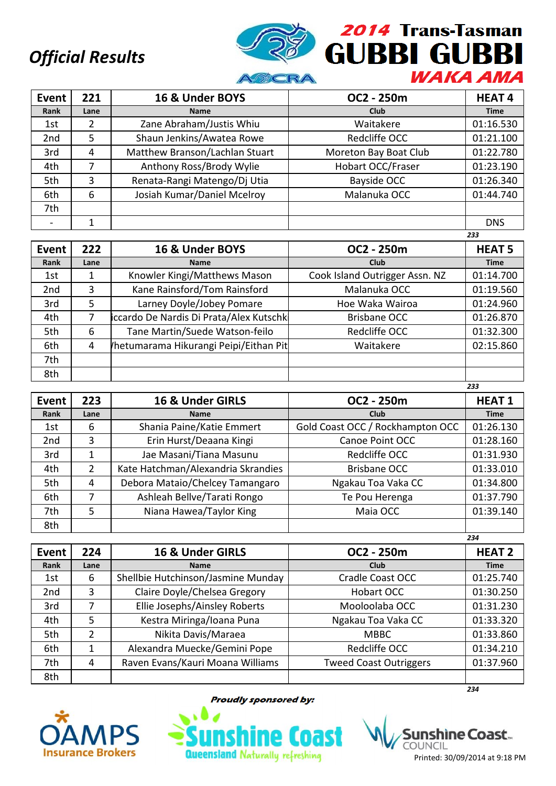

| <b>Event</b>    | 221  | 16 & Under BOYS                | OC2 - 250m            | <b>HEAT4</b> |
|-----------------|------|--------------------------------|-----------------------|--------------|
| Rank            | Lane | <b>Name</b>                    | <b>Club</b>           | <b>Time</b>  |
| 1st             |      | Zane Abraham/Justis Whiu       | Waitakere             | 01:16.530    |
| 2 <sub>nd</sub> | 5    | Shaun Jenkins/Awatea Rowe      | Redcliffe OCC         | 01:21.100    |
| 3rd             | 4    | Matthew Branson/Lachlan Stuart | Moreton Bay Boat Club | 01:22.780    |
| 4th             | 7    | Anthony Ross/Brody Wylie       | Hobart OCC/Fraser     | 01:23.190    |
| 5th             | 3    | Renata-Rangi Matengo/Dj Utia   | Bayside OCC           | 01:26.340    |
| 6th             | 6    | Josiah Kumar/Daniel Mcelroy    | Malanuka OCC          | 01:44.740    |
| 7th             |      |                                |                       |              |
|                 |      |                                |                       | <b>DNS</b>   |

|                 |      |                                         |                                | 233           |
|-----------------|------|-----------------------------------------|--------------------------------|---------------|
| Event           | 222  | 16 & Under BOYS                         | OC2 - 250m                     | <b>HEAT 5</b> |
| Rank            | Lane | <b>Name</b>                             | <b>Club</b>                    | <b>Time</b>   |
| 1st             |      | Knowler Kingi/Matthews Mason            | Cook Island Outrigger Assn. NZ | 01:14.700     |
| 2 <sub>nd</sub> | 3    | Kane Rainsford/Tom Rainsford            | Malanuka OCC                   | 01:19.560     |
| 3rd             | 5.   | Larney Doyle/Jobey Pomare               | Hoe Waka Wairoa                | 01:24.960     |
| 4th             | 7    | iccardo De Nardis Di Prata/Alex Kutschk | Brisbane OCC                   | 01:26.870     |
| 5th             | 6    | Tane Martin/Suede Watson-feilo          | Redcliffe OCC                  | 01:32.300     |
| 6th             | 4    | /hetumarama Hikurangi Peipi/Eithan Pit  | Waitakere                      | 02:15.860     |
| 7th             |      |                                         |                                |               |
| 8th             |      |                                         |                                |               |

| <b>Event</b>    | 223  | 16 & Under GIRLS                   | OC2 - 250m                       | <b>HEAT1</b> |
|-----------------|------|------------------------------------|----------------------------------|--------------|
| Rank            | Lane | <b>Name</b>                        | Club                             | <b>Time</b>  |
| 1st             | 6    | Shania Paine/Katie Emmert          | Gold Coast OCC / Rockhampton OCC | 01:26.130    |
| 2 <sub>nd</sub> | 3    | Erin Hurst/Deaana Kingi            | Canoe Point OCC                  | 01:28.160    |
| 3rd             |      | Jae Masani/Tiana Masunu            | Redcliffe OCC                    | 01:31.930    |
| 4th             | 2    | Kate Hatchman/Alexandria Skrandies | <b>Brisbane OCC</b>              | 01:33.010    |
| 5th             | 4    | Debora Mataio/Chelcey Tamangaro    | Ngakau Toa Vaka CC               | 01:34.800    |
| 6th             | 7    | Ashleah Bellve/Tarati Rongo        | Te Pou Herenga                   | 01:37.790    |
| 7th             | 5    | Niana Hawea/Taylor King            | Maia OCC                         | 01:39.140    |
| 8th             |      |                                    |                                  |              |

|       |      |                                    |                               | 234           |
|-------|------|------------------------------------|-------------------------------|---------------|
| Event | 224  | 16 & Under GIRLS                   | OC2 - 250m                    | <b>HEAT 2</b> |
| Rank  | Lane | <b>Name</b>                        | Club                          | <b>Time</b>   |
| 1st   | 6    | Shellbie Hutchinson/Jasmine Munday | Cradle Coast OCC              | 01:25.740     |
| 2nd   | 3    | Claire Doyle/Chelsea Gregory       | Hobart OCC                    | 01:30.250     |
| 3rd   | 7    | Ellie Josephs/Ainsley Roberts      | Mooloolaba OCC                | 01:31.230     |
| 4th   | 5    | Kestra Miringa/Ioana Puna          | Ngakau Toa Vaka CC            | 01:33.320     |
| 5th   | 2    | Nikita Davis/Maraea                | <b>MBBC</b>                   | 01:33.860     |
| 6th   | 1    | Alexandra Muecke/Gemini Pope       | Redcliffe OCC                 | 01:34.210     |
| 7th   | 4    | Raven Evans/Kauri Moana Williams   | <b>Tweed Coast Outriggers</b> | 01:37.960     |
| 8th   |      |                                    |                               |               |
|       |      |                                    |                               | 234           |



**Proudly sponsored by:** 



Printed: 30/09/2014 at 9:18 PM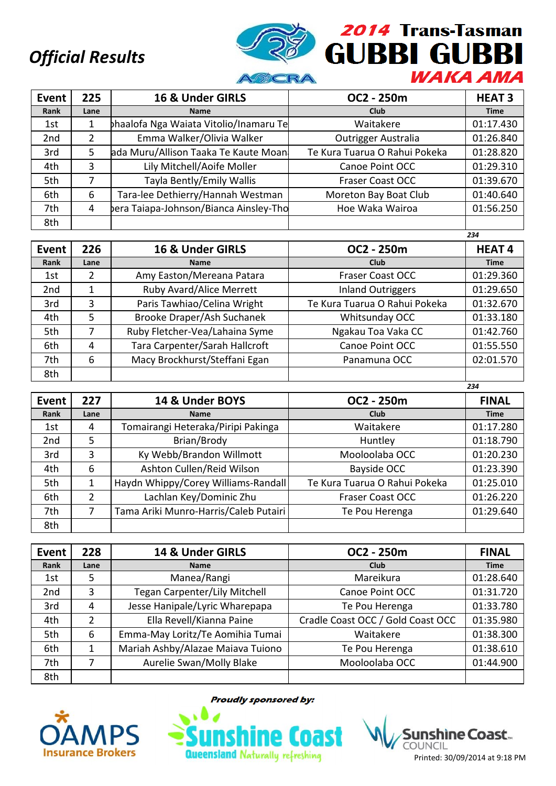

| Event           | 225  | 16 & Under GIRLS                       | OC2 - 250m                    | <b>HEAT 3</b> |
|-----------------|------|----------------------------------------|-------------------------------|---------------|
| Rank            | Lane | <b>Name</b>                            | Club                          | <b>Time</b>   |
| 1st             |      | haalofa Nga Waiata Vitolio/Inamaru Te  | Waitakere                     | 01:17.430     |
| 2 <sub>nd</sub> | 2    | Emma Walker/Olivia Walker              | <b>Outrigger Australia</b>    | 01:26.840     |
| 3rd             | 5    | ada Muru/Allison Taaka Te Kaute Moan   | Te Kura Tuarua O Rahui Pokeka | 01:28.820     |
| 4th             | 3    | Lily Mitchell/Aoife Moller             | Canoe Point OCC               | 01:29.310     |
| 5th             | 7    | Tayla Bently/Emily Wallis              | <b>Fraser Coast OCC</b>       | 01:39.670     |
| 6th             | 6    | Tara-lee Dethierry/Hannah Westman      | Moreton Bay Boat Club         | 01:40.640     |
| 7th             | 4    | bera Taiapa-Johnson/Bianca Ainsley-Tho | Hoe Waka Wairoa               | 01:56.250     |
| 8th             |      |                                        |                               |               |

|                 |      |                                |                               | 234          |
|-----------------|------|--------------------------------|-------------------------------|--------------|
| <b>Event</b>    | 226  | 16 & Under GIRLS               | OC2 - 250m                    | <b>HEAT4</b> |
| Rank            | Lane | <b>Name</b>                    | Club                          | <b>Time</b>  |
| 1st             | 2    | Amy Easton/Mereana Patara      | <b>Fraser Coast OCC</b>       | 01:29.360    |
| 2 <sub>nd</sub> |      | Ruby Avard/Alice Merrett       | <b>Inland Outriggers</b>      | 01:29.650    |
| 3rd             | 3    | Paris Tawhiao/Celina Wright    | Te Kura Tuarua O Rahui Pokeka | 01:32.670    |
| 4th             | 5    | Brooke Draper/Ash Suchanek     | Whitsunday OCC                | 01:33.180    |
| 5th             |      | Ruby Fletcher-Vea/Lahaina Syme | Ngakau Toa Vaka CC            | 01:42.760    |
| 6th             | 4    | Tara Carpenter/Sarah Hallcroft | Canoe Point OCC               | 01:55.550    |
| 7th             | 6    | Macy Brockhurst/Steffani Egan  | Panamuna OCC                  | 02:01.570    |
| 8th             |      |                                |                               |              |

| Event           | 227  | 14 & Under BOYS                       | OC2 - 250m                    | <b>FINAL</b> |
|-----------------|------|---------------------------------------|-------------------------------|--------------|
| Rank            | Lane | <b>Name</b>                           | <b>Club</b>                   | <b>Time</b>  |
| 1st             | 4    | Tomairangi Heteraka/Piripi Pakinga    | Waitakere                     | 01:17.280    |
| 2 <sub>nd</sub> | 5    | Brian/Brody                           | Huntley                       | 01:18.790    |
| 3rd             | 3    | Ky Webb/Brandon Willmott              | Mooloolaba OCC                | 01:20.230    |
| 4th             | 6    | Ashton Cullen/Reid Wilson             | Bayside OCC                   | 01:23.390    |
| 5th             |      | Haydn Whippy/Corey Williams-Randall   | Te Kura Tuarua O Rahui Pokeka | 01:25.010    |
| 6th             | 2    | Lachlan Key/Dominic Zhu               | Fraser Coast OCC              | 01:26.220    |
| 7th             | 7    | Tama Ariki Munro-Harris/Caleb Putairi | Te Pou Herenga                | 01:29.640    |
| 8th             |      |                                       |                               |              |

| Event           | 228  | 14 & Under GIRLS                  | OC2 - 250m                        | <b>FINAL</b> |
|-----------------|------|-----------------------------------|-----------------------------------|--------------|
| Rank            | Lane | <b>Name</b>                       | <b>Club</b>                       | <b>Time</b>  |
| 1st             | 5    | Manea/Rangi                       | Mareikura                         | 01:28.640    |
| 2 <sub>nd</sub> | 3    | Tegan Carpenter/Lily Mitchell     | Canoe Point OCC                   | 01:31.720    |
| 3rd             | 4    | Jesse Hanipale/Lyric Wharepapa    | Te Pou Herenga                    | 01:33.780    |
| 4th             | 2    | Ella Revell/Kianna Paine          | Cradle Coast OCC / Gold Coast OCC | 01:35.980    |
| 5th             | 6    | Emma-May Loritz/Te Aomihia Tumai  | Waitakere                         | 01:38.300    |
| 6th             |      | Mariah Ashby/Alazae Maiava Tuiono | Te Pou Herenga                    | 01:38.610    |
| 7th             |      | Aurelie Swan/Molly Blake          | Mooloolaba OCC                    | 01:44.900    |
| 8th             |      |                                   |                                   |              |



**Proudly sponsored by:** 

**Queensland Naturally refreshing** 

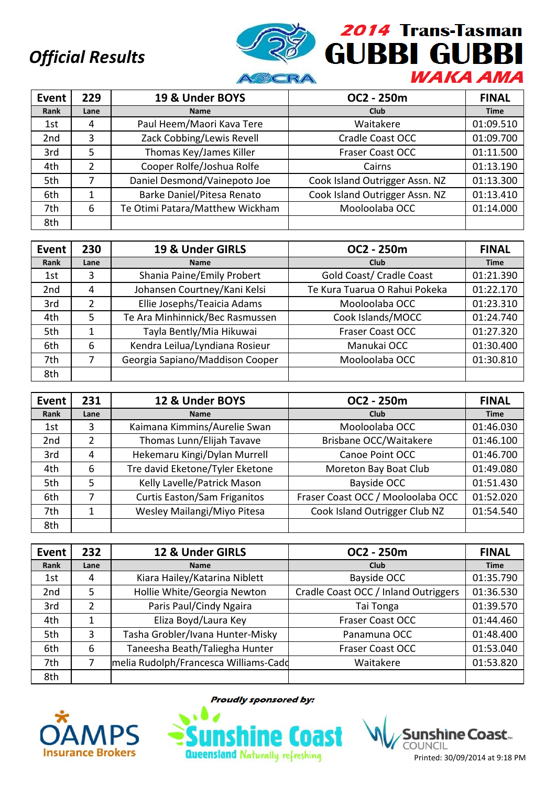

| Event           | 229           | 19 & Under BOYS                 | OC2 - 250m                     | <b>FINAL</b> |
|-----------------|---------------|---------------------------------|--------------------------------|--------------|
| Rank            | Lane          | <b>Name</b>                     | Club                           | <b>Time</b>  |
| 1st             | 4             | Paul Heem/Maori Kava Tere       | Waitakere                      | 01:09.510    |
| 2 <sub>nd</sub> | 3             | Zack Cobbing/Lewis Revell       | Cradle Coast OCC               | 01:09.700    |
| 3rd             | 5             | Thomas Key/James Killer         | <b>Fraser Coast OCC</b>        | 01:11.500    |
| 4th             | $\mathcal{P}$ | Cooper Rolfe/Joshua Rolfe       | Cairns                         | 01:13.190    |
| 5th             | 7             | Daniel Desmond/Vainepoto Joe    | Cook Island Outrigger Assn. NZ | 01:13.300    |
| 6th             | 1             | Barke Daniel/Pitesa Renato      | Cook Island Outrigger Assn. NZ | 01:13.410    |
| 7th             | 6             | Te Otimi Patara/Matthew Wickham | Mooloolaba OCC                 | 01:14.000    |
| 8th             |               |                                 |                                |              |

| Event           | 230           | 19 & Under GIRLS                | OC2 - 250m                    | <b>FINAL</b> |
|-----------------|---------------|---------------------------------|-------------------------------|--------------|
| Rank            | Lane          | <b>Name</b>                     | <b>Club</b>                   | <b>Time</b>  |
| 1st             | 3             | Shania Paine/Emily Probert      | Gold Coast/ Cradle Coast      | 01:21.390    |
| 2 <sub>nd</sub> | 4             | Johansen Courtney/Kani Kelsi    | Te Kura Tuarua O Rahui Pokeka | 01:22.170    |
| 3rd             | $\mathcal{P}$ | Ellie Josephs/Teaicia Adams     | Mooloolaba OCC                | 01:23.310    |
| 4th             | 5             | Te Ara Minhinnick/Bec Rasmussen | Cook Islands/MOCC             | 01:24.740    |
| 5th             |               | Tayla Bently/Mia Hikuwai        | <b>Fraser Coast OCC</b>       | 01:27.320    |
| 6th             | 6             | Kendra Leilua/Lyndiana Rosieur  | Manukai OCC                   | 01:30.400    |
| 7th             |               | Georgia Sapiano/Maddison Cooper | Mooloolaba OCC                | 01:30.810    |
| 8th             |               |                                 |                               |              |

| Event | 231  | 12 & Under BOYS                     | OC2 - 250m                        | <b>FINAL</b> |
|-------|------|-------------------------------------|-----------------------------------|--------------|
| Rank  | Lane | <b>Name</b>                         | Club                              | <b>Time</b>  |
| 1st   | 3    | Kaimana Kimmins/Aurelie Swan        | Mooloolaba OCC                    | 01:46.030    |
| 2nd   | C    | Thomas Lunn/Elijah Tavave           | Brisbane OCC/Waitakere            | 01:46.100    |
| 3rd   | 4    | Hekemaru Kingi/Dylan Murrell        | Canoe Point OCC                   | 01:46.700    |
| 4th   | 6    | Tre david Eketone/Tyler Eketone     | Moreton Bay Boat Club             | 01:49.080    |
| 5th   | 5    | Kelly Lavelle/Patrick Mason         | Bayside OCC                       | 01:51.430    |
| 6th   | 7    | <b>Curtis Easton/Sam Friganitos</b> | Fraser Coast OCC / Mooloolaba OCC | 01:52.020    |
| 7th   |      | Wesley Mailangi/Miyo Pitesa         | Cook Island Outrigger Club NZ     | 01:54.540    |
| 8th   |      |                                     |                                   |              |

| Event           | 232  | 12 & Under GIRLS                      | OC2 - 250m                           | <b>FINAL</b> |
|-----------------|------|---------------------------------------|--------------------------------------|--------------|
| Rank            | Lane | <b>Name</b>                           | <b>Club</b>                          | <b>Time</b>  |
| 1st             | 4    | Kiara Hailey/Katarina Niblett         | Bayside OCC                          | 01:35.790    |
| 2 <sub>nd</sub> | 5    | Hollie White/Georgia Newton           | Cradle Coast OCC / Inland Outriggers | 01:36.530    |
| 3rd             | 2    | Paris Paul/Cindy Ngaira               | Tai Tonga                            | 01:39.570    |
| 4th             |      | Eliza Boyd/Laura Key                  | Fraser Coast OCC                     | 01:44.460    |
| 5th             | 3    | Tasha Grobler/Ivana Hunter-Misky      | Panamuna OCC                         | 01:48.400    |
| 6th             | 6    | Taneesha Beath/Taliegha Hunter        | <b>Fraser Coast OCC</b>              | 01:53.040    |
| 7th             |      | melia Rudolph/Francesca Williams-Cadd | Waitakere                            | 01:53.820    |
| 8th             |      |                                       |                                      |              |



**Proudly sponsored by:** 

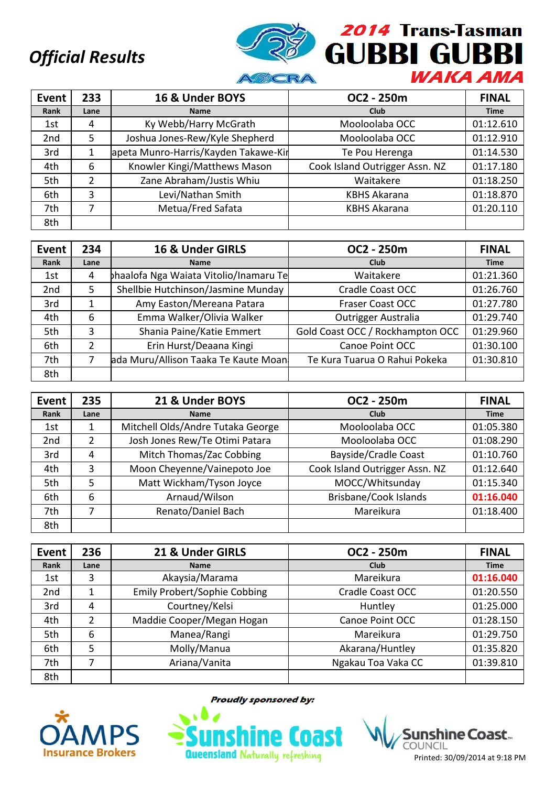

| <b>Event</b> | 233  | 16 & Under BOYS                      | OC2 - 250m                     | <b>FINAL</b> |
|--------------|------|--------------------------------------|--------------------------------|--------------|
| Rank         | Lane | <b>Name</b>                          | Club                           | <b>Time</b>  |
| 1st          | 4    | Ky Webb/Harry McGrath                | Mooloolaba OCC                 | 01:12.610    |
| 2nd          | 5    | Joshua Jones-Rew/Kyle Shepherd       | Mooloolaba OCC                 | 01:12.910    |
| 3rd          |      | apeta Munro-Harris/Kayden Takawe-Kir | Te Pou Herenga                 | 01:14.530    |
| 4th          | 6    | Knowler Kingi/Matthews Mason         | Cook Island Outrigger Assn. NZ | 01:17.180    |
| 5th          | 2    | Zane Abraham/Justis Whiu             | Waitakere                      | 01:18.250    |
| 6th          | 3    | Levi/Nathan Smith                    | <b>KBHS Akarana</b>            | 01:18.870    |
| 7th          | 7    | Metua/Fred Safata                    | <b>KBHS Akarana</b>            | 01:20.110    |
| 8th          |      |                                      |                                |              |

| Event           | 234  | 16 & Under GIRLS                      | OC2 - 250m                       | <b>FINAL</b> |
|-----------------|------|---------------------------------------|----------------------------------|--------------|
| Rank            | Lane | <b>Name</b>                           | <b>Club</b>                      | <b>Time</b>  |
| 1st             | 4    | haalofa Nga Waiata Vitolio/Inamaru Te | Waitakere                        | 01:21.360    |
| 2 <sub>nd</sub> | 5    | Shellbie Hutchinson/Jasmine Munday    | Cradle Coast OCC                 | 01:26.760    |
| 3rd             |      | Amy Easton/Mereana Patara             | <b>Fraser Coast OCC</b>          | 01:27.780    |
| 4th             | 6    | Emma Walker/Olivia Walker             | Outrigger Australia              | 01:29.740    |
| 5th             | 3    | Shania Paine/Katie Emmert             | Gold Coast OCC / Rockhampton OCC | 01:29.960    |
| 6th             | 2    | Erin Hurst/Deaana Kingi               | Canoe Point OCC                  | 01:30.100    |
| 7th             |      | ada Muru/Allison Taaka Te Kaute Moan  | Te Kura Tuarua O Rahui Pokeka    | 01:30.810    |
| 8th             |      |                                       |                                  |              |

| <b>Event</b>    | 235  | 21 & Under BOYS                   | OC2 - 250m                     | <b>FINAL</b> |
|-----------------|------|-----------------------------------|--------------------------------|--------------|
| Rank            | Lane | <b>Name</b>                       | Club                           | <b>Time</b>  |
| 1st             |      | Mitchell Olds/Andre Tutaka George | Mooloolaba OCC                 | 01:05.380    |
| 2 <sub>nd</sub> | 2    | Josh Jones Rew/Te Otimi Patara    | Mooloolaba OCC                 | 01:08.290    |
| 3rd             | 4    | Mitch Thomas/Zac Cobbing          | <b>Bayside/Cradle Coast</b>    | 01:10.760    |
| 4th             | 3    | Moon Cheyenne/Vainepoto Joe       | Cook Island Outrigger Assn. NZ | 01:12.640    |
| 5th             | 5    | Matt Wickham/Tyson Joyce          | MOCC/Whitsunday                | 01:15.340    |
| 6th             | 6    | Arnaud/Wilson                     | <b>Brisbane/Cook Islands</b>   | 01:16.040    |
| 7th             |      | Renato/Daniel Bach                | Mareikura                      | 01:18.400    |
| 8th             |      |                                   |                                |              |

| Event           | 236           | 21 & Under GIRLS                    | OC2 - 250m         | <b>FINAL</b> |
|-----------------|---------------|-------------------------------------|--------------------|--------------|
| Rank            | Lane          | <b>Name</b>                         | Club               | <b>Time</b>  |
| 1st             | 3             | Akaysia/Marama                      | Mareikura          | 01:16.040    |
| 2 <sub>nd</sub> | 1             | <b>Emily Probert/Sophie Cobbing</b> | Cradle Coast OCC   | 01:20.550    |
| 3rd             | 4             | Courtney/Kelsi                      | Huntley            | 01:25.000    |
| 4th             | $\mathfrak z$ | Maddie Cooper/Megan Hogan           | Canoe Point OCC    | 01:28.150    |
| 5th             | 6             | Manea/Rangi                         | Mareikura          | 01:29.750    |
| 6th             | 5             | Molly/Manua                         | Akarana/Huntley    | 01:35.820    |
| 7th             |               | Ariana/Vanita                       | Ngakau Toa Vaka CC | 01:39.810    |
| 8th             |               |                                     |                    |              |



**Proudly sponsored by:**